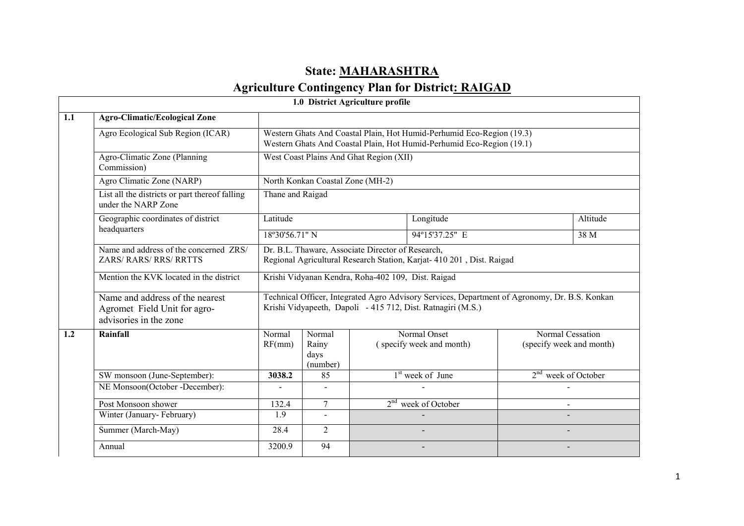# State: **MAHARASHTRA**

### Agriculture Contingency Plan for District: RAIGAD

|     |                                                                                           |                                                                                                                                                |                                     | 1.0 District Agriculture profile |                                                                                                                                                              |                                              |          |  |
|-----|-------------------------------------------------------------------------------------------|------------------------------------------------------------------------------------------------------------------------------------------------|-------------------------------------|----------------------------------|--------------------------------------------------------------------------------------------------------------------------------------------------------------|----------------------------------------------|----------|--|
| 1.1 | <b>Agro-Climatic/Ecological Zone</b>                                                      |                                                                                                                                                |                                     |                                  |                                                                                                                                                              |                                              |          |  |
|     | Agro Ecological Sub Region (ICAR)                                                         | Western Ghats And Coastal Plain, Hot Humid-Perhumid Eco-Region (19.3)<br>Western Ghats And Coastal Plain, Hot Humid-Perhumid Eco-Region (19.1) |                                     |                                  |                                                                                                                                                              |                                              |          |  |
|     | Agro-Climatic Zone (Planning<br>Commission)                                               | West Coast Plains And Ghat Region (XII)                                                                                                        |                                     |                                  |                                                                                                                                                              |                                              |          |  |
|     | Agro Climatic Zone (NARP)                                                                 | North Konkan Coastal Zone (MH-2)                                                                                                               |                                     |                                  |                                                                                                                                                              |                                              |          |  |
|     | List all the districts or part thereof falling<br>under the NARP Zone                     | Thane and Raigad                                                                                                                               |                                     |                                  |                                                                                                                                                              |                                              |          |  |
|     | Geographic coordinates of district                                                        | Latitude                                                                                                                                       |                                     |                                  | Longitude                                                                                                                                                    |                                              | Altitude |  |
|     | headquarters                                                                              | 18°30'56.71" N                                                                                                                                 |                                     |                                  | 94°15'37.25" E                                                                                                                                               |                                              | 38 M     |  |
|     | Name and address of the concerned ZRS/<br><b>ZARS/ RARS/ RRS/ RRTTS</b>                   | Dr. B.L. Thaware, Associate Director of Research,<br>Regional Agricultural Research Station, Karjat- 410 201, Dist. Raigad                     |                                     |                                  |                                                                                                                                                              |                                              |          |  |
|     | Mention the KVK located in the district                                                   | Krishi Vidyanan Kendra, Roha-402 109, Dist. Raigad                                                                                             |                                     |                                  |                                                                                                                                                              |                                              |          |  |
|     | Name and address of the nearest<br>Agromet Field Unit for agro-<br>advisories in the zone |                                                                                                                                                |                                     |                                  | Technical Officer, Integrated Agro Advisory Services, Department of Agronomy, Dr. B.S. Konkan<br>Krishi Vidyapeeth, Dapoli - 415 712, Dist. Ratnagiri (M.S.) |                                              |          |  |
| 1.2 | Rainfall                                                                                  | Normal<br>RF(mm)                                                                                                                               | Normal<br>Rainy<br>days<br>(number) |                                  | Normal Onset<br>(specify week and month)                                                                                                                     | Normal Cessation<br>(specify week and month) |          |  |
|     | SW monsoon (June-September):                                                              | 3038.2                                                                                                                                         | 85                                  |                                  | 1 <sup>st</sup> week of June                                                                                                                                 | 2 <sup>nd</sup> week of October              |          |  |
|     | NE Monsoon(October -December):                                                            |                                                                                                                                                | $\blacksquare$                      |                                  |                                                                                                                                                              |                                              |          |  |
|     | Post Monsoon shower                                                                       | 132.4                                                                                                                                          | $\overline{7}$                      |                                  | $2nd$ week of October                                                                                                                                        | $\sim$                                       |          |  |
|     | Winter (January-February)                                                                 | 1.9                                                                                                                                            |                                     |                                  |                                                                                                                                                              |                                              |          |  |
|     | Summer (March-May)                                                                        | 28.4                                                                                                                                           | 2                                   |                                  |                                                                                                                                                              |                                              |          |  |
|     | Annual                                                                                    | 3200.9                                                                                                                                         | $\overline{94}$                     |                                  |                                                                                                                                                              |                                              |          |  |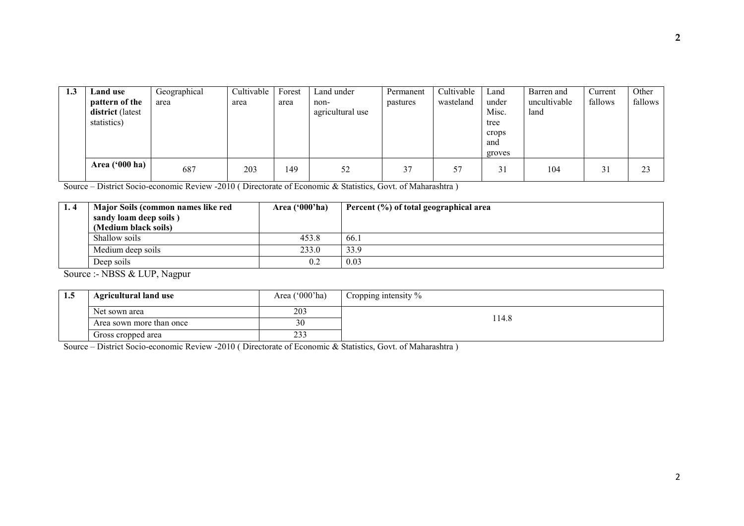| 1.3 | Land use<br>pattern of the<br>district (latest<br>statistics) | Geographical<br>area | Cultivable<br>area | Forest<br>area | Land under<br>non-<br>agricultural use | Permanent<br>pastures | Cultivable<br>wasteland | Land<br>under<br>Misc.<br>tree<br>crops<br>and<br>groves | Barren and<br>uncultivable<br>land | Current<br>fallows | Other<br>fallows |
|-----|---------------------------------------------------------------|----------------------|--------------------|----------------|----------------------------------------|-----------------------|-------------------------|----------------------------------------------------------|------------------------------------|--------------------|------------------|
|     | Area $('000 ha)$                                              | 687                  | 203                | 149            | 52                                     | 37                    | 57                      | 31                                                       | 104                                | 31                 | 23               |

Source – District Socio-economic Review -2010 ( Directorate of Economic & Statistics, Govt. of Maharashtra )

| 1.4 | Major Soils (common names like red<br>sandy loam deep soils)<br>(Medium black soils) | Area $(900'$ ha) | Percent (%) of total geographical area |
|-----|--------------------------------------------------------------------------------------|------------------|----------------------------------------|
|     | Shallow soils                                                                        | 453.8            | 66.1                                   |
|     | Medium deep soils                                                                    | 233.0            | 33.9                                   |
|     | Deep soils                                                                           | 0.2              | 0.03                                   |

Source :- NBSS & LUP, Nagpur

| 1.J | <b>Agricultural land use</b> | Area $('000'$ ha) | Cropping intensity % |
|-----|------------------------------|-------------------|----------------------|
|     | Net sown area                | 203               |                      |
|     | Area sown more than once     | 30                | 114.8                |
|     | Gross cropped area           | 233               |                      |

Source – District Socio-economic Review -2010 ( Directorate of Economic & Statistics, Govt. of Maharashtra )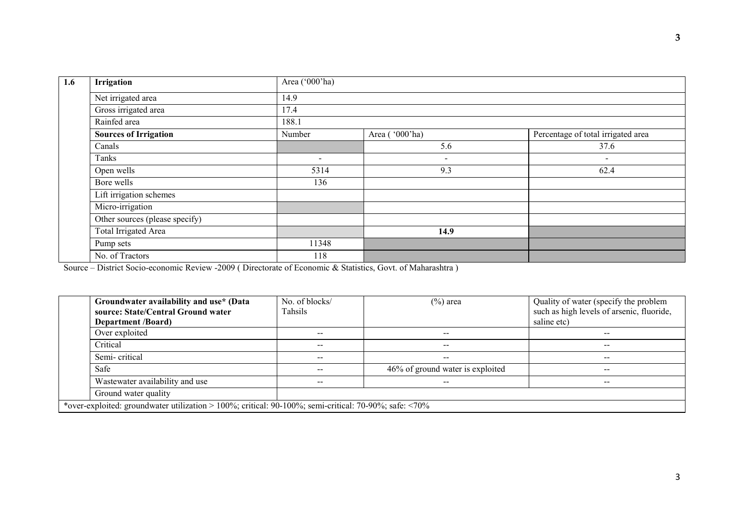| 1.6 | <b>Irrigation</b>              | Area ('000'ha)           |                |                                    |  |  |  |  |
|-----|--------------------------------|--------------------------|----------------|------------------------------------|--|--|--|--|
|     | Net irrigated area             | 14.9                     |                |                                    |  |  |  |  |
|     | Gross irrigated area           | 17.4                     |                |                                    |  |  |  |  |
|     | Rainfed area                   | 188.1                    |                |                                    |  |  |  |  |
|     | <b>Sources of Irrigation</b>   | Number                   | Area ('000'ha) | Percentage of total irrigated area |  |  |  |  |
|     | Canals                         |                          | 5.6            | 37.6                               |  |  |  |  |
|     | Tanks                          | $\overline{\phantom{a}}$ | $\blacksquare$ | $\overline{\phantom{0}}$           |  |  |  |  |
|     | Open wells                     | 5314                     | 9.3            | 62.4                               |  |  |  |  |
|     | Bore wells                     | 136                      |                |                                    |  |  |  |  |
|     | Lift irrigation schemes        |                          |                |                                    |  |  |  |  |
|     | Micro-irrigation               |                          |                |                                    |  |  |  |  |
|     | Other sources (please specify) |                          |                |                                    |  |  |  |  |
|     | <b>Total Irrigated Area</b>    |                          | 14.9           |                                    |  |  |  |  |
|     | Pump sets                      | 11348                    |                |                                    |  |  |  |  |
|     | No. of Tractors                | 118                      |                |                                    |  |  |  |  |

Source – District Socio-economic Review -2009 ( Directorate of Economic & Statistics, Govt. of Maharashtra )

| Groundwater availability and use* (Data<br>source: State/Central Ground water<br><b>Department</b> /Board) | No. of blocks/<br>Tahsils | $(\%)$ area                      | Quality of water (specify the problem<br>such as high levels of arsenic, fluoride,<br>saline etc) |  |  |  |
|------------------------------------------------------------------------------------------------------------|---------------------------|----------------------------------|---------------------------------------------------------------------------------------------------|--|--|--|
| Over exploited                                                                                             | --                        | $- -$                            | $- -$                                                                                             |  |  |  |
| Critical                                                                                                   | --                        | $- -$                            | --                                                                                                |  |  |  |
| Semi-critical                                                                                              | --                        | $- -$                            | $- -$                                                                                             |  |  |  |
| Safe                                                                                                       | --                        | 46% of ground water is exploited | $- -$                                                                                             |  |  |  |
| Wastewater availability and use                                                                            |                           |                                  | $- -$                                                                                             |  |  |  |
| Ground water quality                                                                                       |                           |                                  |                                                                                                   |  |  |  |
| *over-exploited: groundwater utilization > 100%; critical: 90-100%; semi-critical: 70-90%; safe: <70%      |                           |                                  |                                                                                                   |  |  |  |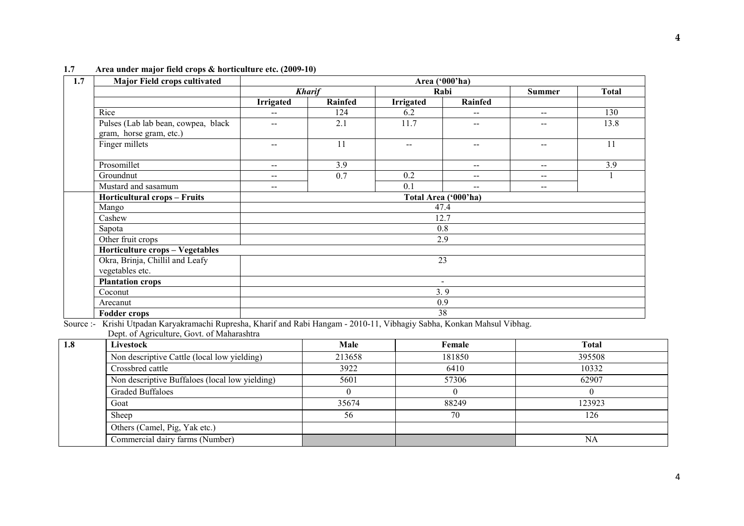| 1.7<br><b>Major Field crops cultivated</b>                     |                   |               |                  | Area ('000'ha)           |                                                |              |  |
|----------------------------------------------------------------|-------------------|---------------|------------------|--------------------------|------------------------------------------------|--------------|--|
|                                                                |                   | <b>Kharif</b> |                  | Rabi                     | <b>Summer</b>                                  | <b>Total</b> |  |
|                                                                | Irrigated         | Rainfed       | <b>Irrigated</b> | Rainfed                  |                                                |              |  |
| Rice                                                           | $\qquad \qquad -$ | 124           | 6.2              | --                       | $\hspace{0.1mm}-\hspace{0.1mm}-\hspace{0.1mm}$ | 130          |  |
| Pulses (Lab lab bean, cowpea, black<br>gram, horse gram, etc.) | $-$               | 2.1           | 11.7             | $-$                      | $ -$                                           | 13.8         |  |
| Finger millets                                                 | $\sim$ $\sim$     | 11            | $\sim$ $\sim$    | $- -$                    | $\hspace{0.1mm}-\hspace{0.1mm}-\hspace{0.1mm}$ | 11           |  |
| Prosomillet                                                    | $\sim$ $\sim$     | 3.9           |                  | $- -$                    | $\overline{\phantom{m}}$                       | 3.9          |  |
| Groundnut                                                      | $\qquad \qquad -$ | 0.7           | 0.2              | $\qquad \qquad -$        | $\overline{\phantom{m}}$                       |              |  |
| Mustard and sasamum                                            | $\qquad \qquad -$ |               | 0.1              | $\qquad \qquad -$        | $\mathbf{u}$                                   |              |  |
| Horticultural crops - Fruits                                   |                   |               |                  | Total Area ('000'ha)     |                                                |              |  |
| Mango                                                          |                   |               |                  | 47.4                     |                                                |              |  |
| Cashew                                                         |                   |               |                  | 12.7                     |                                                |              |  |
| Sapota                                                         |                   |               |                  | 0.8                      |                                                |              |  |
| Other fruit crops                                              |                   |               |                  | 2.9                      |                                                |              |  |
| Horticulture crops - Vegetables                                |                   |               |                  |                          |                                                |              |  |
| Okra, Brinja, Chillil and Leafy<br>vegetables etc.             | 23                |               |                  |                          |                                                |              |  |
| <b>Plantation crops</b>                                        |                   |               |                  | $\overline{\phantom{a}}$ |                                                |              |  |
| Coconut                                                        | 3.9               |               |                  |                          |                                                |              |  |
| Arecanut                                                       |                   |               |                  | 0.9                      |                                                |              |  |
| <b>Fodder crops</b>                                            |                   |               | 38               |                          |                                                |              |  |

### 1.7 Area under major field crops & horticulture etc. (2009-10)

Fodder crops 38 Source :- Krishi Utpadan Karyakramachi Rupresha, Kharif and Rabi Hangam - 2010-11, Vibhagiy Sabha, Konkan Mahsul Vibhag. Dept. of Agriculture, Govt. of Maharashtra

| 1.8 | Livestock                                      | Male   | Female | <b>Total</b> |
|-----|------------------------------------------------|--------|--------|--------------|
|     | Non descriptive Cattle (local low yielding)    | 213658 | 181850 | 395508       |
|     | Crossbred cattle                               | 3922   | 6410   | 10332        |
|     | Non descriptive Buffaloes (local low yielding) | 5601   | 57306  | 62907        |
|     | <b>Graded Buffaloes</b>                        |        |        |              |
|     | Goat                                           | 35674  | 88249  | 123923       |
|     | Sheep                                          | 56     | 70     | 126          |
|     | Others (Camel, Pig, Yak etc.)                  |        |        |              |
|     | Commercial dairy farms (Number)                |        |        | NA           |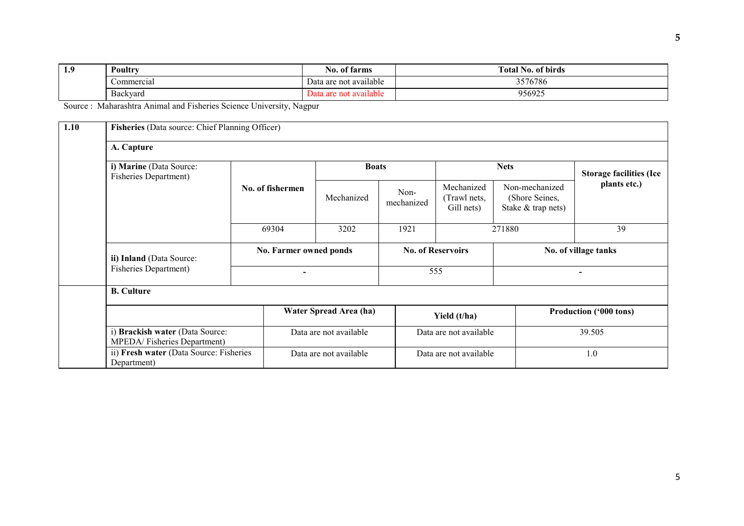| 1.9 | Poultry         | <u>. .</u><br>farms<br>N0. 01       | m<br><b>Total No. of birds</b> |
|-----|-----------------|-------------------------------------|--------------------------------|
|     | Commercial      | $\cdot$ .<br>Data are not available | 3576786                        |
|     | <b>Backvard</b> | not available<br>Jata<br>are.       | 956925                         |

Source : Maharashtra Animal and Fisheries Science University, Nagpur

| 1.10 | Fisheries (Data source: Chief Planning Officer)         |                                 |                          |                        |                          |                                          |                                                        |                        |  |  |
|------|---------------------------------------------------------|---------------------------------|--------------------------|------------------------|--------------------------|------------------------------------------|--------------------------------------------------------|------------------------|--|--|
|      | A. Capture                                              |                                 |                          |                        |                          |                                          |                                                        |                        |  |  |
|      | i) Marine (Data Source:<br><b>Fisheries Department)</b> |                                 |                          | <b>Boats</b>           |                          |                                          | <b>Storage facilities (Ice</b>                         |                        |  |  |
|      |                                                         | No. of fishermen                |                          | Mechanized             | Non-<br>mechanized       | Mechanized<br>(Trawl nets,<br>Gill nets) | Non-mechanized<br>(Shore Seines,<br>Stake & trap nets) | plants etc.)           |  |  |
|      |                                                         | 69304                           |                          | 3202                   | 1921                     |                                          | 271880                                                 | 39                     |  |  |
|      | ii) Inland (Data Source:                                |                                 | No. Farmer owned ponds   |                        | <b>No. of Reservoirs</b> |                                          |                                                        | No. of village tanks   |  |  |
|      | <b>Fisheries Department)</b>                            |                                 | $\overline{\phantom{0}}$ |                        | 555                      |                                          |                                                        | $\blacksquare$         |  |  |
|      | <b>B.</b> Culture                                       |                                 |                          |                        |                          |                                          |                                                        |                        |  |  |
|      |                                                         |                                 |                          | Water Spread Area (ha) |                          | Yield (t/ha)                             |                                                        | Production ('000 tons) |  |  |
|      | MPEDA/Fisheries Department)                             | i) Brackish water (Data Source: |                          | Data are not available |                          | Data are not available                   |                                                        | 39.505                 |  |  |
|      | ii) Fresh water (Data Source: Fisheries<br>Department)  |                                 | Data are not available   |                        | Data are not available   |                                          | 1.0                                                    |                        |  |  |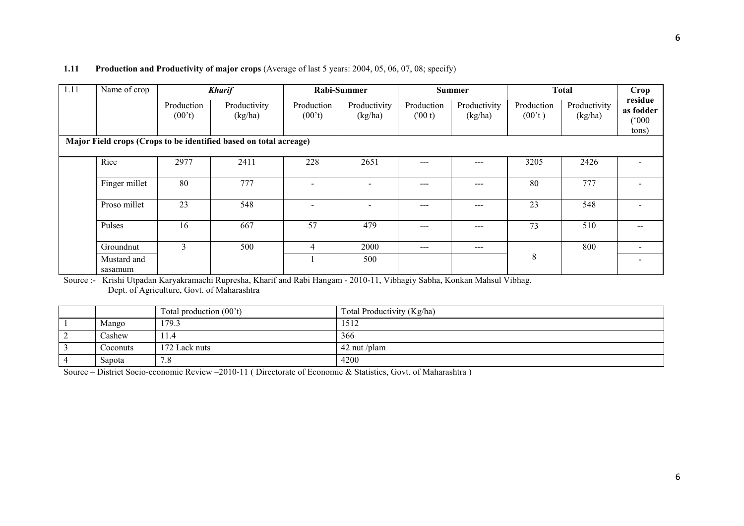### 1.11 Production and Productivity of major crops (Average of last 5 years: 2004, 05, 06, 07, 08; specify)

| 1.11 | Name of crop           |                               | <b>Kharif</b>                                                     |                               | Rabi-Summer              |                      | <b>Summer</b>           |                      | <b>Total</b>            | Crop                                   |
|------|------------------------|-------------------------------|-------------------------------------------------------------------|-------------------------------|--------------------------|----------------------|-------------------------|----------------------|-------------------------|----------------------------------------|
|      |                        | Production<br>$(00^{\circ}t)$ | Productivity<br>(kg/ha)                                           | Production<br>$(00^{\circ}t)$ | Productivity<br>(kg/ha)  | Production<br>(00 t) | Productivity<br>(kg/ha) | Production<br>(00't) | Productivity<br>(kg/ha) | residue<br>as fodder<br>(000)<br>tons) |
|      |                        |                               | Major Field crops (Crops to be identified based on total acreage) |                               |                          |                      |                         |                      |                         |                                        |
|      | Rice                   | 2977                          | 2411                                                              | 228                           | 2651                     | $---$                | ---                     | 3205                 | 2426                    |                                        |
|      | Finger millet          | 80                            | 777                                                               |                               |                          | $---$                | ---                     | 80                   | 777                     |                                        |
|      | Proso millet           | 23                            | 548                                                               | $\overline{\phantom{0}}$      | $\overline{\phantom{0}}$ | $---$                | ---                     | 23                   | 548                     |                                        |
|      | Pulses                 | 16                            | 667                                                               | 57                            | 479                      | $---$                | ---                     | 73                   | 510                     |                                        |
|      | Groundnut              | 3                             | 500                                                               | 4                             | 2000                     | $---$                | $---$                   |                      | 800                     |                                        |
|      | Mustard and<br>sasamum |                               |                                                                   |                               | 500                      |                      |                         | 8                    |                         |                                        |

 Source :- Krishi Utpadan Karyakramachi Rupresha, Kharif and Rabi Hangam - 2010-11, Vibhagiy Sabha, Konkan Mahsul Vibhag. Dept. of Agriculture, Govt. of Maharashtra

|          | Total production $(00^{\circ}t)$ | Total Productivity (Kg/ha) |
|----------|----------------------------------|----------------------------|
| Mango    | 179.3                            | 1512                       |
| Cashew   | 11.4                             | 366                        |
| Coconuts | 172 Lack nuts                    | $42$ nut /plam             |
| Sapota   | 7.8                              | 4200                       |

Source – District Socio-economic Review –2010-11 ( Directorate of Economic & Statistics, Govt. of Maharashtra )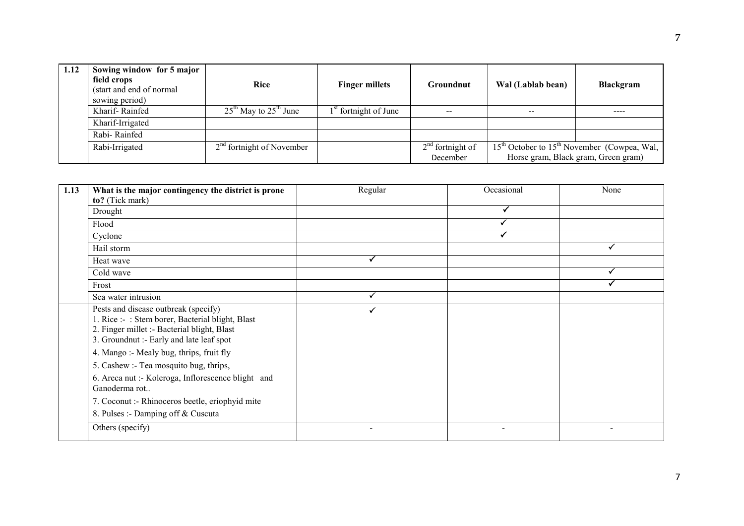| 1.12 | Sowing window for 5 major<br>field crops<br>(start and end of normal)<br>sowing period) | Rice                        | <b>Finger millets</b>             | Groundnut                      | Wal (Lablab bean) | <b>Blackgram</b>                                                                       |  |
|------|-----------------------------------------------------------------------------------------|-----------------------------|-----------------------------------|--------------------------------|-------------------|----------------------------------------------------------------------------------------|--|
|      | Kharif-Rainfed                                                                          | $25th$ May to $25th$ June   | 1 <sup>st</sup> fortnight of June | $- -$                          | $\sim$ $\sim$     |                                                                                        |  |
|      | Kharif-Irrigated                                                                        |                             |                                   |                                |                   |                                                                                        |  |
|      | Rabi-Rainfed                                                                            |                             |                                   |                                |                   |                                                                                        |  |
|      | Rabi-Irrigated                                                                          | $2nd$ fortnight of November |                                   | $2nd$ fortnight of<br>December |                   | $15th$ October to $15th$ November (Cowpea, Wal,<br>Horse gram, Black gram, Green gram) |  |

| 1.13 | What is the major contingency the district is prone<br>to? (Tick mark)                                                                                                              | Regular | Occasional | None |
|------|-------------------------------------------------------------------------------------------------------------------------------------------------------------------------------------|---------|------------|------|
|      | Drought                                                                                                                                                                             |         |            |      |
|      | Flood                                                                                                                                                                               |         |            |      |
|      | Cyclone                                                                                                                                                                             |         |            |      |
|      | Hail storm                                                                                                                                                                          |         |            |      |
|      | Heat wave                                                                                                                                                                           | ✓       |            |      |
|      | Cold wave                                                                                                                                                                           |         |            |      |
|      | Frost                                                                                                                                                                               |         |            |      |
|      | Sea water intrusion                                                                                                                                                                 | ✓       |            |      |
|      | Pests and disease outbreak (specify)<br>1. Rice :- : Stem borer, Bacterial blight, Blast<br>2. Finger millet :- Bacterial blight, Blast<br>3. Groundnut :- Early and late leaf spot | ✓       |            |      |
|      | 4. Mango :- Mealy bug, thrips, fruit fly                                                                                                                                            |         |            |      |
|      | 5. Cashew :- Tea mosquito bug, thrips,                                                                                                                                              |         |            |      |
|      | 6. Areca nut :- Koleroga, Inflorescence blight and<br>Ganoderma rot                                                                                                                 |         |            |      |
|      | 7. Coconut :- Rhinoceros beetle, eriophyid mite                                                                                                                                     |         |            |      |
|      | 8. Pulses :- Damping off & Cuscuta                                                                                                                                                  |         |            |      |
|      | Others (specify)                                                                                                                                                                    |         |            |      |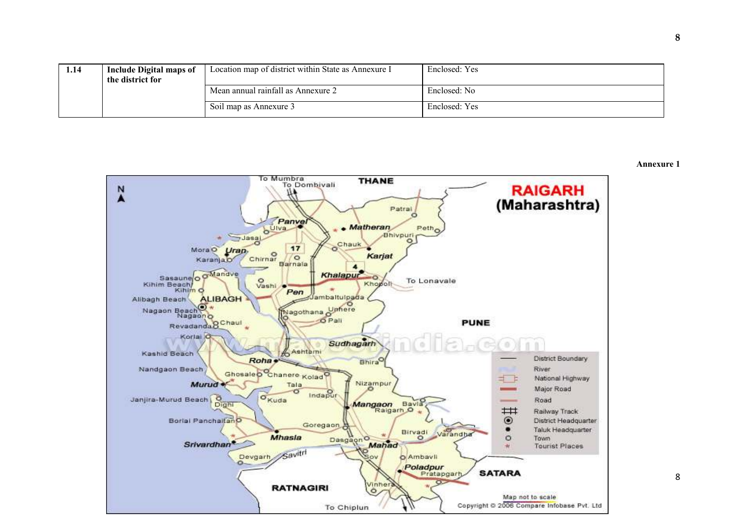| 1.14 | Include Digital maps of<br>the district for | Location map of district within State as Annexure I | Enclosed: Yes |
|------|---------------------------------------------|-----------------------------------------------------|---------------|
|      |                                             | Mean annual rainfall as Annexure 2                  | Enclosed: No  |
|      |                                             | Soil map as Annexure 3                              | Enclosed: Yes |



Annexure 1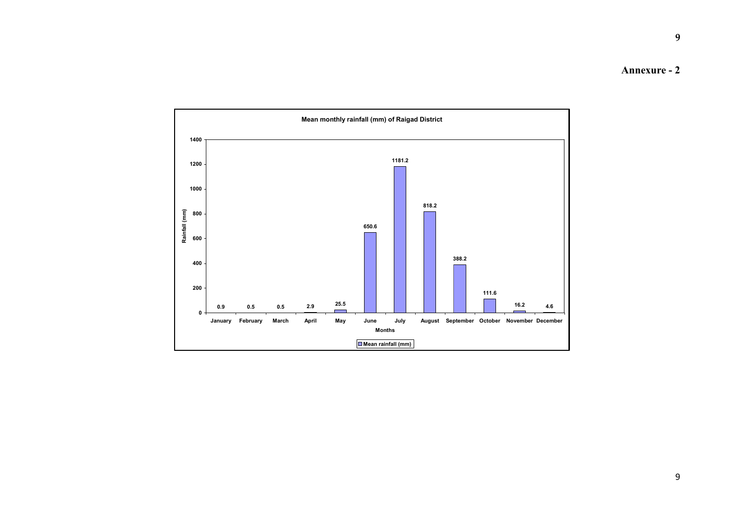Annexure - 2

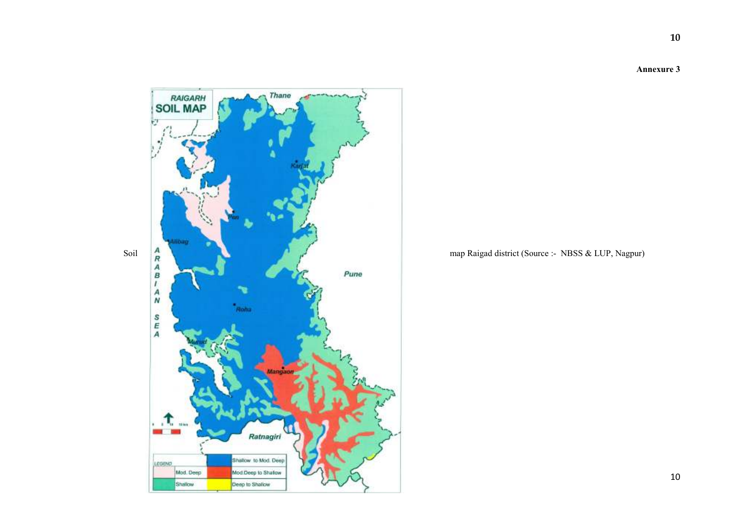Annexure 3

10



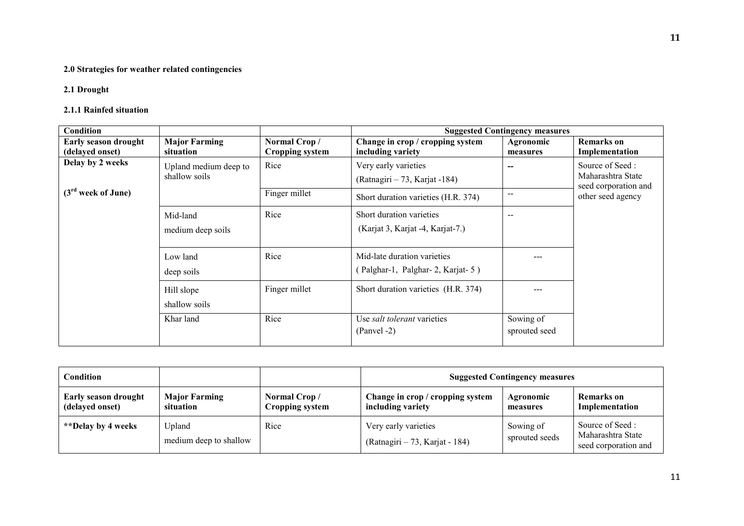### 2.0 Strategies for weather related contingencies

### 2.1 Drought

### 2.1.1 Rainfed situation

| Condition                                      |                                        |                                        | <b>Suggested Contingency measures</b>                           |                            |                                                              |  |  |
|------------------------------------------------|----------------------------------------|----------------------------------------|-----------------------------------------------------------------|----------------------------|--------------------------------------------------------------|--|--|
| <b>Early season drought</b><br>(delayed onset) | <b>Major Farming</b><br>situation      | Normal Crop/<br><b>Cropping system</b> | Change in crop / cropping system<br>including variety           | Agronomic<br>measures      | <b>Remarks</b> on<br>Implementation                          |  |  |
| Delay by 2 weeks                               | Upland medium deep to<br>shallow soils | Rice                                   | Very early varieties<br>$(Ratnagiri - 73, Karjat -184)$         | --                         | Source of Seed:<br>Maharashtra State<br>seed corporation and |  |  |
| $(3rd$ week of June)                           |                                        | Finger millet                          | Short duration varieties (H.R. 374)                             | $- -$                      | other seed agency                                            |  |  |
|                                                | Mid-land<br>medium deep soils          | Rice                                   | Short duration varieties<br>(Karjat 3, Karjat -4, Karjat-7.)    | $\overline{\phantom{m}}$   |                                                              |  |  |
|                                                | Low land<br>deep soils                 | Rice                                   | Mid-late duration varieties<br>(Palghar-1, Palghar-2, Karjat-5) |                            |                                                              |  |  |
|                                                | Hill slope<br>shallow soils            | Finger millet                          | Short duration varieties (H.R. 374)                             |                            |                                                              |  |  |
|                                                | Khar land                              | Rice                                   | Use <i>salt tolerant</i> varieties<br>$(Panvel -2)$             | Sowing of<br>sprouted seed |                                                              |  |  |

| Condition                                      |                                   |                                 | <b>Suggested Contingency measures</b>                  |                             |                                                              |  |
|------------------------------------------------|-----------------------------------|---------------------------------|--------------------------------------------------------|-----------------------------|--------------------------------------------------------------|--|
| <b>Early season drought</b><br>(delayed onset) | <b>Major Farming</b><br>situation | Normal Crop/<br>Cropping system | Change in crop / cropping system<br>including variety  | Agronomic<br>measures       | Remarks on<br>Implementation                                 |  |
| **Delay by 4 weeks                             | Upland<br>medium deep to shallow  | Rice                            | Very early varieties<br>(Ratnagiri – 73, Karjat - 184) | Sowing of<br>sprouted seeds | Source of Seed:<br>Maharashtra State<br>seed corporation and |  |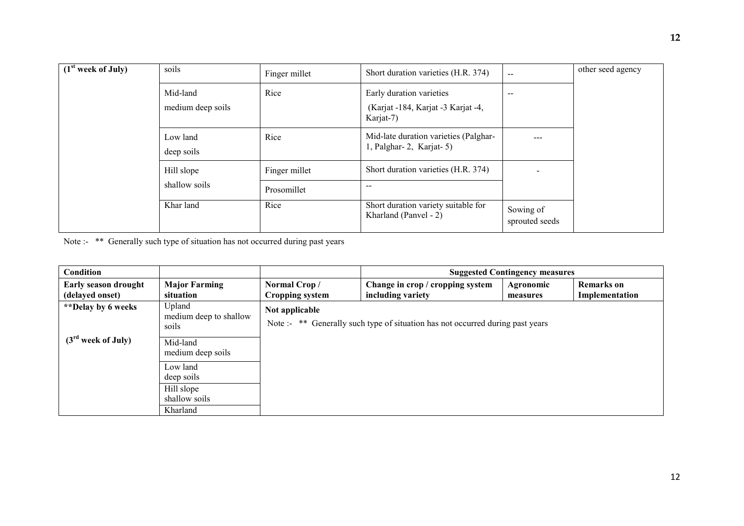| (1 <sup>st</sup> week of July) | soils                  | Finger millet | Short duration varieties (H.R. 374)                              | $\sim$                      | other seed agency |
|--------------------------------|------------------------|---------------|------------------------------------------------------------------|-----------------------------|-------------------|
|                                | Mid-land               | Rice          | Early duration varieties                                         | $- -$                       |                   |
|                                | medium deep soils      |               | (Karjat -184, Karjat -3 Karjat -4,<br>Karjat-7)                  |                             |                   |
|                                | Low land<br>deep soils | Rice          | Mid-late duration varieties (Palghar-<br>1, Palghar-2, Karjat-5) | ---                         |                   |
|                                | Hill slope             | Finger millet | Short duration varieties (H.R. 374)                              | $\overline{\phantom{0}}$    |                   |
|                                | shallow soils          | Prosomillet   | $\sim$ $\sim$                                                    |                             |                   |
|                                | Khar land              | Rice          | Short duration variety suitable for<br>Kharland (Panvel - 2)     | Sowing of<br>sprouted seeds |                   |

Note :- <sup>\*\*</sup> Generally such type of situation has not occurred during past years

| Condition                               |                                           |                                                                                                  | <b>Suggested Contingency measures</b>                 |                       |                              |  |  |
|-----------------------------------------|-------------------------------------------|--------------------------------------------------------------------------------------------------|-------------------------------------------------------|-----------------------|------------------------------|--|--|
| Early season drought<br>(delayed onset) | <b>Major Farming</b><br>situation         | Normal Crop/<br>Cropping system                                                                  | Change in crop / cropping system<br>including variety | Agronomic<br>measures | Remarks on<br>Implementation |  |  |
| **Delay by 6 weeks                      | Upland<br>medium deep to shallow<br>soils | Not applicable<br>Note :- ** Generally such type of situation has not occurred during past years |                                                       |                       |                              |  |  |
| $(3rd$ week of July)                    | Mid-land<br>medium deep soils             |                                                                                                  |                                                       |                       |                              |  |  |
|                                         | Low land<br>deep soils                    |                                                                                                  |                                                       |                       |                              |  |  |
|                                         | Hill slope<br>shallow soils               |                                                                                                  |                                                       |                       |                              |  |  |
|                                         | Kharland                                  |                                                                                                  |                                                       |                       |                              |  |  |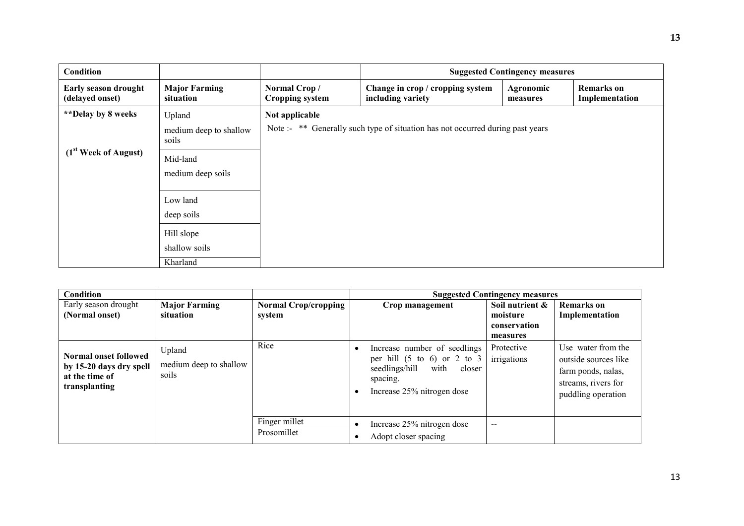| Condition                               |                                           |                                                                                                  | <b>Suggested Contingency measures</b>                 |                       |                                     |  |  |
|-----------------------------------------|-------------------------------------------|--------------------------------------------------------------------------------------------------|-------------------------------------------------------|-----------------------|-------------------------------------|--|--|
| Early season drought<br>(delayed onset) | <b>Major Farming</b><br>situation         | Normal Crop/<br><b>Cropping system</b>                                                           | Change in crop / cropping system<br>including variety | Agronomic<br>measures | <b>Remarks</b> on<br>Implementation |  |  |
| <i>**</i> Delay by 8 weeks              | Upland<br>medium deep to shallow<br>soils | Not applicable<br>Note :- ** Generally such type of situation has not occurred during past years |                                                       |                       |                                     |  |  |
| $(1st \text{ Week of August})$          | Mid-land<br>medium deep soils             |                                                                                                  |                                                       |                       |                                     |  |  |
|                                         | Low land<br>deep soils                    |                                                                                                  |                                                       |                       |                                     |  |  |
|                                         | Hill slope<br>shallow soils<br>Kharland   |                                                                                                  |                                                       |                       |                                     |  |  |

| <b>Condition</b>                                                                    |                                           |                              | <b>Suggested Contingency measures</b>                                                                                                                |                                      |                                                                                                               |
|-------------------------------------------------------------------------------------|-------------------------------------------|------------------------------|------------------------------------------------------------------------------------------------------------------------------------------------------|--------------------------------------|---------------------------------------------------------------------------------------------------------------|
| Early season drought                                                                | <b>Major Farming</b>                      | <b>Normal Crop/cropping</b>  | Crop management                                                                                                                                      | Soil nutrient &                      | <b>Remarks</b> on                                                                                             |
| (Normal onset)                                                                      | situation                                 | system                       |                                                                                                                                                      | moisture<br>conservation<br>measures | Implementation                                                                                                |
| Normal onset followed<br>by 15-20 days dry spell<br>at the time of<br>transplanting | Upland<br>medium deep to shallow<br>soils | Rice                         | Increase number of seedlings<br>per hill $(5 \text{ to } 6)$ or 2 to 3<br>with<br>seedlings/hill<br>closer<br>spacing.<br>Increase 25% nitrogen dose | Protective<br>irrigations            | Use water from the<br>outside sources like<br>farm ponds, nalas,<br>streams, rivers for<br>puddling operation |
|                                                                                     |                                           | Finger millet<br>Prosomillet | Increase 25% nitrogen dose<br>$\bullet$<br>Adopt closer spacing                                                                                      | $\overline{\phantom{a}}$             |                                                                                                               |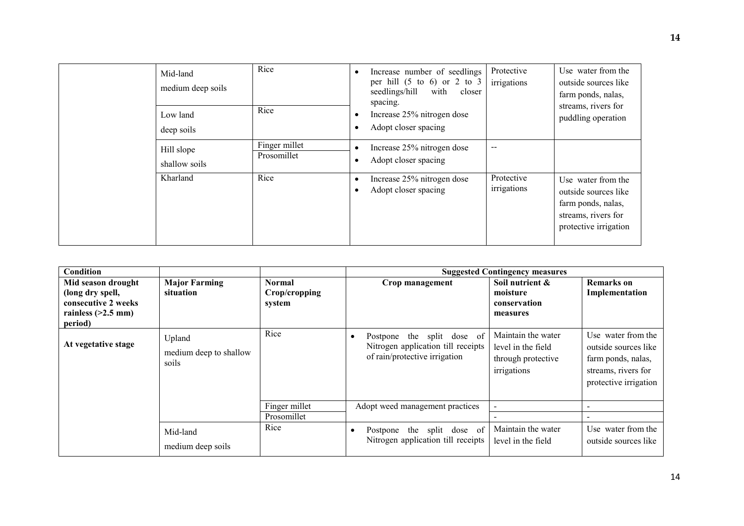| Mid-land<br>medium deep soils<br>Low land<br>deep soils | Rice<br>Rice                 | $\bullet$<br>$\bullet$ | Increase number of seedlings<br>per hill $(5 \text{ to } 6)$ or 2 to 3<br>seedlings/hill<br>with<br>closer<br>spacing.<br>Increase 25% nitrogen dose<br>Adopt closer spacing | Protective<br>irrigations | Use water from the<br>outside sources like<br>farm ponds, nalas,<br>streams, rivers for<br>puddling operation    |
|---------------------------------------------------------|------------------------------|------------------------|------------------------------------------------------------------------------------------------------------------------------------------------------------------------------|---------------------------|------------------------------------------------------------------------------------------------------------------|
| Hill slope<br>shallow soils                             | Finger millet<br>Prosomillet | $\bullet$              | Increase 25% nitrogen dose<br>Adopt closer spacing                                                                                                                           | --                        |                                                                                                                  |
| Kharland                                                | Rice                         | $\bullet$              | Increase 25% nitrogen dose<br>Adopt closer spacing                                                                                                                           | Protective<br>irrigations | Use water from the<br>outside sources like<br>farm ponds, nalas,<br>streams, rivers for<br>protective irrigation |

| Condition                                                                                        |                                           |                                   | <b>Suggested Contingency measures</b>                                                                          |                                                                               |                                                                                                                  |  |
|--------------------------------------------------------------------------------------------------|-------------------------------------------|-----------------------------------|----------------------------------------------------------------------------------------------------------------|-------------------------------------------------------------------------------|------------------------------------------------------------------------------------------------------------------|--|
| Mid season drought<br>(long dry spell,<br>consecutive 2 weeks<br>rainless $(>2.5$ mm)<br>period) | <b>Major Farming</b><br>situation         | Normal<br>Crop/cropping<br>system | Crop management                                                                                                | Soil nutrient &<br>moisture<br>conservation<br>measures                       | <b>Remarks</b> on<br>Implementation                                                                              |  |
| At vegetative stage                                                                              | Upland<br>medium deep to shallow<br>soils | Rice                              | Postpone the split dose of<br>$\bullet$<br>Nitrogen application till receipts<br>of rain/protective irrigation | Maintain the water<br>level in the field<br>through protective<br>irrigations | Use water from the<br>outside sources like<br>farm ponds, nalas,<br>streams, rivers for<br>protective irrigation |  |
|                                                                                                  |                                           | Finger millet<br>Prosomillet      | Adopt weed management practices                                                                                |                                                                               |                                                                                                                  |  |
|                                                                                                  | Mid-land<br>medium deep soils             | Rice                              | Postpone the split dose of<br>$\bullet$<br>Nitrogen application till receipts                                  | Maintain the water<br>level in the field                                      | Use water from the<br>outside sources like                                                                       |  |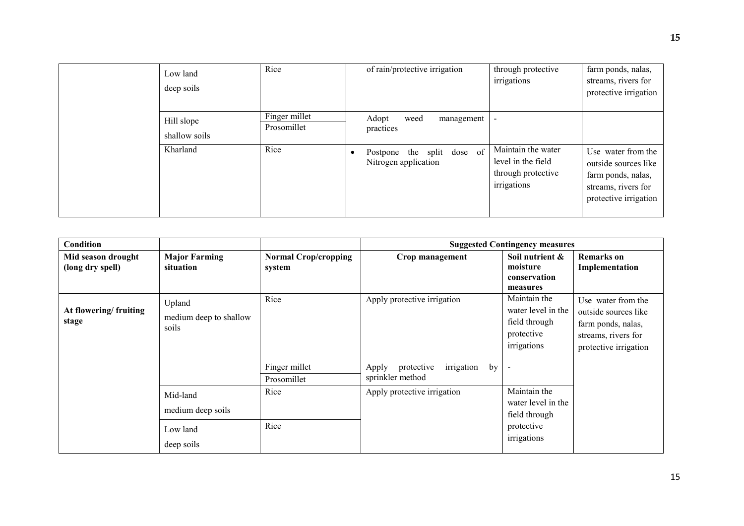| Low land<br>deep soils      | Rice                         | of rain/protective irrigation                                      | through protective<br>irrigations                                             | farm ponds, nalas,<br>streams, rivers for<br>protective irrigation                                               |
|-----------------------------|------------------------------|--------------------------------------------------------------------|-------------------------------------------------------------------------------|------------------------------------------------------------------------------------------------------------------|
| Hill slope<br>shallow soils | Finger millet<br>Prosomillet | Adopt<br>weed<br>management<br>practices                           |                                                                               |                                                                                                                  |
| Kharland                    | Rice                         | of<br>Postpone the split dose<br>$\bullet$<br>Nitrogen application | Maintain the water<br>level in the field<br>through protective<br>irrigations | Use water from the<br>outside sources like<br>farm ponds, nalas,<br>streams, rivers for<br>protective irrigation |

| Condition                              |                                           |                                       |                                                             | <b>Suggested Contingency measures</b>                                            |                                                                                                                  |
|----------------------------------------|-------------------------------------------|---------------------------------------|-------------------------------------------------------------|----------------------------------------------------------------------------------|------------------------------------------------------------------------------------------------------------------|
| Mid season drought<br>(long dry spell) | <b>Major Farming</b><br>situation         | <b>Normal Crop/cropping</b><br>system | Crop management                                             | Soil nutrient &<br>moisture<br>conservation<br>measures                          | <b>Remarks</b> on<br>Implementation                                                                              |
| At flowering/fruiting<br>stage         | Upland<br>medium deep to shallow<br>soils | Rice                                  | Apply protective irrigation                                 | Maintain the<br>water level in the<br>field through<br>protective<br>irrigations | Use water from the<br>outside sources like<br>farm ponds, nalas,<br>streams, rivers for<br>protective irrigation |
|                                        |                                           | Finger millet<br>Prosomillet          | irrigation<br>by<br>protective<br>Apply<br>sprinkler method |                                                                                  |                                                                                                                  |
|                                        | Mid-land<br>medium deep soils             | Rice                                  | Apply protective irrigation                                 | Maintain the<br>water level in the<br>field through                              |                                                                                                                  |
|                                        | Low land<br>deep soils                    | Rice                                  |                                                             | protective<br>irrigations                                                        |                                                                                                                  |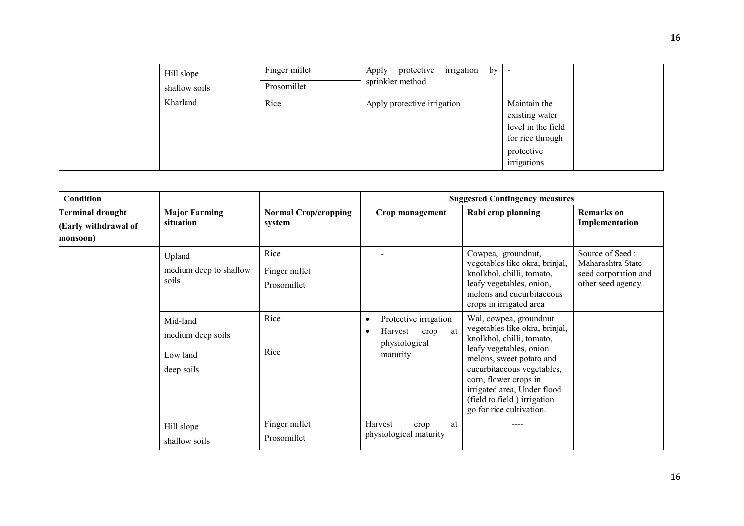| Hill slope<br>shallow soils | Finger millet<br>Prosomillet | irrigation<br>protective<br>Apply<br>by <sub>1</sub><br>sprinkler method |                                                                                                       |  |
|-----------------------------|------------------------------|--------------------------------------------------------------------------|-------------------------------------------------------------------------------------------------------|--|
| Kharland                    | Rice                         | Apply protective irrigation                                              | Maintain the<br>existing water<br>level in the field<br>for rice through<br>protective<br>irrigations |  |

| Condition                                                   |                                                         |                                       |                                                                                  | <b>Suggested Contingency measures</b>                                                                                                                                                                                                                                                         |                                                                                   |
|-------------------------------------------------------------|---------------------------------------------------------|---------------------------------------|----------------------------------------------------------------------------------|-----------------------------------------------------------------------------------------------------------------------------------------------------------------------------------------------------------------------------------------------------------------------------------------------|-----------------------------------------------------------------------------------|
| <b>Terminal drought</b><br>(Early withdrawal of<br>monsoon) | <b>Major Farming</b><br>situation                       | <b>Normal Crop/cropping</b><br>system | Crop management                                                                  | Rabi crop planning                                                                                                                                                                                                                                                                            | <b>Remarks</b> on<br>Implementation                                               |
|                                                             | Upland<br>medium deep to shallow<br>soils               | Rice<br>Finger millet<br>Prosomillet  |                                                                                  | Cowpea, groundnut,<br>vegetables like okra, brinjal,<br>knolkhol, chilli, tomato,<br>leafy vegetables, onion,<br>melons and cucurbitaceous<br>crops in irrigated area                                                                                                                         | Source of Seed:<br>Maharashtra State<br>seed corporation and<br>other seed agency |
|                                                             | Mid-land<br>medium deep soils<br>Low land<br>deep soils | Rice<br>Rice                          | Protective irrigation<br>٠<br>Harvest<br>at<br>crop<br>physiological<br>maturity | Wal, cowpea, groundnut<br>vegetables like okra, brinjal,<br>knolkhol, chilli, tomato,<br>leafy vegetables, onion<br>melons, sweet potato and<br>cucurbitaceous vegetables,<br>corn, flower crops in<br>irrigated area, Under flood<br>(field to field) irrigation<br>go for rice cultivation. |                                                                                   |
|                                                             | Hill slope<br>shallow soils                             | Finger millet<br>Prosomillet          | Harvest<br>at<br>crop<br>physiological maturity                                  |                                                                                                                                                                                                                                                                                               |                                                                                   |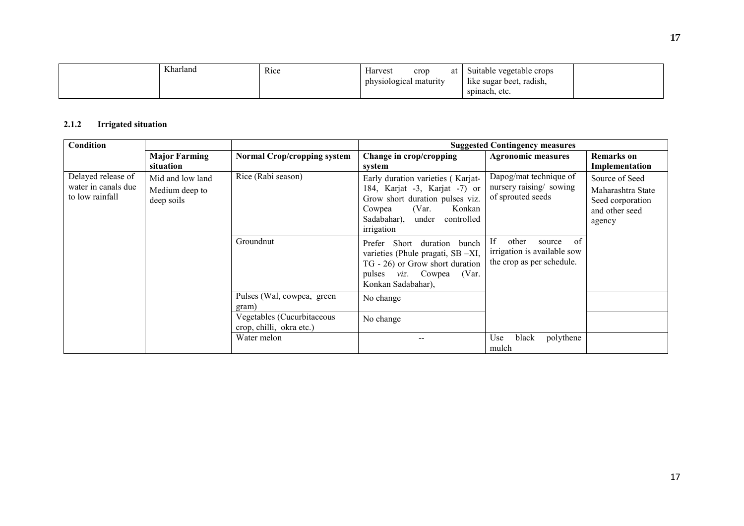| Kharland | Rice | Harvest<br>crop<br>at  | Suitable vegetable crops                                   |  |
|----------|------|------------------------|------------------------------------------------------------|--|
|          |      | physiological maturity | $\rightarrow$ $\rightarrow$<br>radish,<br>like sugar beet. |  |
|          |      |                        | spinach, etc.                                              |  |

#### 2.1.2Irrigated situation

| <b>Condition</b>                                             |                                                  |                                                        | <b>Suggested Contingency measures</b>                                                                                                                                                  |                                                                                         |                                                                                     |  |
|--------------------------------------------------------------|--------------------------------------------------|--------------------------------------------------------|----------------------------------------------------------------------------------------------------------------------------------------------------------------------------------------|-----------------------------------------------------------------------------------------|-------------------------------------------------------------------------------------|--|
|                                                              | <b>Major Farming</b><br>situation                | <b>Normal Crop/cropping system</b>                     | Change in crop/cropping<br>system                                                                                                                                                      | <b>Agronomic measures</b>                                                               | <b>Remarks</b> on<br>Implementation                                                 |  |
| Delayed release of<br>water in canals due<br>to low rainfall | Mid and low land<br>Medium deep to<br>deep soils | Rice (Rabi season)                                     | Early duration varieties (Karjat-<br>184, Karjat -3, Karjat -7) or<br>Grow short duration pulses viz.<br>(Var.<br>Konkan<br>Cowpea<br>Sadabahar),<br>under<br>controlled<br>irrigation | Dapog/mat technique of<br>nursery raising/ sowing<br>of sprouted seeds                  | Source of Seed<br>Maharashtra State<br>Seed corporation<br>and other seed<br>agency |  |
|                                                              |                                                  | Groundnut                                              | Short<br>Prefer<br>duration<br>bunch<br>varieties (Phule pragati, SB -XI,<br>TG - 26) or Grow short duration<br>pulses <i>viz</i> . Cowpea<br>(Var.<br>Konkan Sadabahar),              | of<br>If<br>other<br>source<br>irrigation is available sow<br>the crop as per schedule. |                                                                                     |  |
|                                                              |                                                  | Pulses (Wal, cowpea, green<br>gram)                    | No change                                                                                                                                                                              |                                                                                         |                                                                                     |  |
|                                                              |                                                  | Vegetables (Cucurbitaceous<br>crop, chilli, okra etc.) | No change                                                                                                                                                                              |                                                                                         |                                                                                     |  |
|                                                              |                                                  | Water melon                                            |                                                                                                                                                                                        | black<br>polythene<br>Use<br>mulch                                                      |                                                                                     |  |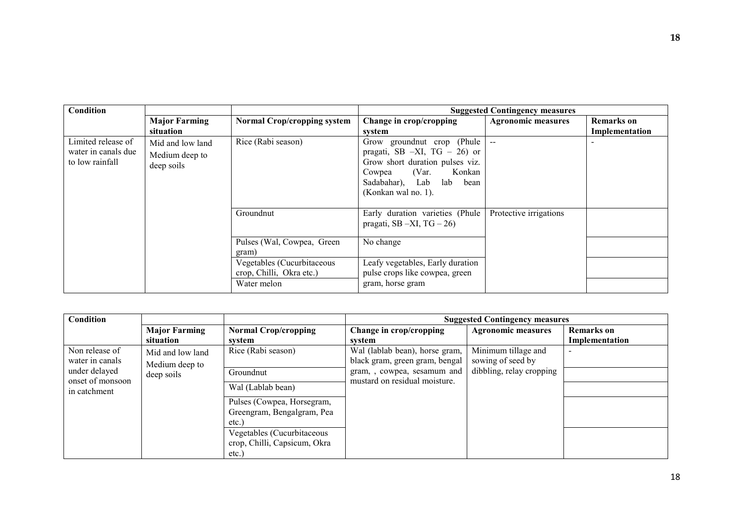| Condition                                                    |                                                  |                                                        |                                                                                                                                                                                        | <b>Suggested Contingency measures</b> |                              |
|--------------------------------------------------------------|--------------------------------------------------|--------------------------------------------------------|----------------------------------------------------------------------------------------------------------------------------------------------------------------------------------------|---------------------------------------|------------------------------|
|                                                              | <b>Major Farming</b><br>situation                | <b>Normal Crop/cropping system</b>                     | Change in crop/cropping<br>system                                                                                                                                                      | <b>Agronomic measures</b>             | Remarks on<br>Implementation |
| Limited release of<br>water in canals due<br>to low rainfall | Mid and low land<br>Medium deep to<br>deep soils | Rice (Rabi season)                                     | Grow ground nut crop (Phule<br>pragati, SB $-XI$ , TG $-26$ ) or<br>Grow short duration pulses viz.<br>(Var.<br>Konkan<br>Cowpea<br>Sadabahar), Lab<br>lab bean<br>(Konkan wal no. 1). | $\sim$                                |                              |
|                                                              |                                                  | Groundnut                                              | Early duration varieties (Phule<br>pragati, SB $-XI$ , TG $-26$ )                                                                                                                      | Protective irrigations                |                              |
|                                                              |                                                  | Pulses (Wal, Cowpea, Green<br>gram)                    | No change                                                                                                                                                                              |                                       |                              |
|                                                              |                                                  | Vegetables (Cucurbitaceous<br>crop, Chilli, Okra etc.) | Leafy vegetables, Early duration<br>pulse crops like cowpea, green                                                                                                                     |                                       |                              |
|                                                              |                                                  | Water melon                                            | gram, horse gram                                                                                                                                                                       |                                       |                              |

| Condition                                                                                                                                  |                                   |                                                                    |                                                                  | <b>Suggested Contingency measures</b>    |                                     |
|--------------------------------------------------------------------------------------------------------------------------------------------|-----------------------------------|--------------------------------------------------------------------|------------------------------------------------------------------|------------------------------------------|-------------------------------------|
|                                                                                                                                            | <b>Major Farming</b><br>situation | <b>Normal Crop/cropping</b><br>system                              | Change in crop/cropping<br>system                                | <b>Agronomic measures</b>                | <b>Remarks</b> on<br>Implementation |
| Non release of<br>Mid and low land<br>water in canals<br>Medium deep to<br>under delayed<br>deep soils<br>onset of monsoon<br>in catchment |                                   | Rice (Rabi season)                                                 | Wal (lablab bean), horse gram,<br>black gram, green gram, bengal | Minimum tillage and<br>sowing of seed by |                                     |
|                                                                                                                                            | Groundnut                         | gram,, cowpea, sesamum and                                         | dibbling, relay cropping                                         |                                          |                                     |
|                                                                                                                                            |                                   | Wal (Lablab bean)                                                  | mustard on residual moisture.                                    |                                          |                                     |
|                                                                                                                                            |                                   | Pulses (Cowpea, Horsegram,<br>Greengram, Bengalgram, Pea<br>etc.   |                                                                  |                                          |                                     |
|                                                                                                                                            |                                   | Vegetables (Cucurbitaceous<br>crop, Chilli, Capsicum, Okra<br>etc. |                                                                  |                                          |                                     |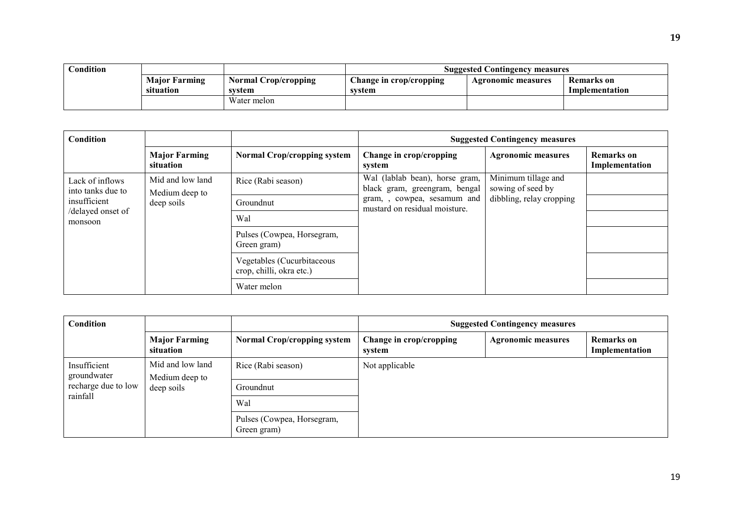| $\cap$ ondition |                      |                      | <b>Suggested Contingency measures</b> |                    |                   |  |
|-----------------|----------------------|----------------------|---------------------------------------|--------------------|-------------------|--|
|                 | <b>Major Farming</b> | Normal Crop/cropping | Change in crop/cropping               | Agronomic measures | <b>Remarks</b> on |  |
|                 | situation            | svstem               | system                                |                    | Implementation    |  |
|                 |                      | Water melon          |                                       |                    |                   |  |

| Condition                                                                            |                                   |                                                        |                                                                                                                                                     | <b>Suggested Contingency measures</b> |                                     |
|--------------------------------------------------------------------------------------|-----------------------------------|--------------------------------------------------------|-----------------------------------------------------------------------------------------------------------------------------------------------------|---------------------------------------|-------------------------------------|
|                                                                                      | <b>Major Farming</b><br>situation | <b>Normal Crop/cropping system</b>                     | Change in crop/cropping<br>system                                                                                                                   | <b>Agronomic measures</b>             | <b>Remarks</b> on<br>Implementation |
| Lack of inflows<br>into tanks due to<br>Medium deep to<br>insufficient<br>deep soils | Mid and low land                  | Rice (Rabi season)                                     | Wal (lablab bean), horse gram,<br>sowing of seed by<br>black gram, greengram, bengal<br>gram,, cowpea, sesamum and<br>mustard on residual moisture. | Minimum tillage and                   |                                     |
|                                                                                      |                                   | Groundnut                                              |                                                                                                                                                     | dibbling, relay cropping              |                                     |
| /delayed onset of<br>monsoon                                                         |                                   | Wal                                                    |                                                                                                                                                     |                                       |                                     |
|                                                                                      |                                   | Pulses (Cowpea, Horsegram,<br>Green gram)              |                                                                                                                                                     |                                       |                                     |
|                                                                                      |                                   | Vegetables (Cucurbitaceous<br>crop, chilli, okra etc.) |                                                                                                                                                     |                                       |                                     |
|                                                                                      |                                   | Water melon                                            |                                                                                                                                                     |                                       |                                     |

| <b>Condition</b>            |                                                  |                                           | <b>Suggested Contingency measures</b> |                           |                              |
|-----------------------------|--------------------------------------------------|-------------------------------------------|---------------------------------------|---------------------------|------------------------------|
|                             | <b>Major Farming</b><br>situation                | <b>Normal Crop/cropping system</b>        | Change in crop/cropping<br>system     | <b>Agronomic measures</b> | Remarks on<br>Implementation |
| Insufficient<br>groundwater | Mid and low land<br>Medium deep to<br>deep soils | Rice (Rabi season)                        | Not applicable                        |                           |                              |
| recharge due to low         |                                                  | Groundnut                                 |                                       |                           |                              |
| rainfall                    |                                                  | Wal                                       |                                       |                           |                              |
|                             |                                                  | Pulses (Cowpea, Horsegram,<br>Green gram) |                                       |                           |                              |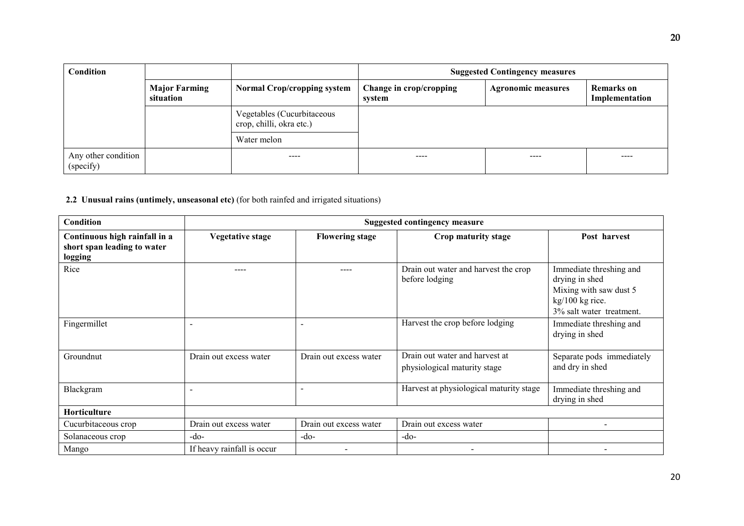| Condition                        |                                   |                                                        | <b>Suggested Contingency measures</b> |                           |                              |
|----------------------------------|-----------------------------------|--------------------------------------------------------|---------------------------------------|---------------------------|------------------------------|
|                                  | <b>Major Farming</b><br>situation | <b>Normal Crop/cropping system</b>                     | Change in crop/cropping<br>system     | <b>Agronomic measures</b> | Remarks on<br>Implementation |
|                                  |                                   | Vegetables (Cucurbitaceous<br>crop, chilli, okra etc.) |                                       |                           |                              |
|                                  |                                   | Water melon                                            |                                       |                           |                              |
| Any other condition<br>(specify) |                                   | ----                                                   | ----                                  | ----                      | ----                         |

2.2 Unusual rains (untimely, unseasonal etc) (for both rainfed and irrigated situations)

| Condition                                                               | <b>Suggested contingency measure</b> |                        |                                                                |                                                                                                                    |  |
|-------------------------------------------------------------------------|--------------------------------------|------------------------|----------------------------------------------------------------|--------------------------------------------------------------------------------------------------------------------|--|
| Continuous high rainfall in a<br>short span leading to water<br>logging | <b>Vegetative stage</b>              | <b>Flowering stage</b> | Crop maturity stage                                            | Post harvest                                                                                                       |  |
| Rice                                                                    |                                      | ----                   | Drain out water and harvest the crop<br>before lodging         | Immediate threshing and<br>drying in shed<br>Mixing with saw dust 5<br>kg/100 kg rice.<br>3% salt water treatment. |  |
| Fingermillet                                                            | $\overline{\phantom{a}}$             | ۰                      | Harvest the crop before lodging                                | Immediate threshing and<br>drying in shed                                                                          |  |
| Groundnut                                                               | Drain out excess water               | Drain out excess water | Drain out water and harvest at<br>physiological maturity stage | Separate pods immediately<br>and dry in shed                                                                       |  |
| Blackgram                                                               |                                      | ۰                      | Harvest at physiological maturity stage                        | Immediate threshing and<br>drying in shed                                                                          |  |
| Horticulture                                                            |                                      |                        |                                                                |                                                                                                                    |  |
| Cucurbitaceous crop                                                     | Drain out excess water               | Drain out excess water | Drain out excess water                                         | -                                                                                                                  |  |
| Solanaceous crop                                                        | $-do-$                               | $-do-$                 | $-do-$                                                         |                                                                                                                    |  |
| Mango                                                                   | If heavy rainfall is occur           |                        |                                                                |                                                                                                                    |  |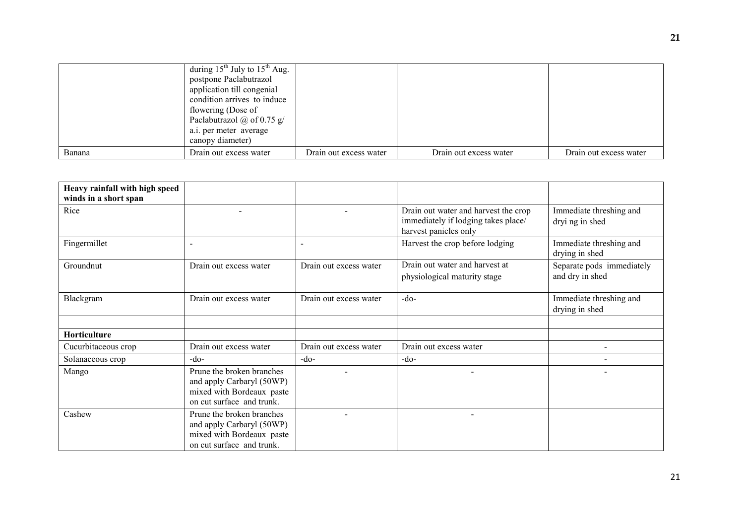|        | during $15^{th}$ July to $15^{th}$ Aug. |                        |                        |                        |
|--------|-----------------------------------------|------------------------|------------------------|------------------------|
|        | postpone Paclabutrazol                  |                        |                        |                        |
|        | application till congenial              |                        |                        |                        |
|        | condition arrives to induce             |                        |                        |                        |
|        | flowering (Dose of                      |                        |                        |                        |
|        | Paclabutrazol $\omega$ of 0.75 g/       |                        |                        |                        |
|        | a.i. per meter average                  |                        |                        |                        |
|        | canopy diameter)                        |                        |                        |                        |
| Banana | Drain out excess water                  | Drain out excess water | Drain out excess water | Drain out excess water |

| Heavy rainfall with high speed<br>winds in a short span |                                                                                                                  |                        |                                                                                                      |                                              |
|---------------------------------------------------------|------------------------------------------------------------------------------------------------------------------|------------------------|------------------------------------------------------------------------------------------------------|----------------------------------------------|
| Rice                                                    |                                                                                                                  |                        | Drain out water and harvest the crop<br>immediately if lodging takes place/<br>harvest panicles only | Immediate threshing and<br>dryi ng in shed   |
| Fingermillet                                            | $\sim$                                                                                                           |                        | Harvest the crop before lodging                                                                      | Immediate threshing and<br>drying in shed    |
| Groundnut                                               | Drain out excess water                                                                                           | Drain out excess water | Drain out water and harvest at<br>physiological maturity stage                                       | Separate pods immediately<br>and dry in shed |
| Blackgram                                               | Drain out excess water                                                                                           | Drain out excess water | $-do-$                                                                                               | Immediate threshing and<br>drying in shed    |
| Horticulture                                            |                                                                                                                  |                        |                                                                                                      |                                              |
| Cucurbitaceous crop                                     | Drain out excess water                                                                                           | Drain out excess water | Drain out excess water                                                                               |                                              |
| Solanaceous crop                                        | $-do-$                                                                                                           | $-do-$                 | $-do-$                                                                                               |                                              |
| Mango                                                   | Prune the broken branches<br>and apply Carbaryl (50WP)<br>mixed with Bordeaux paste<br>on cut surface and trunk. |                        |                                                                                                      |                                              |
| Cashew                                                  | Prune the broken branches<br>and apply Carbaryl (50WP)<br>mixed with Bordeaux paste<br>on cut surface and trunk. |                        |                                                                                                      |                                              |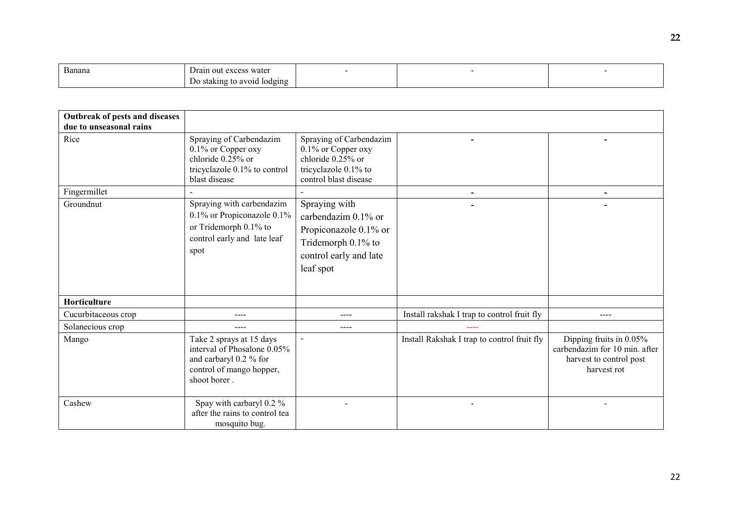| <b>D</b><br>Banana | wate<br>$\alpha v \alpha \alpha$<br>rain<br>-011<br><b>EXCESS</b> |  |  |
|--------------------|-------------------------------------------------------------------|--|--|
|                    | lodging<br>. .<br>avoid<br>.aking<br><br>. .                      |  |  |

| Outbreak of pests and diseases<br>due to unseasonal rains |                                                                                                                               |                                                                                                                            |                                             |                                                                                                       |
|-----------------------------------------------------------|-------------------------------------------------------------------------------------------------------------------------------|----------------------------------------------------------------------------------------------------------------------------|---------------------------------------------|-------------------------------------------------------------------------------------------------------|
| Rice                                                      | Spraying of Carbendazim<br>$0.1\%$ or Copper oxy<br>chloride $0.25%$ or<br>tricyclazole 0.1% to control<br>blast disease      | Spraying of Carbendazim<br>0.1% or Copper oxy<br>chloride $0.25%$ or<br>tricyclazole 0.1% to<br>control blast disease      |                                             |                                                                                                       |
| Fingermillet                                              |                                                                                                                               |                                                                                                                            |                                             |                                                                                                       |
| Groundnut                                                 | Spraying with carbendazim<br>0.1% or Propiconazole 0.1%<br>or Tridemorph 0.1% to<br>control early and late leaf<br>spot       | Spraying with<br>carbendazim 0.1% or<br>Propiconazole 0.1% or<br>Tridemorph 0.1% to<br>control early and late<br>leaf spot |                                             |                                                                                                       |
| Horticulture                                              |                                                                                                                               |                                                                                                                            |                                             |                                                                                                       |
| Cucurbitaceous crop                                       | $---$                                                                                                                         | ----                                                                                                                       | Install rakshak I trap to control fruit fly | ----                                                                                                  |
| Solanecious crop                                          | $---$                                                                                                                         | $---$                                                                                                                      |                                             |                                                                                                       |
| Mango                                                     | Take 2 sprays at 15 days<br>interval of Phosalone 0.05%<br>and carbaryl 0.2 % for<br>control of mango hopper,<br>shoot borer. | $\blacksquare$                                                                                                             | Install Rakshak I trap to control fruit fly | Dipping fruits in $0.05\%$<br>carbendazim for 10 min. after<br>harvest to control post<br>harvest rot |
| Cashew                                                    | Spay with carbaryl 0.2 %<br>after the rains to control tea<br>mosquito bug.                                                   |                                                                                                                            |                                             |                                                                                                       |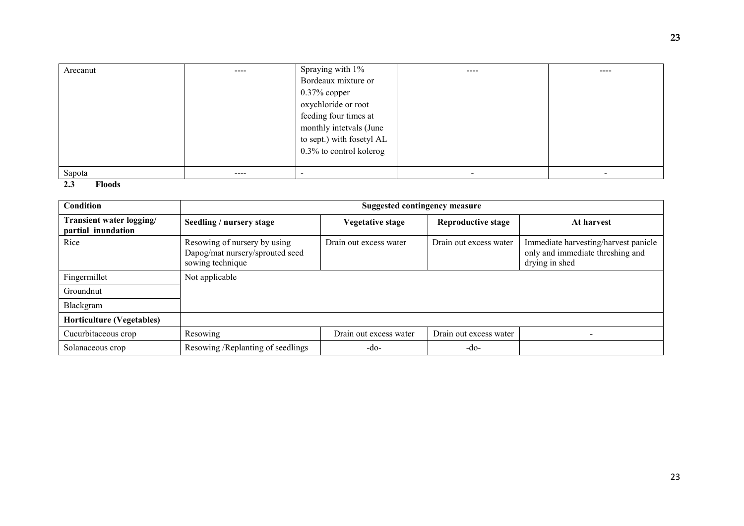| Arecanut                      | ---- | Spraying with 1%          | ---- | ---- |
|-------------------------------|------|---------------------------|------|------|
|                               |      | Bordeaux mixture or       |      |      |
|                               |      | $0.37\%$ copper           |      |      |
|                               |      | oxychloride or root       |      |      |
|                               |      | feeding four times at     |      |      |
|                               |      | monthly intetvals (June   |      |      |
|                               |      | to sept.) with fosetyl AL |      |      |
|                               |      | 0.3% to control kolerog   |      |      |
|                               |      |                           |      |      |
| Sapota                        | ---- |                           |      |      |
| $\sim$ $\sim$<br>$\mathbf{r}$ |      |                           |      |      |

### 2.3 Floods

| Condition                                      | <b>Suggested contingency measure</b>                                                |                         |                           |                                                                                            |  |
|------------------------------------------------|-------------------------------------------------------------------------------------|-------------------------|---------------------------|--------------------------------------------------------------------------------------------|--|
| Transient water logging/<br>partial inundation | Seedling / nursery stage                                                            | <b>Vegetative stage</b> | <b>Reproductive stage</b> | At harvest                                                                                 |  |
| Rice                                           | Resowing of nursery by using<br>Dapog/mat nursery/sprouted seed<br>sowing technique | Drain out excess water  | Drain out excess water    | Immediate harvesting/harvest panicle<br>only and immediate threshing and<br>drying in shed |  |
| Fingermillet                                   | Not applicable                                                                      |                         |                           |                                                                                            |  |
| Groundnut                                      |                                                                                     |                         |                           |                                                                                            |  |
| Blackgram                                      |                                                                                     |                         |                           |                                                                                            |  |
| <b>Horticulture (Vegetables)</b>               |                                                                                     |                         |                           |                                                                                            |  |
| Cucurbitaceous crop                            | Resowing                                                                            | Drain out excess water  | Drain out excess water    | $\overline{\phantom{a}}$                                                                   |  |
| Solanaceous crop                               | Resowing /Replanting of seedlings                                                   | $-do-$                  | $-do-$                    |                                                                                            |  |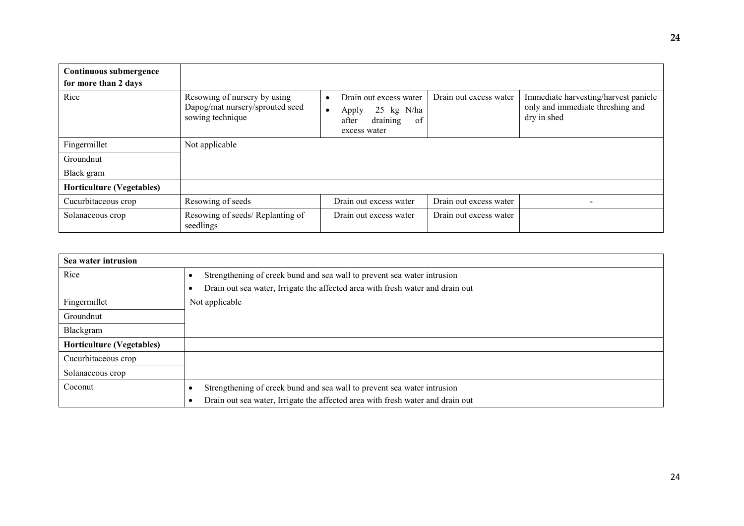| Continuous submergence<br>for more than 2 days |                                                                                     |                                                                                                                    |                        |                                                                                         |
|------------------------------------------------|-------------------------------------------------------------------------------------|--------------------------------------------------------------------------------------------------------------------|------------------------|-----------------------------------------------------------------------------------------|
| Rice                                           | Resowing of nursery by using<br>Dapog/mat nursery/sprouted seed<br>sowing technique | Drain out excess water<br>$\bullet$<br>25 kg N/ha<br>Apply<br>$\bullet$<br>draining<br>of<br>after<br>excess water | Drain out excess water | Immediate harvesting/harvest panicle<br>only and immediate threshing and<br>dry in shed |
| Fingermillet                                   | Not applicable                                                                      |                                                                                                                    |                        |                                                                                         |
| Groundnut                                      |                                                                                     |                                                                                                                    |                        |                                                                                         |
| Black gram                                     |                                                                                     |                                                                                                                    |                        |                                                                                         |
| <b>Horticulture (Vegetables)</b>               |                                                                                     |                                                                                                                    |                        |                                                                                         |
| Cucurbitaceous crop                            | Resowing of seeds                                                                   | Drain out excess water                                                                                             | Drain out excess water |                                                                                         |
| Solanaceous crop                               | Resowing of seeds/Replanting of<br>seedlings                                        | Drain out excess water                                                                                             | Drain out excess water |                                                                                         |

| Sea water intrusion              |                                                                                |  |  |  |  |
|----------------------------------|--------------------------------------------------------------------------------|--|--|--|--|
| Rice                             | Strengthening of creek bund and sea wall to prevent sea water intrusion        |  |  |  |  |
|                                  | Drain out sea water, Irrigate the affected area with fresh water and drain out |  |  |  |  |
| Fingermillet                     | Not applicable                                                                 |  |  |  |  |
| Groundnut                        |                                                                                |  |  |  |  |
| Blackgram                        |                                                                                |  |  |  |  |
| <b>Horticulture (Vegetables)</b> |                                                                                |  |  |  |  |
| Cucurbitaceous crop              |                                                                                |  |  |  |  |
| Solanaceous crop                 |                                                                                |  |  |  |  |
| Coconut                          | Strengthening of creek bund and sea wall to prevent sea water intrusion        |  |  |  |  |
|                                  | Drain out sea water, Irrigate the affected area with fresh water and drain out |  |  |  |  |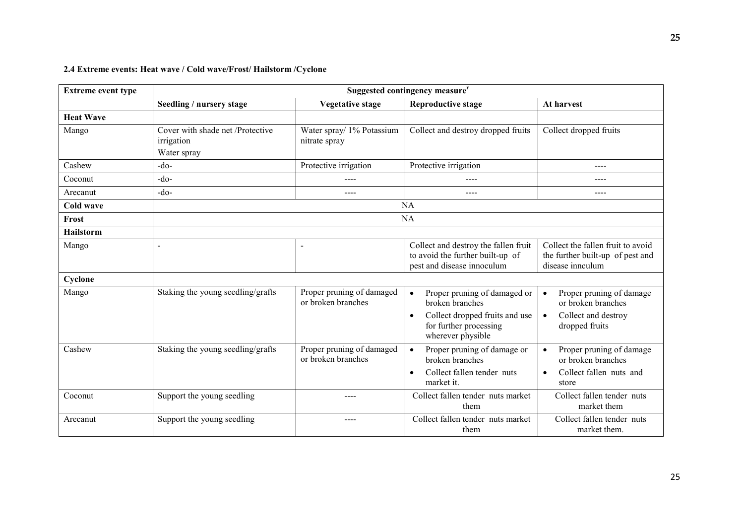## 2.4 Extreme events: Heat wave / Cold wave/Frost/ Hailstorm /Cyclone

| <b>Extreme event type</b> | Suggested contingency measure <sup>r</sup>                    |                                                 |                                                                                                                                               |                                                                                                                   |
|---------------------------|---------------------------------------------------------------|-------------------------------------------------|-----------------------------------------------------------------------------------------------------------------------------------------------|-------------------------------------------------------------------------------------------------------------------|
|                           | Seedling / nursery stage                                      | <b>Vegetative stage</b>                         | <b>Reproductive stage</b>                                                                                                                     | At harvest                                                                                                        |
| <b>Heat Wave</b>          |                                                               |                                                 |                                                                                                                                               |                                                                                                                   |
| Mango                     | Cover with shade net /Protective<br>irrigation<br>Water spray | Water spray/ 1% Potassium<br>nitrate spray      | Collect and destroy dropped fruits                                                                                                            | Collect dropped fruits                                                                                            |
| Cashew                    | $-do$                                                         | Protective irrigation                           | Protective irrigation                                                                                                                         | ----                                                                                                              |
| Coconut                   | $-do$                                                         | ----                                            | $---$                                                                                                                                         | ----                                                                                                              |
| Arecanut                  | $-do-$                                                        | ----                                            | $---$                                                                                                                                         | ----                                                                                                              |
| <b>Cold wave</b>          |                                                               |                                                 | <b>NA</b>                                                                                                                                     |                                                                                                                   |
| Frost                     |                                                               |                                                 | <b>NA</b>                                                                                                                                     |                                                                                                                   |
| <b>Hailstorm</b>          |                                                               |                                                 |                                                                                                                                               |                                                                                                                   |
| Mango                     | $\sim$                                                        | $\overline{\phantom{a}}$                        | Collect and destroy the fallen fruit<br>to avoid the further built-up of<br>pest and disease innoculum                                        | Collect the fallen fruit to avoid<br>the further built-up of pest and<br>disease innculum                         |
| Cyclone                   |                                                               |                                                 |                                                                                                                                               |                                                                                                                   |
| Mango                     | Staking the young seedling/grafts                             | Proper pruning of damaged<br>or broken branches | Proper pruning of damaged or<br>broken branches<br>Collect dropped fruits and use<br>$\bullet$<br>for further processing<br>wherever physible | Proper pruning of damage<br>$\bullet$<br>or broken branches<br>Collect and destroy<br>$\bullet$<br>dropped fruits |
| Cashew                    | Staking the young seedling/grafts                             | Proper pruning of damaged<br>or broken branches | Proper pruning of damage or<br>broken branches<br>Collect fallen tender nuts<br>$\bullet$<br>market it.                                       | Proper pruning of damage<br>$\bullet$<br>or broken branches<br>Collect fallen nuts and<br>$\bullet$<br>store      |
| Coconut                   | Support the young seedling                                    | ----                                            | Collect fallen tender nuts market<br>them                                                                                                     | Collect fallen tender nuts<br>market them                                                                         |
| Arecanut                  | Support the young seedling                                    |                                                 | Collect fallen tender nuts market<br>them                                                                                                     | Collect fallen tender nuts<br>market them.                                                                        |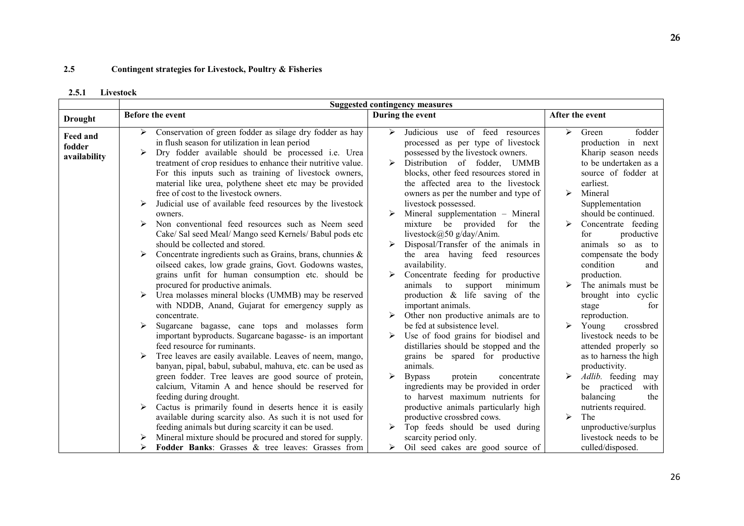#### 2.5Contingent strategies for Livestock, Poultry & Fisheries

#### 2.5.1Livestock

|                                    | <b>Suggested contingency measures</b>                                                                                                                                                                                                                                                                                                                                                                                                                                                                                                                                                                                                                                                                                                                                                                                                                                                                                                                                                                                                                                                                                                                                                                                                                                                                                                                                                                                                                                                                                                   |                                                                                                                                                                                                                                                                                                                                                                                                                                                                                                                                                                                                                                                                                                                                                                                                                                                                                                                                                                                                                                           |                                                                                                                                                                                                                                                                                                                                                                                                                                                                                                                                                                                                                                                                                                                |  |  |  |
|------------------------------------|-----------------------------------------------------------------------------------------------------------------------------------------------------------------------------------------------------------------------------------------------------------------------------------------------------------------------------------------------------------------------------------------------------------------------------------------------------------------------------------------------------------------------------------------------------------------------------------------------------------------------------------------------------------------------------------------------------------------------------------------------------------------------------------------------------------------------------------------------------------------------------------------------------------------------------------------------------------------------------------------------------------------------------------------------------------------------------------------------------------------------------------------------------------------------------------------------------------------------------------------------------------------------------------------------------------------------------------------------------------------------------------------------------------------------------------------------------------------------------------------------------------------------------------------|-------------------------------------------------------------------------------------------------------------------------------------------------------------------------------------------------------------------------------------------------------------------------------------------------------------------------------------------------------------------------------------------------------------------------------------------------------------------------------------------------------------------------------------------------------------------------------------------------------------------------------------------------------------------------------------------------------------------------------------------------------------------------------------------------------------------------------------------------------------------------------------------------------------------------------------------------------------------------------------------------------------------------------------------|----------------------------------------------------------------------------------------------------------------------------------------------------------------------------------------------------------------------------------------------------------------------------------------------------------------------------------------------------------------------------------------------------------------------------------------------------------------------------------------------------------------------------------------------------------------------------------------------------------------------------------------------------------------------------------------------------------------|--|--|--|
| <b>Drought</b>                     | Before the event                                                                                                                                                                                                                                                                                                                                                                                                                                                                                                                                                                                                                                                                                                                                                                                                                                                                                                                                                                                                                                                                                                                                                                                                                                                                                                                                                                                                                                                                                                                        | During the event                                                                                                                                                                                                                                                                                                                                                                                                                                                                                                                                                                                                                                                                                                                                                                                                                                                                                                                                                                                                                          | After the event                                                                                                                                                                                                                                                                                                                                                                                                                                                                                                                                                                                                                                                                                                |  |  |  |
| Feed and<br>fodder<br>availability | Conservation of green fodder as silage dry fodder as hay<br>➤<br>in flush season for utilization in lean period<br>Dry fodder available should be processed i.e. Urea<br>treatment of crop residues to enhance their nutritive value.<br>For this inputs such as training of livestock owners,<br>material like urea, polythene sheet etc may be provided<br>free of cost to the livestock owners.<br>Judicial use of available feed resources by the livestock<br>owners.<br>Non conventional feed resources such as Neem seed<br>Cake/ Sal seed Meal/ Mango seed Kernels/ Babul pods etc<br>should be collected and stored.<br>Concentrate ingredients such as Grains, brans, chunnies $\&$<br>oilseed cakes, low grade grains, Govt. Godowns wastes,<br>grains unfit for human consumption etc. should be<br>procured for productive animals.<br>Urea molasses mineral blocks (UMMB) may be reserved<br>➤<br>with NDDB, Anand, Gujarat for emergency supply as<br>concentrate.<br>Sugarcane bagasse, cane tops and molasses form<br>➤<br>important byproducts. Sugarcane bagasse- is an important<br>feed resource for ruminants.<br>Tree leaves are easily available. Leaves of neem, mango,<br>banyan, pipal, babul, subabul, mahuva, etc. can be used as<br>green fodder. Tree leaves are good source of protein,<br>calcium, Vitamin A and hence should be reserved for<br>feeding during drought.<br>Cactus is primarily found in deserts hence it is easily<br>➤<br>available during scarcity also. As such it is not used for | Judicious use of feed resources<br>⋗<br>processed as per type of livestock<br>possessed by the livestock owners.<br>Distribution of fodder, UMMB<br>blocks, other feed resources stored in<br>the affected area to the livestock<br>owners as per the number and type of<br>livestock possessed.<br>Mineral supplementation - Mineral<br>mixture be provided for the<br>livestock@50 g/day/Anim.<br>Disposal/Transfer of the animals in<br>the area having feed resources<br>availability.<br>Concentrate feeding for productive<br>➤<br>minimum<br>animals<br>to<br>support<br>production & life saving of the<br>important animals.<br>Other non productive animals are to<br>be fed at subsistence level.<br>Use of food grains for biodisel and<br>distillaries should be stopped and the<br>grains be spared for productive<br>animals.<br><b>Bypass</b><br>protein<br>concentrate<br>ingredients may be provided in order<br>to harvest maximum nutrients for<br>productive animals particularly high<br>productive crossbred cows. | fodder<br>$\triangleright$<br>Green<br>production in next<br>Kharip season needs<br>to be undertaken as a<br>source of fodder at<br>earliest.<br>$\blacktriangleright$<br>Mineral<br>Supplementation<br>should be continued.<br>Concentrate feeding<br>productive<br>for<br>animals so as to<br>compensate the body<br>condition<br>and<br>production.<br>$\blacktriangleright$<br>The animals must be<br>brought into cyclic<br>stage<br>for<br>reproduction.<br>$\blacktriangleright$<br>Young<br>crossbred<br>livestock needs to be<br>attended properly so<br>as to harness the high<br>productivity.<br>Adlib. feeding may<br>be practiced<br>with<br>balancing<br>the<br>nutrients required.<br>➤<br>The |  |  |  |
|                                    | feeding animals but during scarcity it can be used.<br>Mineral mixture should be procured and stored for supply.                                                                                                                                                                                                                                                                                                                                                                                                                                                                                                                                                                                                                                                                                                                                                                                                                                                                                                                                                                                                                                                                                                                                                                                                                                                                                                                                                                                                                        | Top feeds should be used during<br>scarcity period only.                                                                                                                                                                                                                                                                                                                                                                                                                                                                                                                                                                                                                                                                                                                                                                                                                                                                                                                                                                                  | unproductive/surplus<br>livestock needs to be                                                                                                                                                                                                                                                                                                                                                                                                                                                                                                                                                                                                                                                                  |  |  |  |
|                                    | Fodder Banks: Grasses & tree leaves: Grasses from                                                                                                                                                                                                                                                                                                                                                                                                                                                                                                                                                                                                                                                                                                                                                                                                                                                                                                                                                                                                                                                                                                                                                                                                                                                                                                                                                                                                                                                                                       | Oil seed cakes are good source of                                                                                                                                                                                                                                                                                                                                                                                                                                                                                                                                                                                                                                                                                                                                                                                                                                                                                                                                                                                                         | culled/disposed.                                                                                                                                                                                                                                                                                                                                                                                                                                                                                                                                                                                                                                                                                               |  |  |  |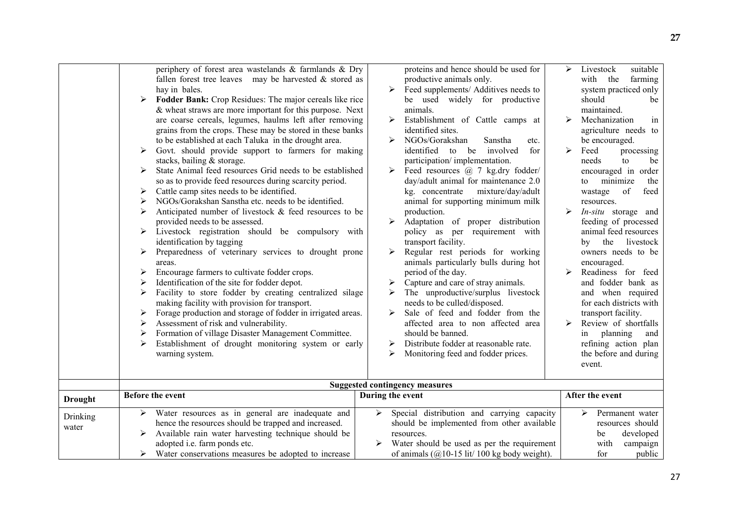|                   | periphery of forest area wastelands & farmlands & Dry<br>fallen forest tree leaves may be harvested $&$ stored as<br>hay in bales.<br>Fodder Bank: Crop Residues: The major cereals like rice<br>➤<br>& wheat straws are more important for this purpose. Next<br>are coarse cereals, legumes, haulms left after removing<br>grains from the crops. These may be stored in these banks<br>to be established at each Taluka in the drought area.<br>Govt. should provide support to farmers for making<br>➤<br>stacks, bailing & storage.<br>State Animal feed resources Grid needs to be established<br>➤<br>so as to provide feed resources during scarcity period.<br>Cattle camp sites needs to be identified.<br>➤<br>NGOs/Gorakshan Sanstha etc. needs to be identified.<br>➤<br>Anticipated number of livestock & feed resources to be<br>➤<br>provided needs to be assessed.<br>Livestock registration should be compulsory with<br>identification by tagging<br>Preparedness of veterinary services to drought prone<br>➤<br>areas.<br>Encourage farmers to cultivate fodder crops.<br>➤<br>Identification of the site for fodder depot.<br>Facility to store fodder by creating centralized silage<br>➤<br>making facility with provision for transport.<br>Forage production and storage of fodder in irrigated areas.<br>➤<br>Assessment of risk and vulnerability.<br>Formation of village Disaster Management Committee.<br>Establishment of drought monitoring system or early<br>➤<br>warning system. | proteins and hence should be used for<br>productive animals only.<br>Feed supplements/ Additives needs to<br>$\blacktriangleright$<br>be used widely for productive<br>animals.<br>$\blacktriangleright$<br>Establishment of Cattle camps at<br>identified sites.<br>NGOs/Gorakshan<br>➤<br>Sanstha<br>etc.<br>identified to be involved<br>for<br>participation/implementation.<br>Feed resources @ 7 kg.dry fodder/<br>$\blacktriangleright$<br>day/adult animal for maintenance 2.0<br>kg. concentrate<br>mixture/day/adult<br>animal for supporting minimum milk<br>production.<br>Adaptation of proper distribution<br>policy as per requirement with<br>transport facility.<br>Regular rest periods for working<br>$\blacktriangleright$<br>animals particularly bulls during hot<br>period of the day.<br>Capture and care of stray animals.<br>The unproductive/surplus livestock<br>≻<br>needs to be culled/disposed.<br>Sale of feed and fodder from the<br>➤<br>affected area to non affected area<br>should be banned.<br>Distribute fodder at reasonable rate.<br>➤<br>Monitoring feed and fodder prices.<br>⋗ | suitable<br>➤<br>Livestock<br>with the<br>farming<br>system practiced only<br>should<br>be<br>maintained.<br>Mechanization<br>⋗<br>in<br>agriculture needs to<br>be encouraged.<br>$\blacktriangleright$<br>Feed<br>processing<br>needs<br>to<br>be<br>encouraged in order<br>minimize<br>the<br>to<br>of<br>feed<br>wastage<br>resources.<br>In-situ storage and<br>feeding of processed<br>animal feed resources<br>by the livestock<br>owners needs to be<br>encouraged.<br>Readiness for feed<br>and fodder bank as<br>and when required<br>for each districts with<br>transport facility.<br>Review of shortfalls<br>➤<br>planning<br>in<br>and<br>refining action plan<br>the before and during<br>event. |
|-------------------|----------------------------------------------------------------------------------------------------------------------------------------------------------------------------------------------------------------------------------------------------------------------------------------------------------------------------------------------------------------------------------------------------------------------------------------------------------------------------------------------------------------------------------------------------------------------------------------------------------------------------------------------------------------------------------------------------------------------------------------------------------------------------------------------------------------------------------------------------------------------------------------------------------------------------------------------------------------------------------------------------------------------------------------------------------------------------------------------------------------------------------------------------------------------------------------------------------------------------------------------------------------------------------------------------------------------------------------------------------------------------------------------------------------------------------------------------------------------------------------------------------------------|-----------------------------------------------------------------------------------------------------------------------------------------------------------------------------------------------------------------------------------------------------------------------------------------------------------------------------------------------------------------------------------------------------------------------------------------------------------------------------------------------------------------------------------------------------------------------------------------------------------------------------------------------------------------------------------------------------------------------------------------------------------------------------------------------------------------------------------------------------------------------------------------------------------------------------------------------------------------------------------------------------------------------------------------------------------------------------------------------------------------------------|-----------------------------------------------------------------------------------------------------------------------------------------------------------------------------------------------------------------------------------------------------------------------------------------------------------------------------------------------------------------------------------------------------------------------------------------------------------------------------------------------------------------------------------------------------------------------------------------------------------------------------------------------------------------------------------------------------------------|
|                   | <b>Before the event</b>                                                                                                                                                                                                                                                                                                                                                                                                                                                                                                                                                                                                                                                                                                                                                                                                                                                                                                                                                                                                                                                                                                                                                                                                                                                                                                                                                                                                                                                                                              | <b>Suggested contingency measures</b>                                                                                                                                                                                                                                                                                                                                                                                                                                                                                                                                                                                                                                                                                                                                                                                                                                                                                                                                                                                                                                                                                       | After the event                                                                                                                                                                                                                                                                                                                                                                                                                                                                                                                                                                                                                                                                                                 |
| <b>Drought</b>    |                                                                                                                                                                                                                                                                                                                                                                                                                                                                                                                                                                                                                                                                                                                                                                                                                                                                                                                                                                                                                                                                                                                                                                                                                                                                                                                                                                                                                                                                                                                      | During the event                                                                                                                                                                                                                                                                                                                                                                                                                                                                                                                                                                                                                                                                                                                                                                                                                                                                                                                                                                                                                                                                                                            |                                                                                                                                                                                                                                                                                                                                                                                                                                                                                                                                                                                                                                                                                                                 |
| Drinking<br>water | Water resources as in general are inadequate and<br>➤<br>hence the resources should be trapped and increased.<br>Available rain water harvesting technique should be<br>➤<br>adopted i.e. farm ponds etc.<br>Water conservations measures be adopted to increase                                                                                                                                                                                                                                                                                                                                                                                                                                                                                                                                                                                                                                                                                                                                                                                                                                                                                                                                                                                                                                                                                                                                                                                                                                                     | Special distribution and carrying capacity<br>➤<br>should be implemented from other available<br>resources.<br>Water should be used as per the requirement<br>of animals $(Q/10-15$ lit/ 100 kg body weight).                                                                                                                                                                                                                                                                                                                                                                                                                                                                                                                                                                                                                                                                                                                                                                                                                                                                                                               | $\blacktriangleright$<br>Permanent water<br>resources should<br>developed<br>be<br>with<br>campaign<br>public<br>for                                                                                                                                                                                                                                                                                                                                                                                                                                                                                                                                                                                            |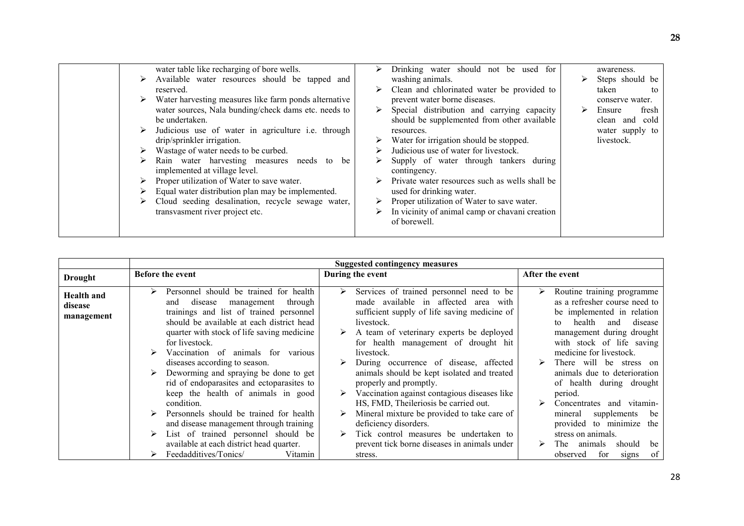| water table like recharging of bore wells.<br>Available water resources should be tapped and<br>reserved.<br>Water harvesting measures like farm ponds alternative<br>water sources, Nala bunding/check dams etc. needs to<br>be undertaken.<br>Judicious use of water in agriculture <i>i.e.</i> through<br>drip/sprinkler irrigation.<br>Wastage of water needs to be curbed.<br>Rain water harvesting measures needs to<br>be<br>implemented at village level.<br>Proper utilization of Water to save water.<br>Equal water distribution plan may be implemented.<br>Cloud seeding desalination, recycle sewage water,<br>⋗<br>transvasment river project etc. | Drinking water should not be used for<br>washing animals.<br>Clean and chlorinated water be provided to<br>prevent water borne diseases.<br>Special distribution and carrying capacity<br>should be supplemented from other available<br>resources.<br>Water for irrigation should be stopped.<br>Judicious use of water for livestock.<br>Supply of water through tankers during<br>contingency.<br>Private water resources such as wells shall be<br>used for drinking water.<br>Proper utilization of Water to save water.<br>➤<br>In vicinity of animal camp or chavani creation<br>➤<br>of borewell. | awareness.<br>Steps should be<br>taken<br>to<br>conserve water.<br>fresh<br>Ensure<br>➤<br>clean and cold<br>water supply to<br>livestock. |
|-------------------------------------------------------------------------------------------------------------------------------------------------------------------------------------------------------------------------------------------------------------------------------------------------------------------------------------------------------------------------------------------------------------------------------------------------------------------------------------------------------------------------------------------------------------------------------------------------------------------------------------------------------------------|-----------------------------------------------------------------------------------------------------------------------------------------------------------------------------------------------------------------------------------------------------------------------------------------------------------------------------------------------------------------------------------------------------------------------------------------------------------------------------------------------------------------------------------------------------------------------------------------------------------|--------------------------------------------------------------------------------------------------------------------------------------------|
|-------------------------------------------------------------------------------------------------------------------------------------------------------------------------------------------------------------------------------------------------------------------------------------------------------------------------------------------------------------------------------------------------------------------------------------------------------------------------------------------------------------------------------------------------------------------------------------------------------------------------------------------------------------------|-----------------------------------------------------------------------------------------------------------------------------------------------------------------------------------------------------------------------------------------------------------------------------------------------------------------------------------------------------------------------------------------------------------------------------------------------------------------------------------------------------------------------------------------------------------------------------------------------------------|--------------------------------------------------------------------------------------------------------------------------------------------|

|                                            | <b>Suggested contingency measures</b>                                                                                                                                                                                                                                                                                                                                                                                                                                                                                                                                                                                                                                   |                                                                                                                                                                                                                                                                                                                                                                                                                                                                                                                                                                                                                                                |                                                                                                                                                                                                                                                                                                                                                                                                                                                                                                                  |  |  |
|--------------------------------------------|-------------------------------------------------------------------------------------------------------------------------------------------------------------------------------------------------------------------------------------------------------------------------------------------------------------------------------------------------------------------------------------------------------------------------------------------------------------------------------------------------------------------------------------------------------------------------------------------------------------------------------------------------------------------------|------------------------------------------------------------------------------------------------------------------------------------------------------------------------------------------------------------------------------------------------------------------------------------------------------------------------------------------------------------------------------------------------------------------------------------------------------------------------------------------------------------------------------------------------------------------------------------------------------------------------------------------------|------------------------------------------------------------------------------------------------------------------------------------------------------------------------------------------------------------------------------------------------------------------------------------------------------------------------------------------------------------------------------------------------------------------------------------------------------------------------------------------------------------------|--|--|
| <b>Drought</b>                             | <b>Before the event</b>                                                                                                                                                                                                                                                                                                                                                                                                                                                                                                                                                                                                                                                 | During the event                                                                                                                                                                                                                                                                                                                                                                                                                                                                                                                                                                                                                               | After the event                                                                                                                                                                                                                                                                                                                                                                                                                                                                                                  |  |  |
| <b>Health and</b><br>disease<br>management | Personnel should be trained for health<br>through<br>disease<br>management<br>and<br>trainings and list of trained personnel<br>should be available at each district head<br>quarter with stock of life saving medicine<br>for livestock.<br>Vaccination of animals for various<br>diseases according to season.<br>Deworming and spraying be done to get<br>rid of endoparasites and ectoparasites to<br>keep the health of animals in good<br>condition.<br>Personnels should be trained for health<br>and disease management through training<br>List of trained personnel should be<br>available at each district head quarter.<br>Feedadditives/Tonics/<br>Vitamin | Services of trained personnel need to be<br>➤<br>made available in affected area with<br>sufficient supply of life saving medicine of<br>livestock.<br>A team of veterinary experts be deployed<br>for health management of drought hit<br>livestock.<br>During occurrence of disease, affected<br>animals should be kept isolated and treated<br>properly and promptly.<br>Vaccination against contagious diseases like<br>HS, FMD, Theileriosis be carried out.<br>Mineral mixture be provided to take care of<br>deficiency disorders.<br>Tick control measures be undertaken to<br>prevent tick borne diseases in animals under<br>stress. | Routine training programme<br>➤<br>as a refresher course need to<br>be implemented in relation<br>health<br>disease<br>and<br>to<br>management during drought<br>with stock of life saving<br>medicine for livestock.<br>There will be stress on<br>animals due to deterioration<br>of health during drought<br>period.<br>Concentrates<br>and vitamin-<br>supplements<br>be<br>mineral<br>provided to minimize<br>the<br>stress on animals.<br>should<br>be<br>The<br>animals<br>of<br>for<br>observed<br>signs |  |  |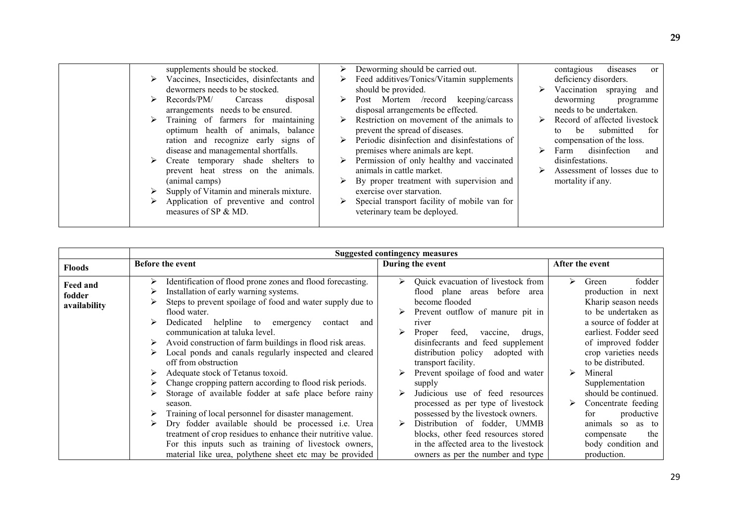|  | supplements should be stocked.                             |   | Deworming should be carried out.             |   | diseases<br>contagious<br><sub>or</sub> |
|--|------------------------------------------------------------|---|----------------------------------------------|---|-----------------------------------------|
|  | $\triangleright$ Vaccines, Insecticides, disinfectants and | ➤ | Feed additives/Tonics/Vitamin supplements    |   | deficiency disorders.                   |
|  | dewormers needs to be stocked.                             |   | should be provided.                          | ⋗ | Vaccination spraying and                |
|  | Records/PM/<br>Carcass<br>disposal                         |   | Post Mortem /record keeping/carcass          |   | deworming<br>programme                  |
|  | arrangements needs to be ensured.                          |   | disposal arrangements be effected.           |   | needs to be undertaken.                 |
|  | Training of farmers for maintaining                        |   | Restriction on movement of the animals to    |   | Record of affected livestock            |
|  | optimum health of animals, balance                         |   | prevent the spread of diseases.              |   | submitted<br>be<br>for<br>to            |
|  | ration and recognize early signs of                        | ➤ | Periodic disinfection and disinfestations of |   | compensation of the loss.               |
|  | disease and managemental shortfalls.                       |   | premises where animals are kept.             |   | disinfection<br>Farm<br>and             |
|  | $\triangleright$ Create temporary shade shelters to        |   | Permission of only healthy and vaccinated    |   | disinfestations.                        |
|  | prevent heat stress on the animals.                        |   | animals in cattle market.                    |   | Assessment of losses due to             |
|  | (animal camps)                                             |   | By proper treatment with supervision and     |   | mortality if any.                       |
|  | Supply of Vitamin and minerals mixture.                    |   | exercise over starvation.                    |   |                                         |
|  | Application of preventive and control                      |   | Special transport facility of mobile van for |   |                                         |
|  |                                                            |   |                                              |   |                                         |
|  | measures of SP & MD.                                       |   | veterinary team be deployed.                 |   |                                         |
|  |                                                            |   |                                              |   |                                         |

|                                           | <b>Suggested contingency measures</b>                                                                                                                                                                                                                                                                                                                                                                                                                                                                                                                                                                                                                                                                                                                                                                                                   |                                                                                                                                                                                                                                                                                                                                                                                                                                                                                                                                                                    |                                                                                                                                                                                                                                                                                                                                                                                      |  |  |  |
|-------------------------------------------|-----------------------------------------------------------------------------------------------------------------------------------------------------------------------------------------------------------------------------------------------------------------------------------------------------------------------------------------------------------------------------------------------------------------------------------------------------------------------------------------------------------------------------------------------------------------------------------------------------------------------------------------------------------------------------------------------------------------------------------------------------------------------------------------------------------------------------------------|--------------------------------------------------------------------------------------------------------------------------------------------------------------------------------------------------------------------------------------------------------------------------------------------------------------------------------------------------------------------------------------------------------------------------------------------------------------------------------------------------------------------------------------------------------------------|--------------------------------------------------------------------------------------------------------------------------------------------------------------------------------------------------------------------------------------------------------------------------------------------------------------------------------------------------------------------------------------|--|--|--|
| <b>Floods</b>                             | <b>Before the event</b>                                                                                                                                                                                                                                                                                                                                                                                                                                                                                                                                                                                                                                                                                                                                                                                                                 | During the event                                                                                                                                                                                                                                                                                                                                                                                                                                                                                                                                                   | After the event                                                                                                                                                                                                                                                                                                                                                                      |  |  |  |
| <b>Feed and</b><br>fodder<br>availability | Identification of flood prone zones and flood forecasting.<br>Installation of early warning systems.<br>Steps to prevent spoilage of food and water supply due to<br>flood water.<br>Dedicated<br>helpline to emergency<br>contact<br>and<br>communication at taluka level.<br>Avoid construction of farm buildings in flood risk areas.<br>Local ponds and canals regularly inspected and cleared<br>off from obstruction<br>Adequate stock of Tetanus toxoid.<br>Change cropping pattern according to flood risk periods.<br>Storage of available fodder at safe place before rainy<br>season.<br>Training of local personnel for disaster management.<br>Dry fodder available should be processed i.e. Urea<br>treatment of crop residues to enhance their nutritive value.<br>For this inputs such as training of livestock owners, | Quick evacuation of livestock from<br>➤<br>flood plane areas before area<br>become flooded<br>Prevent outflow of manure pit in<br>river<br>Proper<br>feed,<br>drugs,<br>vaccine,<br>disinfecrants and feed supplement<br>distribution policy<br>adopted with<br>transport facility.<br>Prevent spoilage of food and water<br>supply<br>Judicious use of feed resources<br>processed as per type of livestock<br>possessed by the livestock owners.<br>Distribution of fodder, UMMB<br>blocks, other feed resources stored<br>in the affected area to the livestock | fodder<br>Green<br>➤<br>production in next<br>Kharip season needs<br>to be undertaken as<br>a source of fodder at<br>earliest. Fodder seed<br>of improved fodder<br>crop varieties needs<br>to be distributed.<br>Mineral<br>⋗<br>Supplementation<br>should be continued.<br>Concentrate feeding<br>for<br>productive<br>animals so as to<br>the<br>compensate<br>body condition and |  |  |  |
|                                           | material like urea, polythene sheet etc may be provided                                                                                                                                                                                                                                                                                                                                                                                                                                                                                                                                                                                                                                                                                                                                                                                 | owners as per the number and type                                                                                                                                                                                                                                                                                                                                                                                                                                                                                                                                  | production.                                                                                                                                                                                                                                                                                                                                                                          |  |  |  |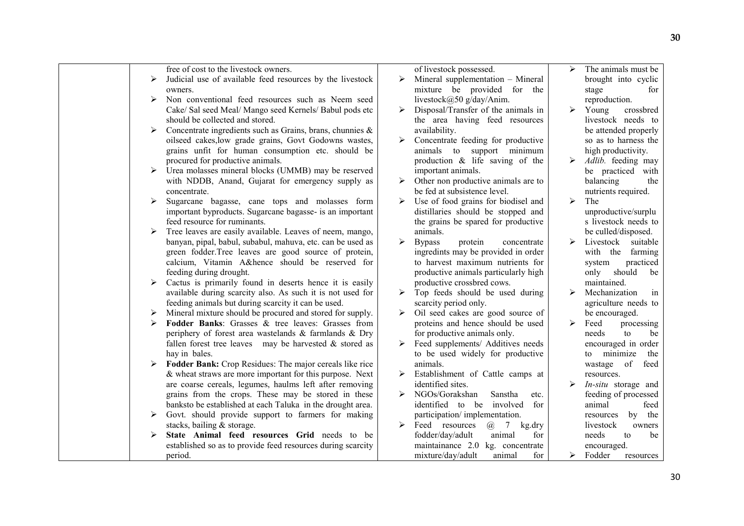| free of cost to the livestock owners.                               |                       | of livestock possessed.                                 | ↘                     | The animals must be  |
|---------------------------------------------------------------------|-----------------------|---------------------------------------------------------|-----------------------|----------------------|
| Judicial use of available feed resources by the livestock<br>➤      | ➤                     | Mineral supplementation - Mineral                       |                       | brought into cyclic  |
| owners.                                                             |                       | mixture be provided for the                             |                       | stage<br>for         |
| Non conventional feed resources such as Neem seed<br>➤              |                       | livestock@50 g/day/Anim.                                |                       | reproduction.        |
| Cake/ Sal seed Meal/ Mango seed Kernels/ Babul pods etc             | ➤                     | Disposal/Transfer of the animals in                     | $\triangleright$      | Young<br>crossbred   |
| should be collected and stored.                                     |                       | the area having feed resources                          |                       | livestock needs to   |
| Concentrate ingredients such as Grains, brans, chunnies &<br>≻      |                       | availability.                                           |                       | be attended properly |
| oilseed cakes, low grade grains, Govt Godowns wastes,               | ➤                     | Concentrate feeding for productive                      |                       | so as to harness the |
| grains unfit for human consumption etc. should be                   |                       | animals to support minimum                              |                       | high productivity.   |
| procured for productive animals.                                    |                       | production & life saving of the                         |                       | Adlib. feeding may   |
| Urea molasses mineral blocks (UMMB) may be reserved<br>➤            |                       | important animals.                                      |                       | be practiced with    |
| with NDDB, Anand, Gujarat for emergency supply as                   |                       | $\triangleright$ Other non productive animals are to    |                       | balancing<br>the     |
| concentrate.                                                        |                       | be fed at subsistence level.                            |                       | nutrients required.  |
| ➤<br>Sugarcane bagasse, cane tops and molasses form                 | ➤                     | Use of food grains for biodisel and                     | $\blacktriangleright$ | The                  |
| important byproducts. Sugarcane bagasse- is an important            |                       | distillaries should be stopped and                      |                       | unproductive/surplu  |
| feed resource for ruminants.                                        |                       | the grains be spared for productive                     |                       | s livestock needs to |
| Tree leaves are easily available. Leaves of neem, mango,<br>➤       | animals.              |                                                         |                       | be culled/disposed.  |
| banyan, pipal, babul, subabul, mahuva, etc. can be used as          | <b>Bypass</b><br>➤    | protein<br>concentrate                                  | $\blacktriangleright$ | Livestock suitable   |
| green fodder.Tree leaves are good source of protein,                |                       | ingredints may be provided in order                     |                       | with the farming     |
| calcium, Vitamin A&hence should be reserved for                     |                       | to harvest maximum nutrients for                        |                       | practiced<br>system  |
| feeding during drought.                                             |                       | productive animals particularly high                    |                       | only should<br>be    |
| Cactus is primarily found in deserts hence it is easily<br>➤        |                       | productive crossbred cows.                              |                       | maintained.          |
| available during scarcity also. As such it is not used for          | ➤                     | Top feeds should be used during                         | ↘                     | Mechanization<br>in  |
| feeding animals but during scarcity it can be used.                 |                       | scarcity period only.                                   |                       | agriculture needs to |
| Mineral mixture should be procured and stored for supply.<br>➤      | ➤                     | Oil seed cakes are good source of                       |                       | be encouraged.       |
| Fodder Banks: Grasses & tree leaves: Grasses from                   |                       | proteins and hence should be used                       | ➤                     | Feed<br>processing   |
| periphery of forest area wastelands & farmlands & Dry               |                       | for productive animals only.                            |                       | needs<br>to<br>be    |
| fallen forest tree leaves may be harvested $\&$ stored as           |                       | Feed supplements/ Additives needs                       |                       | encouraged in order  |
| hay in bales.                                                       |                       | to be used widely for productive                        |                       | minimize<br>the      |
| <b>Fodder Bank:</b> Crop Residues: The major cereals like rice<br>➤ | animals.              |                                                         |                       | to<br>of<br>feed     |
| $&$ wheat straws are more important for this purpose. Next          |                       |                                                         |                       | wastage              |
|                                                                     | ➤                     | Establishment of Cattle camps at<br>identified sites.   |                       | resources.           |
| are coarse cereals, legumes, haulms left after removing             |                       |                                                         |                       | In-situ storage and  |
| grains from the crops. These may be stored in these                 |                       | NGOs/Gorakshan<br>Sanstha<br>etc.                       |                       | feeding of processed |
| banksto be established at each Taluka in the drought area.          |                       | identified to be involved<br>for                        |                       | feed<br>animal       |
| Govt. should provide support to farmers for making<br>➤             |                       | participation/implementation.                           |                       | by the<br>resources  |
| stacks, bailing & storage.                                          | $\blacktriangleright$ | Feed resources<br>$\omega$<br>$7\overline{ }$<br>kg.dry |                       | livestock<br>owners  |
| State Animal feed resources Grid needs to be<br>≻                   |                       | fodder/day/adult<br>animal<br>for                       |                       | be<br>needs<br>to    |
| established so as to provide feed resources during scarcity         |                       | maintainance 2.0 kg. concentrate                        |                       | encouraged.          |
| period.                                                             |                       | mixture/day/adult<br>for<br>animal                      | ≻                     | Fodder<br>resources  |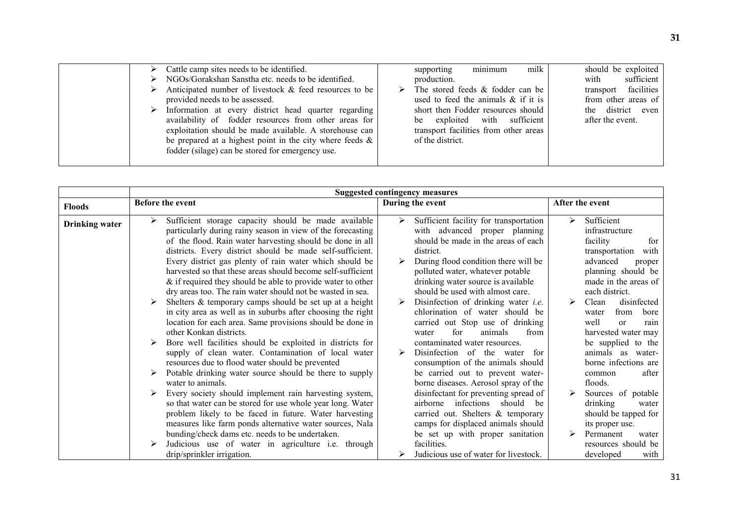| $\triangleright$ Cattle camp sites needs to be identified.<br>$\triangleright$ NGOs/Gorakshan Sanstha etc. needs to be identified.<br>$\triangleright$ Anticipated number of livestock & feed resources to be<br>provided needs to be assessed.<br>$\triangleright$ Information at every district head quarter regarding<br>availability of fodder resources from other areas for<br>exploitation should be made available. A storehouse can<br>be prepared at a highest point in the city where feeds $\&$ | ➤ | supporting<br>production.<br>The stored feeds & fodder can be<br>used to feed the animals $\&$ if it is<br>short then Fodder resources should<br>be exploited with sufficient<br>transport facilities from other areas<br>of the district. | minimum | milk | with<br>after the event. | should be exploited<br>sufficient<br>transport facilities<br>from other areas of<br>the district even |
|-------------------------------------------------------------------------------------------------------------------------------------------------------------------------------------------------------------------------------------------------------------------------------------------------------------------------------------------------------------------------------------------------------------------------------------------------------------------------------------------------------------|---|--------------------------------------------------------------------------------------------------------------------------------------------------------------------------------------------------------------------------------------------|---------|------|--------------------------|-------------------------------------------------------------------------------------------------------|
| fodder (silage) can be stored for emergency use.                                                                                                                                                                                                                                                                                                                                                                                                                                                            |   |                                                                                                                                                                                                                                            |         |      |                          |                                                                                                       |

|                       | <b>Suggested contingency measures</b>                                                                                                                                                                                                                                                                                                                                   |                                                                                                                                                                                                                                                    |                                                                                                                                                    |  |  |  |
|-----------------------|-------------------------------------------------------------------------------------------------------------------------------------------------------------------------------------------------------------------------------------------------------------------------------------------------------------------------------------------------------------------------|----------------------------------------------------------------------------------------------------------------------------------------------------------------------------------------------------------------------------------------------------|----------------------------------------------------------------------------------------------------------------------------------------------------|--|--|--|
| <b>Floods</b>         | <b>Before the event</b>                                                                                                                                                                                                                                                                                                                                                 | During the event                                                                                                                                                                                                                                   | After the event                                                                                                                                    |  |  |  |
| <b>Drinking water</b> | Sufficient storage capacity should be made available<br>particularly during rainy season in view of the forecasting<br>of the flood. Rain water harvesting should be done in all<br>districts. Every district should be made self-sufficient.<br>Every district gas plenty of rain water which should be<br>harvested so that these areas should become self-sufficient | Sufficient facility for transportation<br>➤<br>with advanced proper planning<br>should be made in the areas of each<br>district.<br>During flood condition there will be<br>polluted water, whatever potable<br>drinking water source is available | Sufficient<br>⋗<br>infrastructure<br>facility<br>for<br>transportation<br>with<br>advanced<br>proper<br>planning should be<br>made in the areas of |  |  |  |
|                       | $&$ if required they should be able to provide water to other<br>dry areas too. The rain water should not be wasted in sea.<br>Shelters & temporary camps should be set up at a height<br>in city area as well as in suburbs after choosing the right<br>location for each area. Same provisions should be done in<br>other Konkan districts.                           | should be used with almost care.<br>Disinfection of drinking water <i>i.e.</i><br>chlorination of water should be<br>carried out Stop use of drinking<br>for<br>animals<br>from<br>water                                                           | each district.<br>disinfected<br>Clean<br>⋗<br>from<br>bore<br>water<br>well<br>$\alpha$<br>rain<br>harvested water may                            |  |  |  |
|                       | Bore well facilities should be exploited in districts for<br>supply of clean water. Contamination of local water<br>resources due to flood water should be prevented                                                                                                                                                                                                    | contaminated water resources.<br>Disinfection of the water<br>for<br>➤<br>consumption of the animals should                                                                                                                                        | be supplied to the<br>animals as<br>water-<br>borne infections are                                                                                 |  |  |  |
|                       | Potable drinking water source should be there to supply<br>water to animals.                                                                                                                                                                                                                                                                                            | be carried out to prevent water-<br>borne diseases. Aerosol spray of the                                                                                                                                                                           | after<br>common<br>floods.                                                                                                                         |  |  |  |
|                       | Every society should implement rain harvesting system,<br>so that water can be stored for use whole year long. Water<br>problem likely to be faced in future. Water harvesting<br>measures like farm ponds alternative water sources, Nala<br>bunding/check dams etc. needs to be undertaken.                                                                           | disinfectant for preventing spread of<br>airborne infections should<br>be<br>carried out. Shelters & temporary<br>camps for displaced animals should<br>be set up with proper sanitation                                                           | Sources of potable<br>drinking<br>water<br>should be tapped for<br>its proper use.<br>Permanent<br>water                                           |  |  |  |
|                       | Judicious use of water in agriculture i.e. through<br>drip/sprinkler irrigation.                                                                                                                                                                                                                                                                                        | facilities.<br>Judicious use of water for livestock.                                                                                                                                                                                               | resources should be<br>developed<br>with                                                                                                           |  |  |  |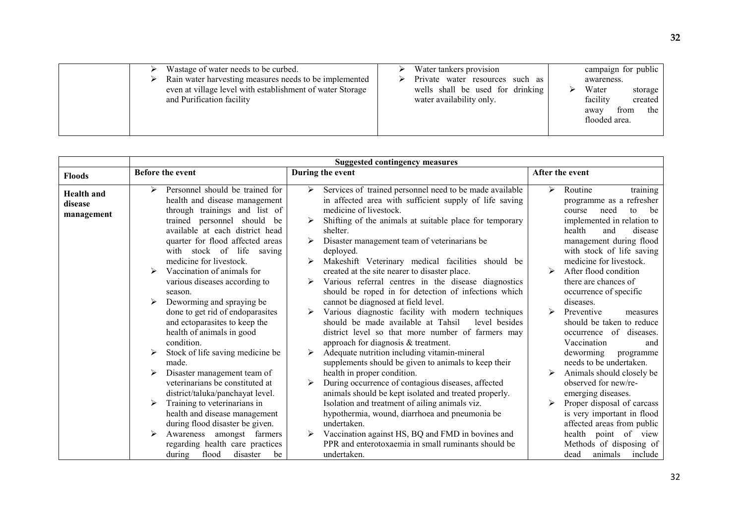| Wastage of water needs to be curbed.                                                   | Water tankers provision                                      | campaign for public                                                             |
|----------------------------------------------------------------------------------------|--------------------------------------------------------------|---------------------------------------------------------------------------------|
| Rain water harvesting measures needs to be implemented                                 | Private water resources such as                              | awareness.                                                                      |
| even at village level with establishment of water Storage<br>and Purification facility | wells shall be used for drinking<br>water availability only. | Water<br>storage<br>facility<br>created<br>the<br>from<br>away<br>flooded area. |

|                   | <b>Suggested contingency measures</b>                                |                                                                                             |                                                        |  |  |
|-------------------|----------------------------------------------------------------------|---------------------------------------------------------------------------------------------|--------------------------------------------------------|--|--|
| <b>Floods</b>     | Before the event                                                     | During the event                                                                            | After the event                                        |  |  |
| <b>Health</b> and | Personnel should be trained for                                      | Services of trained personnel need to be made available<br>➤                                | Routine<br>training<br>➤                               |  |  |
| disease           | health and disease management                                        | in affected area with sufficient supply of life saving                                      | programme as a refresher                               |  |  |
| management        | through trainings and list of                                        | medicine of livestock.                                                                      | course<br>need<br>to<br>be                             |  |  |
|                   | trained personnel should be<br>available at each district head       | Shifting of the animals at suitable place for temporary<br>shelter.                         | implemented in relation to<br>health<br>and<br>disease |  |  |
|                   | quarter for flood affected areas                                     | Disaster management team of veterinarians be                                                | management during flood                                |  |  |
|                   | with stock of life saving                                            | deployed.                                                                                   | with stock of life saving                              |  |  |
|                   | medicine for livestock.                                              | Makeshift Veterinary medical facilities should be                                           | medicine for livestock.                                |  |  |
|                   | Vaccination of animals for                                           | created at the site nearer to disaster place.                                               | After flood condition                                  |  |  |
|                   | various diseases according to                                        | Various referral centres in the disease diagnostics                                         | there are chances of                                   |  |  |
|                   | season.<br>Deworming and spraying be                                 | should be roped in for detection of infections which<br>cannot be diagnosed at field level. | occurrence of specific<br>diseases.                    |  |  |
|                   | done to get rid of endoparasites                                     | Various diagnostic facility with modern techniques                                          | Preventive<br>measures                                 |  |  |
|                   | and ectoparasites to keep the                                        | should be made available at Tahsil<br>level besides                                         | should be taken to reduce                              |  |  |
|                   | health of animals in good                                            | district level so that more number of farmers may                                           | occurrence of diseases.                                |  |  |
|                   | condition.                                                           | approach for diagnosis $&$ treatment.                                                       | Vaccination<br>and                                     |  |  |
|                   | Stock of life saving medicine be                                     | Adequate nutrition including vitamin-mineral                                                | deworming<br>programme                                 |  |  |
|                   | made.                                                                | supplements should be given to animals to keep their<br>health in proper condition.         | needs to be undertaken.<br>Animals should closely be   |  |  |
|                   | Disaster management team of<br>veterinarians be constituted at       | During occurrence of contagious diseases, affected                                          | observed for new/re-                                   |  |  |
|                   | district/taluka/panchayat level.                                     | animals should be kept isolated and treated properly.                                       | emerging diseases.                                     |  |  |
|                   | Training to veterinarians in                                         | Isolation and treatment of ailing animals viz.                                              | Proper disposal of carcass                             |  |  |
|                   | health and disease management                                        | hypothermia, wound, diarrhoea and pneumonia be                                              | is very important in flood                             |  |  |
|                   | during flood disaster be given.                                      | undertaken.                                                                                 | affected areas from public                             |  |  |
|                   | Awareness<br>amongst farmers                                         | Vaccination against HS, BQ and FMD in bovines and                                           | health<br>point of view                                |  |  |
|                   | regarding health care practices<br>disaster<br>flood<br>during<br>be | PPR and enterotoxaemia in small ruminants should be<br>undertaken.                          | Methods of disposing of<br>animals<br>include<br>dead  |  |  |
|                   |                                                                      |                                                                                             |                                                        |  |  |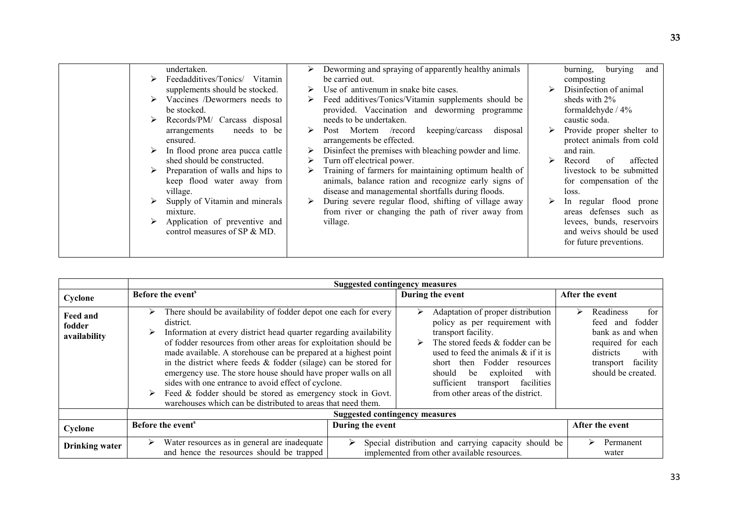|  | undertaken.                      |   | Deworming and spraying of apparently healthy animals   |   | burying<br>burning,<br>and |
|--|----------------------------------|---|--------------------------------------------------------|---|----------------------------|
|  | Feedadditives/Tonics/ Vitamin    |   | be carried out.                                        |   | composting                 |
|  | supplements should be stocked.   | ➤ | Use of antivenum in snake bite cases.                  |   | Disinfection of animal     |
|  | Vaccines /Dewormers needs to     | ➤ | Feed additives/Tonics/Vitamin supplements should be    |   | sheds with $2\%$           |
|  | be stocked.                      |   | provided. Vaccination and deworming programme          |   | formaldehyde / 4%          |
|  | Records/PM/ Carcass disposal     |   | needs to be undertaken.                                |   | caustic soda.              |
|  | needs to be<br>arrangements      | ➤ | keeping/carcass<br>Post Mortem /record<br>disposal     |   | Provide proper shelter to  |
|  | ensured.                         |   | arrangements be effected.                              |   | protect animals from cold  |
|  | In flood prone area pucca cattle | ➤ | Disinfect the premises with bleaching powder and lime. |   | and rain.                  |
|  | shed should be constructed.      |   | Turn off electrical power.                             |   | affected<br>Record<br>of   |
|  | Preparation of walls and hips to |   | Training of farmers for maintaining optimum health of  |   | livestock to be submitted  |
|  | keep flood water away from       |   | animals, balance ration and recognize early signs of   |   | for compensation of the    |
|  | village.                         |   | disease and managemental shortfalls during floods.     |   | loss.                      |
|  | Supply of Vitamin and minerals   | ➤ | During severe regular flood, shifting of village away  | ➤ | In regular flood prone     |
|  | mixture.                         |   | from river or changing the path of river away from     |   | defenses such as<br>areas  |
|  | Application of preventive and    |   | village.                                               |   | levees, bunds, reservoirs  |
|  | control measures of SP & MD.     |   |                                                        |   | and weivs should be used   |
|  |                                  |   |                                                        |   | for future preventions.    |
|  |                                  |   |                                                        |   |                            |
|  |                                  |   |                                                        |   |                            |

|                                    |                                                                                                                                                                                                                                                                                                                                                                                                                                                                                                                                                                                                                                  | <b>Suggested contingency measures</b> |                                                                                                                                                                                                                                                                                                                                      |                                                                                                                                                             |  |  |  |
|------------------------------------|----------------------------------------------------------------------------------------------------------------------------------------------------------------------------------------------------------------------------------------------------------------------------------------------------------------------------------------------------------------------------------------------------------------------------------------------------------------------------------------------------------------------------------------------------------------------------------------------------------------------------------|---------------------------------------|--------------------------------------------------------------------------------------------------------------------------------------------------------------------------------------------------------------------------------------------------------------------------------------------------------------------------------------|-------------------------------------------------------------------------------------------------------------------------------------------------------------|--|--|--|
| Cyclone                            | Before the event <sup>s</sup>                                                                                                                                                                                                                                                                                                                                                                                                                                                                                                                                                                                                    |                                       | During the event                                                                                                                                                                                                                                                                                                                     | After the event                                                                                                                                             |  |  |  |
| Feed and<br>fodder<br>availability | There should be availability of fodder depot one each for every<br>➤<br>district.<br>Information at every district head quarter regarding availability<br>➤<br>of fodder resources from other areas for exploitation should be<br>made available. A storehouse can be prepared at a highest point<br>in the district where feeds & fodder (silage) can be stored for<br>emergency use. The store house should have proper walls on all<br>sides with one entrance to avoid effect of cyclone.<br>Feed & fodder should be stored as emergency stock in Govt.<br>➤<br>warehouses which can be distributed to areas that need them. |                                       | Adaptation of proper distribution<br>⋗<br>policy as per requirement with<br>transport facility.<br>The stored feeds & fodder can be<br>➤<br>used to feed the animals $\&$ if it is<br>short then Fodder resources<br>should<br>exploited<br>be<br>with<br>facilities<br>sufficient<br>transport<br>from other areas of the district. | for<br>Readiness<br>➤<br>fodder<br>feed<br>and<br>bank as and when<br>required for each<br>districts<br>with<br>facility<br>transport<br>should be created. |  |  |  |
|                                    | <b>Suggested contingency measures</b>                                                                                                                                                                                                                                                                                                                                                                                                                                                                                                                                                                                            |                                       |                                                                                                                                                                                                                                                                                                                                      |                                                                                                                                                             |  |  |  |
| Cyclone                            | Before the event <sup>s</sup>                                                                                                                                                                                                                                                                                                                                                                                                                                                                                                                                                                                                    | During the event                      |                                                                                                                                                                                                                                                                                                                                      | After the event                                                                                                                                             |  |  |  |
| <b>Drinking water</b>              | Water resources as in general are inadequate<br>➤<br>and hence the resources should be trapped                                                                                                                                                                                                                                                                                                                                                                                                                                                                                                                                   | ➤                                     | Special distribution and carrying capacity should be<br>implemented from other available resources.                                                                                                                                                                                                                                  | Permanent<br>⋗<br>water                                                                                                                                     |  |  |  |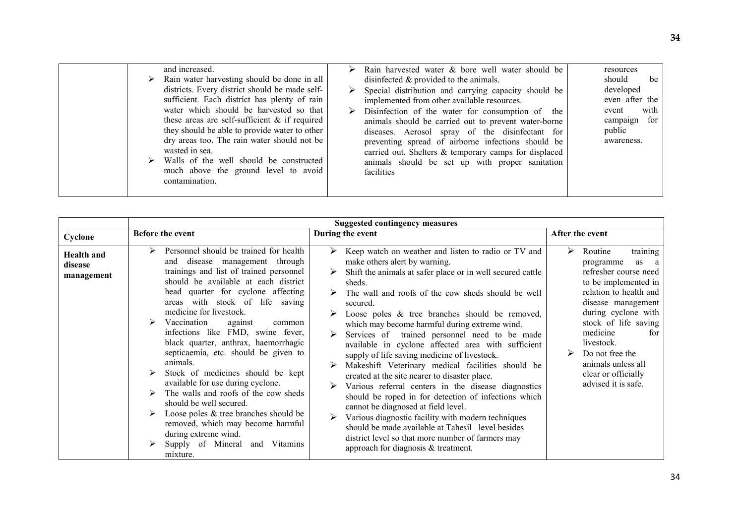| and increased.<br>Rain water harvesting should be done in all<br>➤<br>districts. Every district should be made self-<br>sufficient. Each district has plenty of rain<br>water which should be harvested so that<br>these areas are self-sufficient $\&$ if required<br>they should be able to provide water to other<br>dry areas too. The rain water should not be<br>wasted in sea.<br>Walls of the well should be constructed<br>much above the ground level to avoid<br>contamination. | Rain harvested water & bore well water should be<br>disinfected $\&$ provided to the animals.<br>Special distribution and carrying capacity should be<br>implemented from other available resources.<br>Disinfection of the water for consumption of the<br>animals should be carried out to prevent water-borne<br>diseases. Aerosol spray of the disinfectant for<br>preventing spread of airborne infections should be<br>carried out. Shelters & temporary camps for displaced<br>animals should be set up with proper sanitation<br>facilities | resources<br>should<br>be<br>developed<br>even after the<br>with<br>event<br>campaign for<br>public<br>awareness. |
|--------------------------------------------------------------------------------------------------------------------------------------------------------------------------------------------------------------------------------------------------------------------------------------------------------------------------------------------------------------------------------------------------------------------------------------------------------------------------------------------|-----------------------------------------------------------------------------------------------------------------------------------------------------------------------------------------------------------------------------------------------------------------------------------------------------------------------------------------------------------------------------------------------------------------------------------------------------------------------------------------------------------------------------------------------------|-------------------------------------------------------------------------------------------------------------------|
|--------------------------------------------------------------------------------------------------------------------------------------------------------------------------------------------------------------------------------------------------------------------------------------------------------------------------------------------------------------------------------------------------------------------------------------------------------------------------------------------|-----------------------------------------------------------------------------------------------------------------------------------------------------------------------------------------------------------------------------------------------------------------------------------------------------------------------------------------------------------------------------------------------------------------------------------------------------------------------------------------------------------------------------------------------------|-------------------------------------------------------------------------------------------------------------------|

|                                            | <b>Suggested contingency measures</b>                                                                                                                                                                                                                                                                                                                                                                                                                                                                                                                                                                                                                                                                                                          |                                                                                                                                                                                                                                                                                                                                                                                                                                                                                                                                                                                                                                                                                                                                                                                                                                                                                                                                                                       |                                                                                                                                                                                                                                                                                                                       |  |  |
|--------------------------------------------|------------------------------------------------------------------------------------------------------------------------------------------------------------------------------------------------------------------------------------------------------------------------------------------------------------------------------------------------------------------------------------------------------------------------------------------------------------------------------------------------------------------------------------------------------------------------------------------------------------------------------------------------------------------------------------------------------------------------------------------------|-----------------------------------------------------------------------------------------------------------------------------------------------------------------------------------------------------------------------------------------------------------------------------------------------------------------------------------------------------------------------------------------------------------------------------------------------------------------------------------------------------------------------------------------------------------------------------------------------------------------------------------------------------------------------------------------------------------------------------------------------------------------------------------------------------------------------------------------------------------------------------------------------------------------------------------------------------------------------|-----------------------------------------------------------------------------------------------------------------------------------------------------------------------------------------------------------------------------------------------------------------------------------------------------------------------|--|--|
| Cyclone                                    | Before the event                                                                                                                                                                                                                                                                                                                                                                                                                                                                                                                                                                                                                                                                                                                               | During the event                                                                                                                                                                                                                                                                                                                                                                                                                                                                                                                                                                                                                                                                                                                                                                                                                                                                                                                                                      | After the event                                                                                                                                                                                                                                                                                                       |  |  |
| <b>Health and</b><br>disease<br>management | Personnel should be trained for health<br>and disease management through<br>trainings and list of trained personnel<br>should be available at each district<br>head quarter for cyclone affecting<br>with stock of life saving<br>areas<br>medicine for livestock.<br>Vaccination<br>against<br>common<br>infections like FMD, swine fever,<br>black quarter, anthrax, haemorrhagic<br>septicaemia, etc. should be given to<br>animals.<br>Stock of medicines should be kept<br>available for use during cyclone.<br>The walls and roofs of the cow sheds<br>should be well secured.<br>Loose poles & tree branches should be<br>removed, which may become harmful<br>during extreme wind.<br>Supply of Mineral<br>Vitamins<br>and<br>mixture. | Keep watch on weather and listen to radio or TV and<br>➤<br>make others alert by warning.<br>Shift the animals at safer place or in well secured cattle<br>sheds.<br>The wall and roofs of the cow sheds should be well<br>secured.<br>Loose poles $\&$ tree branches should be removed,<br>which may become harmful during extreme wind.<br>Services of trained personnel need to be made<br>available in cyclone affected area with sufficient<br>supply of life saving medicine of livestock.<br>Makeshift Veterinary medical facilities should be<br>created at the site nearer to disaster place.<br>Various referral centers in the disease diagnostics<br>should be roped in for detection of infections which<br>cannot be diagnosed at field level.<br>Various diagnostic facility with modern techniques<br>should be made available at Tahesil level besides<br>district level so that more number of farmers may<br>approach for diagnosis $&$ treatment. | ⋗<br>Routine<br>training<br>as a<br>programme<br>refresher course need<br>to be implemented in<br>relation to health and<br>disease management<br>during cyclone with<br>stock of life saving<br>medicine<br>for<br>livestock.<br>Do not free the<br>animals unless all<br>clear or officially<br>advised it is safe. |  |  |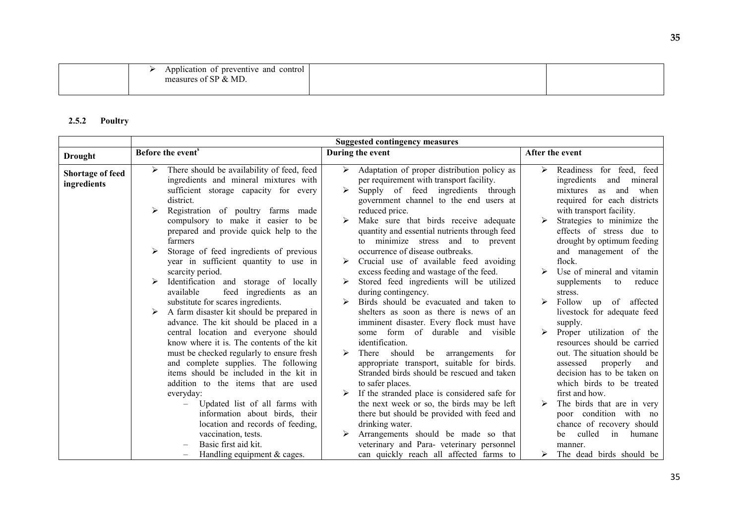| control<br>Application<br>preventive and<br>-01<br>. .<br>& MD<br>$^{\circ}$ CD $_{\star}$ .<br>measures<br>- OT |  |
|------------------------------------------------------------------------------------------------------------------|--|
|                                                                                                                  |  |

### 2.5.2 Poultry

|                                        | <b>Suggested contingency measures</b>                                                                                                                                    |                                                                                                                                                                              |                                                                                                                                                    |  |  |
|----------------------------------------|--------------------------------------------------------------------------------------------------------------------------------------------------------------------------|------------------------------------------------------------------------------------------------------------------------------------------------------------------------------|----------------------------------------------------------------------------------------------------------------------------------------------------|--|--|
| <b>Drought</b>                         | Before the event <sup>s</sup>                                                                                                                                            | During the event                                                                                                                                                             | After the event                                                                                                                                    |  |  |
| <b>Shortage of feed</b><br>ingredients | There should be availability of feed, feed<br>➤<br>ingredients and mineral mixtures with<br>sufficient storage capacity for every<br>district.                           | Adaptation of proper distribution policy as<br>➤<br>per requirement with transport facility.<br>Supply of feed ingredients through<br>government channel to the end users at | Readiness for feed, feed<br>$\blacktriangleright$<br>ingredients<br>and<br>mineral<br>and<br>when<br>mixtures<br>as<br>required for each districts |  |  |
|                                        | Registration of poultry farms made<br>compulsory to make it easier to be<br>prepared and provide quick help to the<br>farmers                                            | reduced price.<br>Make sure that birds receive adequate<br>quantity and essential nutrients through feed<br>minimize stress and to<br>prevent<br>to                          | with transport facility.<br>Strategies to minimize the<br>effects of stress due to<br>drought by optimum feeding                                   |  |  |
|                                        | Storage of feed ingredients of previous<br>year in sufficient quantity to use in<br>scarcity period.                                                                     | occurrence of disease outbreaks.<br>Crucial use of available feed avoiding<br>excess feeding and wastage of the feed.                                                        | and management of the<br>flock.<br>Use of mineral and vitamin                                                                                      |  |  |
|                                        | Identification and storage of locally<br>available<br>feed ingredients as an<br>substitute for scares ingredients.                                                       | Stored feed ingredients will be utilized<br>during contingency.<br>Birds should be evacuated and taken to                                                                    | supplements<br>reduce<br>to<br>stress.<br>Follow<br>of<br>affected                                                                                 |  |  |
|                                        | A farm disaster kit should be prepared in<br>advance. The kit should be placed in a<br>central location and everyone should<br>know where it is. The contents of the kit | shelters as soon as there is news of an<br>imminent disaster. Every flock must have<br>some form of durable and visible<br>identification.                                   | up<br>livestock for adequate feed<br>supply.<br>Proper utilization of the<br>➤<br>resources should be carried                                      |  |  |
|                                        | must be checked regularly to ensure fresh<br>and complete supplies. The following<br>items should be included in the kit in<br>addition to the items that are used       | There should<br>be<br>arrangements<br>for<br>appropriate transport, suitable for birds.<br>Stranded birds should be rescued and taken<br>to safer places.                    | out. The situation should be<br>assessed<br>properly<br>and<br>decision has to be taken on<br>which birds to be treated                            |  |  |
|                                        | everyday:<br>Updated list of all farms with<br>information about birds, their<br>location and records of feeding,                                                        | If the stranded place is considered safe for<br>the next week or so, the birds may be left<br>there but should be provided with feed and<br>drinking water.                  | first and how.<br>The birds that are in very<br>poor condition with no<br>chance of recovery should                                                |  |  |
|                                        | vaccination, tests.<br>Basic first aid kit.<br>Handling equipment $&$ cages.                                                                                             | Arrangements should be made so that<br>veterinary and Para- veterinary personnel<br>can quickly reach all affected farms to                                                  | culled<br>humane<br>in<br>be<br>manner.<br>The dead birds should be                                                                                |  |  |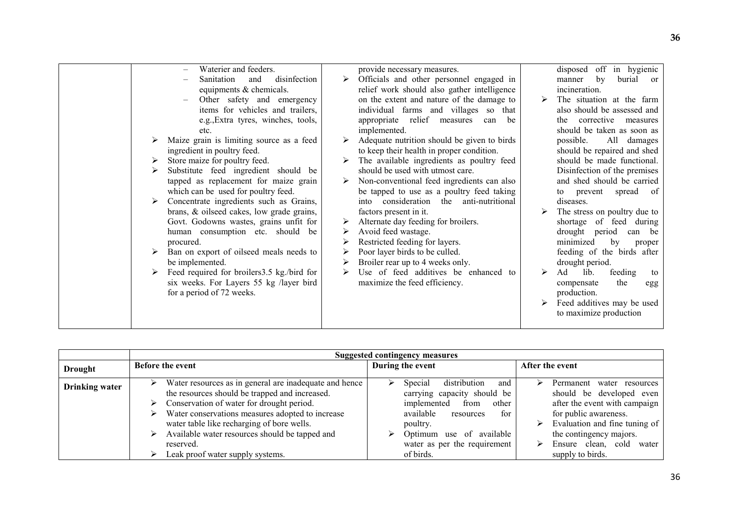|                       | Waterier and feeders.<br>disinfection<br>and<br>Sanitation<br>equipments & chemicals.<br>Other safety and emergency<br>items for vehicles and trailers,<br>e.g., Extra tyres, winches, tools,<br>etc.<br>Maize grain is limiting source as a feed<br>➤<br>ingredient in poultry feed.<br>Store maize for poultry feed.<br>➤<br>Substitute feed ingredient should be<br>⋗<br>tapped as replacement for maize grain<br>which can be used for poultry feed.<br>Concentrate ingredients such as Grains,<br>➤<br>brans, & oilseed cakes, low grade grains,<br>Govt. Godowns wastes, grains unfit for<br>human consumption etc. should be<br>procured.<br>Ban on export of oilseed meals needs to<br>➤<br>be implemented.<br>Feed required for broilers3.5 kg./bird for<br>$\blacktriangleright$<br>six weeks. For Layers 55 kg /layer bird<br>for a period of 72 weeks. | ➤<br>➤<br>≻<br>➤<br>➤<br>➤<br>➤<br>≻<br>➤<br>$\blacktriangleright$ | provide necessary measures.<br>Officials and other personnel engaged in<br>relief work should also gather intelligence<br>on the extent and nature of the damage to<br>individual farms and villages so that<br>appropriate relief measures<br>can<br>be<br>implemented.<br>Adequate nutrition should be given to birds<br>to keep their health in proper condition.<br>The available ingredients as poultry feed<br>should be used with utmost care.<br>Non-conventional feed ingredients can also<br>be tapped to use as a poultry feed taking<br>into consideration the anti-nutritional<br>factors present in it.<br>Alternate day feeding for broilers.<br>Avoid feed wastage.<br>Restricted feeding for layers.<br>Poor layer birds to be culled.<br>Broiler rear up to 4 weeks only.<br>Use of feed additives be enhanced to<br>maximize the feed efficiency. | ≻<br>↘<br>➤     | disposed off in hygienic<br>by<br>burial or<br>manner<br>incineration.<br>The situation at the farm<br>also should be assessed and<br>corrective measures<br>the<br>should be taken as soon as<br>possible.<br>All damages<br>should be repaired and shed<br>should be made functional.<br>Disinfection of the premises<br>and shed should be carried<br>prevent spread<br>of<br>to<br>diseases.<br>The stress on poultry due to<br>shortage of feed during<br>drought period<br>can be<br>minimized<br>by<br>proper<br>feeding of the birds after<br>drought period.<br>Ad<br>feeding<br>lib.<br>to<br>the<br>compensate<br>egg<br>production.<br>Feed additives may be used<br>to maximize production |
|-----------------------|--------------------------------------------------------------------------------------------------------------------------------------------------------------------------------------------------------------------------------------------------------------------------------------------------------------------------------------------------------------------------------------------------------------------------------------------------------------------------------------------------------------------------------------------------------------------------------------------------------------------------------------------------------------------------------------------------------------------------------------------------------------------------------------------------------------------------------------------------------------------|--------------------------------------------------------------------|----------------------------------------------------------------------------------------------------------------------------------------------------------------------------------------------------------------------------------------------------------------------------------------------------------------------------------------------------------------------------------------------------------------------------------------------------------------------------------------------------------------------------------------------------------------------------------------------------------------------------------------------------------------------------------------------------------------------------------------------------------------------------------------------------------------------------------------------------------------------|-----------------|---------------------------------------------------------------------------------------------------------------------------------------------------------------------------------------------------------------------------------------------------------------------------------------------------------------------------------------------------------------------------------------------------------------------------------------------------------------------------------------------------------------------------------------------------------------------------------------------------------------------------------------------------------------------------------------------------------|
|                       |                                                                                                                                                                                                                                                                                                                                                                                                                                                                                                                                                                                                                                                                                                                                                                                                                                                                    |                                                                    |                                                                                                                                                                                                                                                                                                                                                                                                                                                                                                                                                                                                                                                                                                                                                                                                                                                                      |                 |                                                                                                                                                                                                                                                                                                                                                                                                                                                                                                                                                                                                                                                                                                         |
|                       | <b>Before the event</b>                                                                                                                                                                                                                                                                                                                                                                                                                                                                                                                                                                                                                                                                                                                                                                                                                                            |                                                                    | <b>Suggested contingency measures</b><br>During the event                                                                                                                                                                                                                                                                                                                                                                                                                                                                                                                                                                                                                                                                                                                                                                                                            | After the event |                                                                                                                                                                                                                                                                                                                                                                                                                                                                                                                                                                                                                                                                                                         |
| <b>Drought</b>        |                                                                                                                                                                                                                                                                                                                                                                                                                                                                                                                                                                                                                                                                                                                                                                                                                                                                    |                                                                    |                                                                                                                                                                                                                                                                                                                                                                                                                                                                                                                                                                                                                                                                                                                                                                                                                                                                      |                 |                                                                                                                                                                                                                                                                                                                                                                                                                                                                                                                                                                                                                                                                                                         |
| <b>Drinking</b> water | Water resources as in general are inadequate and hence<br>➤<br>the resources should be trapped and increased.<br>Conservation of water for drought period.<br>➤<br>Water conservations measures adopted to increase<br>➤<br>water table like recharging of bore wells.<br>Available water resources should be tapped and<br>➤<br>reserved.<br>Leak proof water supply systems.<br>➤                                                                                                                                                                                                                                                                                                                                                                                                                                                                                |                                                                    | distribution<br>➤<br>Special<br>and<br>carrying capacity should be<br>implemented<br>from<br>other<br>available<br>for<br>resources<br>poultry.<br>Optimum use of available<br>≻<br>water as per the requirement<br>of birds.                                                                                                                                                                                                                                                                                                                                                                                                                                                                                                                                                                                                                                        | ➤<br>➤<br>➤     | Permanent water resources<br>should be developed even<br>after the event with campaign<br>for public awareness.<br>Evaluation and fine tuning of<br>the contingency majors.<br>Ensure clean, cold water<br>supply to birds.                                                                                                                                                                                                                                                                                                                                                                                                                                                                             |
|                       |                                                                                                                                                                                                                                                                                                                                                                                                                                                                                                                                                                                                                                                                                                                                                                                                                                                                    |                                                                    |                                                                                                                                                                                                                                                                                                                                                                                                                                                                                                                                                                                                                                                                                                                                                                                                                                                                      |                 |                                                                                                                                                                                                                                                                                                                                                                                                                                                                                                                                                                                                                                                                                                         |

|                       | <b>Suggested contingency measures</b>                                                                                                                                                                                                                                                                                                                                                      |                                                                                                                                                                                                                     |                                                                                                                                                                                                                                                  |  |  |
|-----------------------|--------------------------------------------------------------------------------------------------------------------------------------------------------------------------------------------------------------------------------------------------------------------------------------------------------------------------------------------------------------------------------------------|---------------------------------------------------------------------------------------------------------------------------------------------------------------------------------------------------------------------|--------------------------------------------------------------------------------------------------------------------------------------------------------------------------------------------------------------------------------------------------|--|--|
| <b>Drought</b>        | <b>Before the event</b>                                                                                                                                                                                                                                                                                                                                                                    | During the event                                                                                                                                                                                                    | After the event                                                                                                                                                                                                                                  |  |  |
| <b>Drinking water</b> | Water resources as in general are inadequate and hence<br>⋗<br>the resources should be trapped and increased.<br>$\triangleright$ Conservation of water for drought period.<br>Water conservations measures adopted to increase<br>⋗<br>water table like recharging of bore wells.<br>Available water resources should be tapped and<br>➤<br>reserved.<br>Leak proof water supply systems. | distribution<br>Special<br>and<br>carrying capacity should be<br>implemented<br>other<br>from<br>available<br>for<br>resources<br>poultry.<br>Optimum use of available<br>water as per the requirement<br>of birds. | Permanent water resources<br>⋗<br>should be developed even<br>after the event with campaign<br>for public awareness.<br>Evaluation and fine tuning of<br>⋗<br>the contingency majors.<br>Ensure clean,<br>cold<br>water<br>⋗<br>supply to birds. |  |  |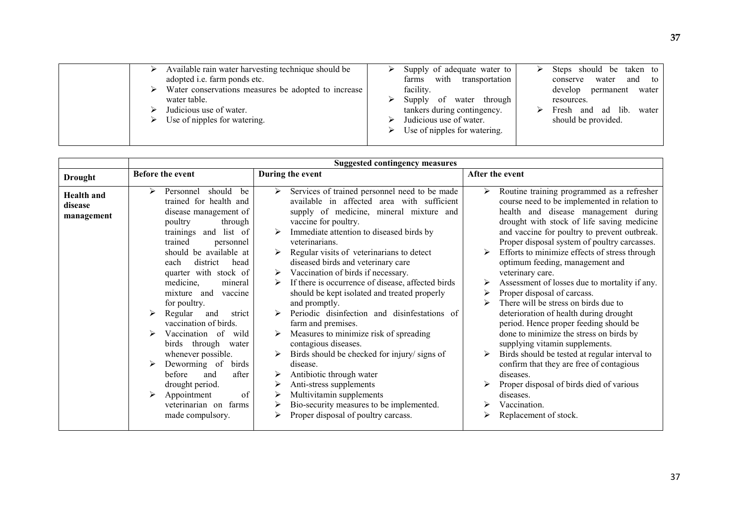| Available rain water harvesting technique should be<br>adopted i.e. farm ponds etc.<br>Water conservations measures be adopted to increase<br>water table.<br>Judicious use of water.<br>Use of nipples for watering. | Supply of adequate water to<br>with transportation<br>farms<br>facility.<br>of water through<br>Supply<br>tankers during contingency.<br>Judicious use of water.<br>Use of nipples for watering. | Steps should be taken to<br>and to<br>water<br>conserve<br>develop<br>permanent<br>water<br>resources.<br>Fresh and ad lib.<br>water<br>should be provided. |
|-----------------------------------------------------------------------------------------------------------------------------------------------------------------------------------------------------------------------|--------------------------------------------------------------------------------------------------------------------------------------------------------------------------------------------------|-------------------------------------------------------------------------------------------------------------------------------------------------------------|
|                                                                                                                                                                                                                       |                                                                                                                                                                                                  |                                                                                                                                                             |

|                                            | <b>Suggested contingency measures</b>                                                                                                                                                                                                                                                                                                                                                                                                                                                                                                                                                         |                                                                                                                                                                                                                                                                                                                                                                                                                                                                                                                                                                                                                                                                                                                                                                                                                                                                                                                                 |                                                                                                                                                                                                                                                                                                                                                                                                                                                                                                                                                                                                                                                                                                                                                                                                                                                                                                              |  |  |  |
|--------------------------------------------|-----------------------------------------------------------------------------------------------------------------------------------------------------------------------------------------------------------------------------------------------------------------------------------------------------------------------------------------------------------------------------------------------------------------------------------------------------------------------------------------------------------------------------------------------------------------------------------------------|---------------------------------------------------------------------------------------------------------------------------------------------------------------------------------------------------------------------------------------------------------------------------------------------------------------------------------------------------------------------------------------------------------------------------------------------------------------------------------------------------------------------------------------------------------------------------------------------------------------------------------------------------------------------------------------------------------------------------------------------------------------------------------------------------------------------------------------------------------------------------------------------------------------------------------|--------------------------------------------------------------------------------------------------------------------------------------------------------------------------------------------------------------------------------------------------------------------------------------------------------------------------------------------------------------------------------------------------------------------------------------------------------------------------------------------------------------------------------------------------------------------------------------------------------------------------------------------------------------------------------------------------------------------------------------------------------------------------------------------------------------------------------------------------------------------------------------------------------------|--|--|--|
| <b>Drought</b>                             | <b>Before the event</b>                                                                                                                                                                                                                                                                                                                                                                                                                                                                                                                                                                       | During the event                                                                                                                                                                                                                                                                                                                                                                                                                                                                                                                                                                                                                                                                                                                                                                                                                                                                                                                | After the event                                                                                                                                                                                                                                                                                                                                                                                                                                                                                                                                                                                                                                                                                                                                                                                                                                                                                              |  |  |  |
| <b>Health</b> and<br>disease<br>management | should<br>⋗<br>Personnel<br>be<br>trained for health and<br>disease management of<br>poultry<br>through<br>and list of<br>trainings<br>trained<br>personnel<br>should be available at<br>district<br>head<br>each<br>quarter with stock of<br>medicine,<br>mineral<br>mixture and<br>vaccine<br>for poultry.<br>Regular<br>⋗<br>and<br>strict<br>vaccination of birds.<br>Vaccination of<br>wild<br>birds through<br>water<br>whenever possible.<br>Deworming of<br>birds<br>before<br>after<br>and<br>drought period.<br>of<br>≻<br>Appointment<br>veterinarian on farms<br>made compulsory. | Services of trained personnel need to be made<br>$\blacktriangleright$<br>available in affected area with sufficient<br>supply of medicine, mineral mixture and<br>vaccine for poultry.<br>Immediate attention to diseased birds by<br>veterinarians.<br>Regular visits of veterinarians to detect<br>$\blacktriangleright$<br>diseased birds and veterinary care<br>Vaccination of birds if necessary.<br>➤<br>If there is occurrence of disease, affected birds<br>should be kept isolated and treated properly<br>and promptly.<br>Periodic disinfection and disinfestations of<br>⋗<br>farm and premises.<br>Measures to minimize risk of spreading<br>contagious diseases.<br>Birds should be checked for injury/signs of<br>disease.<br>Antibiotic through water<br>➤<br>Anti-stress supplements<br>Multivitamin supplements<br>➤<br>Bio-security measures to be implemented.<br>≻<br>Proper disposal of poultry carcass. | Routine training programmed as a refresher<br>➤<br>course need to be implemented in relation to<br>health and disease management during<br>drought with stock of life saving medicine<br>and vaccine for poultry to prevent outbreak.<br>Proper disposal system of poultry carcasses.<br>Efforts to minimize effects of stress through<br>➤<br>optimum feeding, management and<br>veterinary care.<br>Assessment of losses due to mortality if any.<br>Proper disposal of carcass.<br>There will be stress on birds due to<br>⋗<br>deterioration of health during drought<br>period. Hence proper feeding should be<br>done to minimize the stress on birds by<br>supplying vitamin supplements.<br>Birds should be tested at regular interval to<br>confirm that they are free of contagious<br>diseases.<br>Proper disposal of birds died of various<br>diseases.<br>Vaccination.<br>Replacement of stock. |  |  |  |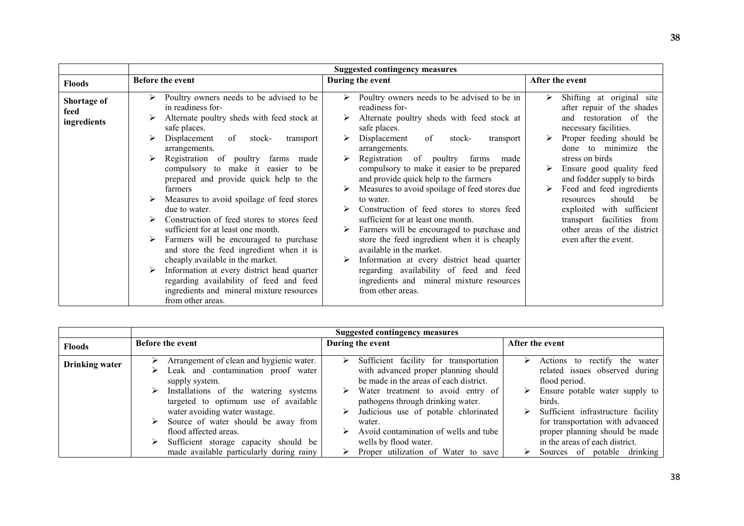|                                    |                                                                                                                                                                                                                                                                                                                                                                                                                                                                                                                                                                                                           | <b>Suggested contingency measures</b>                                                                                                                                                                                                                                                                                                                                                                                                                                                                                                                                                                                                                |                                                                                                                                                                                                                                                                                                                                                                                                                         |  |
|------------------------------------|-----------------------------------------------------------------------------------------------------------------------------------------------------------------------------------------------------------------------------------------------------------------------------------------------------------------------------------------------------------------------------------------------------------------------------------------------------------------------------------------------------------------------------------------------------------------------------------------------------------|------------------------------------------------------------------------------------------------------------------------------------------------------------------------------------------------------------------------------------------------------------------------------------------------------------------------------------------------------------------------------------------------------------------------------------------------------------------------------------------------------------------------------------------------------------------------------------------------------------------------------------------------------|-------------------------------------------------------------------------------------------------------------------------------------------------------------------------------------------------------------------------------------------------------------------------------------------------------------------------------------------------------------------------------------------------------------------------|--|
| <b>Floods</b>                      | Before the event                                                                                                                                                                                                                                                                                                                                                                                                                                                                                                                                                                                          | During the event                                                                                                                                                                                                                                                                                                                                                                                                                                                                                                                                                                                                                                     | After the event                                                                                                                                                                                                                                                                                                                                                                                                         |  |
| Shortage of<br>feed<br>ingredients | Poultry owners needs to be advised to be<br>in readiness for-<br>Alternate poultry sheds with feed stock at<br>safe places.<br>Displacement<br>of<br>stock-<br>transport<br>arrangements.<br>Registration of poultry farms<br>made<br>compulsory to make it easier to be<br>prepared and provide quick help to the<br>farmers<br>Measures to avoid spoilage of feed stores<br>due to water.<br>Construction of feed stores to stores feed<br>sufficient for at least one month.<br>Farmers will be encouraged to purchase<br>and store the feed ingredient when it is<br>cheaply available in the market. | Poultry owners needs to be advised to be in<br>readiness for-<br>Alternate poultry sheds with feed stock at<br>safe places.<br>Displacement<br>of<br>transport<br>stock-<br>arrangements.<br>Registration of poultry farms<br>made<br>compulsory to make it easier to be prepared<br>and provide quick help to the farmers<br>Measures to avoid spoilage of feed stores due<br>to water.<br>Construction of feed stores to stores feed<br>sufficient for at least one month.<br>Farmers will be encouraged to purchase and<br>store the feed ingredient when it is cheaply<br>available in the market.<br>Information at every district head quarter | Shifting at original site<br>after repair of the shades<br>and restoration of the<br>necessary facilities.<br>Proper feeding should be<br>done to minimize the<br>stress on birds<br>Ensure good quality feed<br>and fodder supply to birds<br>Feed and feed ingredients<br>should<br>be<br>resources<br>exploited with sufficient<br>transport facilities from<br>other areas of the district<br>even after the event. |  |
|                                    | Information at every district head quarter<br>regarding availability of feed and feed<br>ingredients and mineral mixture resources                                                                                                                                                                                                                                                                                                                                                                                                                                                                        | regarding availability of feed and feed<br>ingredients and mineral mixture resources<br>from other areas.                                                                                                                                                                                                                                                                                                                                                                                                                                                                                                                                            |                                                                                                                                                                                                                                                                                                                                                                                                                         |  |

|                       | <b>Suggested contingency measures</b>                                                                 |                                                                                                                               |                                                                                                                                            |  |  |
|-----------------------|-------------------------------------------------------------------------------------------------------|-------------------------------------------------------------------------------------------------------------------------------|--------------------------------------------------------------------------------------------------------------------------------------------|--|--|
| <b>Floods</b>         | <b>Before the event</b>                                                                               | During the event                                                                                                              | After the event                                                                                                                            |  |  |
| <b>Drinking water</b> | Arrangement of clean and hygienic water.<br>⋗<br>Leak and contamination proof water<br>supply system. | Sufficient facility for transportation<br>➤<br>with advanced proper planning should<br>be made in the areas of each district. | Actions to rectify the water<br>➤<br>related issues observed during<br>flood period.                                                       |  |  |
|                       | Installations of the watering systems<br>targeted to optimum use of available                         | Water treatment to avoid entry of<br>➤<br>pathogens through drinking water.                                                   | Ensure potable water supply to<br>birds.                                                                                                   |  |  |
|                       | water avoiding water wastage.<br>Source of water should be away from<br>flood affected areas.         | Judicious use of potable chlorinated<br>⋗<br>water.<br>Avoid contamination of wells and tube                                  | Sufficient infrastructure facility<br>for transportation with advanced<br>proper planning should be made<br>in the areas of each district. |  |  |
|                       | Sufficient storage capacity should be<br>made available particularly during rainy                     | wells by flood water.<br>Proper utilization of Water to save                                                                  | Sources of potable drinking                                                                                                                |  |  |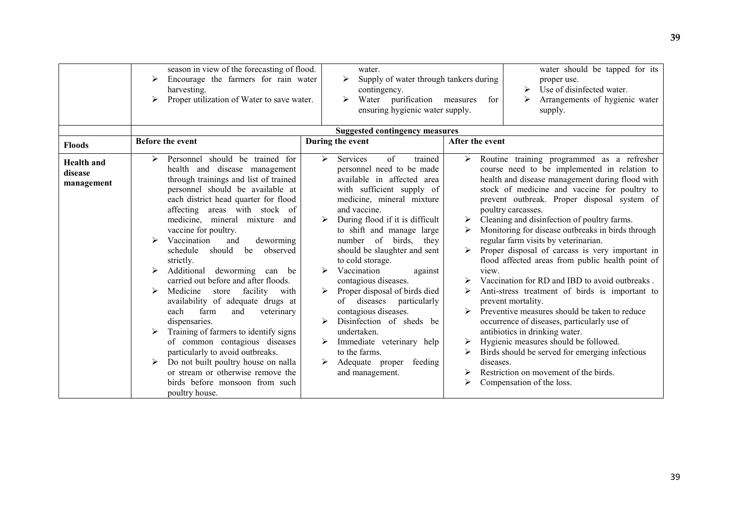|                                            | season in view of the forecasting of flood.<br>Encourage the farmers for rain water<br>harvesting.<br>Proper utilization of Water to save water.<br>➤                                                                                                                                                                                                                                                                                                                                                                                                                                                                                                                                                                                                                                                                                                               | water.<br>Supply of water through tankers during<br>contingency.<br>Water purification measures<br>ensuring hygienic water supply.                                                                                                                                                                                                                                                                                                                                                                                                                                                                                                                                                              | water should be tapped for its<br>proper use.<br>Use of disinfected water.<br>Arrangements of hygienic water<br>for<br>supply.                                                                                                                                                                                                                                                                                                                                                                                                                                                                                                                                                                                                                                                                                                                                                                                                                                                                                             |
|--------------------------------------------|---------------------------------------------------------------------------------------------------------------------------------------------------------------------------------------------------------------------------------------------------------------------------------------------------------------------------------------------------------------------------------------------------------------------------------------------------------------------------------------------------------------------------------------------------------------------------------------------------------------------------------------------------------------------------------------------------------------------------------------------------------------------------------------------------------------------------------------------------------------------|-------------------------------------------------------------------------------------------------------------------------------------------------------------------------------------------------------------------------------------------------------------------------------------------------------------------------------------------------------------------------------------------------------------------------------------------------------------------------------------------------------------------------------------------------------------------------------------------------------------------------------------------------------------------------------------------------|----------------------------------------------------------------------------------------------------------------------------------------------------------------------------------------------------------------------------------------------------------------------------------------------------------------------------------------------------------------------------------------------------------------------------------------------------------------------------------------------------------------------------------------------------------------------------------------------------------------------------------------------------------------------------------------------------------------------------------------------------------------------------------------------------------------------------------------------------------------------------------------------------------------------------------------------------------------------------------------------------------------------------|
|                                            |                                                                                                                                                                                                                                                                                                                                                                                                                                                                                                                                                                                                                                                                                                                                                                                                                                                                     | <b>Suggested contingency measures</b>                                                                                                                                                                                                                                                                                                                                                                                                                                                                                                                                                                                                                                                           |                                                                                                                                                                                                                                                                                                                                                                                                                                                                                                                                                                                                                                                                                                                                                                                                                                                                                                                                                                                                                            |
| <b>Floods</b>                              | <b>Before the event</b>                                                                                                                                                                                                                                                                                                                                                                                                                                                                                                                                                                                                                                                                                                                                                                                                                                             | During the event                                                                                                                                                                                                                                                                                                                                                                                                                                                                                                                                                                                                                                                                                | After the event                                                                                                                                                                                                                                                                                                                                                                                                                                                                                                                                                                                                                                                                                                                                                                                                                                                                                                                                                                                                            |
| <b>Health</b> and<br>disease<br>management | Personnel should be trained for<br>⋗<br>health and disease management<br>through trainings and list of trained<br>personnel should be available at<br>each district head quarter for flood<br>affecting areas with stock of<br>medicine, mineral mixture and<br>vaccine for poultry.<br>Vaccination<br>and<br>deworming<br>should<br>be<br>schedule<br>observed<br>strictly.<br>Additional deworming can be<br>➤<br>carried out before and after floods.<br>Medicine<br>facility<br>with<br>store<br>availability of adequate drugs at<br>each<br>farm<br>and<br>veterinary<br>dispensaries.<br>Training of farmers to identify signs<br>of common contagious diseases<br>particularly to avoid outbreaks.<br>Do not built poultry house on nalla<br>$\blacktriangleright$<br>or stream or otherwise remove the<br>birds before monsoon from such<br>poultry house. | $\triangleright$<br>Services<br>$\sigma$ f<br>trained<br>personnel need to be made<br>available in affected area<br>with sufficient supply of<br>medicine, mineral mixture<br>and vaccine.<br>During flood if it is difficult<br>➤<br>to shift and manage large<br>number of birds,<br>they<br>should be slaughter and sent<br>to cold storage.<br>⋗<br>Vaccination<br>against<br>contagious diseases.<br>Proper disposal of birds died<br>$\blacktriangleright$<br>of diseases<br>particularly<br>contagious diseases.<br>Disinfection of sheds be<br>➤<br>undertaken.<br>Immediate veterinary help<br>to the farms.<br>$\blacktriangleright$<br>feeding<br>Adequate proper<br>and management. | Routine training programmed as a refresher<br>$\blacktriangleright$<br>course need to be implemented in relation to<br>health and disease management during flood with<br>stock of medicine and vaccine for poultry to<br>prevent outbreak. Proper disposal system of<br>poultry carcasses.<br>Cleaning and disinfection of poultry farms.<br>≻<br>Monitoring for disease outbreaks in birds through<br>regular farm visits by veterinarian.<br>Proper disposal of carcass is very important in<br>flood affected areas from public health point of<br>view.<br>Vaccination for RD and IBD to avoid outbreaks.<br>➤<br>Anti-stress treatment of birds is important to<br>prevent mortality.<br>Preventive measures should be taken to reduce<br>occurrence of diseases, particularly use of<br>antibiotics in drinking water.<br>Hygienic measures should be followed.<br>➤<br>Birds should be served for emerging infectious<br>diseases.<br>Restriction on movement of the birds.<br>⋗<br>Compensation of the loss.<br>≻ |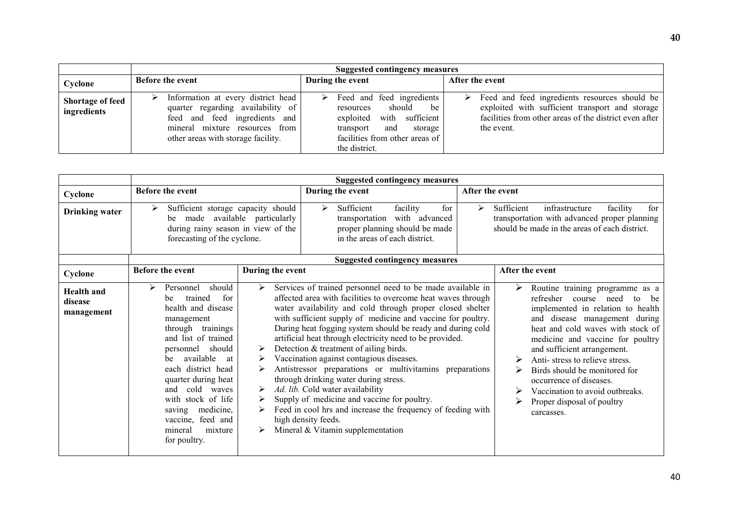|                                        | <b>Suggested contingency measures</b>                                                                                                                                            |                                                                                                                                                                            |                                                                                                                                                                               |  |  |  |
|----------------------------------------|----------------------------------------------------------------------------------------------------------------------------------------------------------------------------------|----------------------------------------------------------------------------------------------------------------------------------------------------------------------------|-------------------------------------------------------------------------------------------------------------------------------------------------------------------------------|--|--|--|
| Cyclone                                | <b>Before the event</b>                                                                                                                                                          | During the event                                                                                                                                                           | After the event                                                                                                                                                               |  |  |  |
| <b>Shortage of feed</b><br>ingredients | Information at every district head<br>quarter regarding availability of<br>feed and feed ingredients and<br>mineral mixture resources from<br>other areas with storage facility. | Feed and feed ingredients<br>➤<br>should<br>be<br>resources<br>exploited with sufficient<br>and<br>transport<br>storage<br>facilities from other areas of<br>the district. | Feed and feed ingredients resources should be<br>➤<br>exploited with sufficient transport and storage<br>facilities from other areas of the district even after<br>the event. |  |  |  |

|                                            | <b>Suggested contingency measures</b>                                                                                                                                                                                                                                                                                                                      |                  |                                                                                                                                                                                                                                                                                                                                                                                                                                                                                                                                                                                                                                                                                                                                                                                                              |                                                                    |                 |                                                                                                                                                                                                                                                                                                                                                                                                                                            |
|--------------------------------------------|------------------------------------------------------------------------------------------------------------------------------------------------------------------------------------------------------------------------------------------------------------------------------------------------------------------------------------------------------------|------------------|--------------------------------------------------------------------------------------------------------------------------------------------------------------------------------------------------------------------------------------------------------------------------------------------------------------------------------------------------------------------------------------------------------------------------------------------------------------------------------------------------------------------------------------------------------------------------------------------------------------------------------------------------------------------------------------------------------------------------------------------------------------------------------------------------------------|--------------------------------------------------------------------|-----------------|--------------------------------------------------------------------------------------------------------------------------------------------------------------------------------------------------------------------------------------------------------------------------------------------------------------------------------------------------------------------------------------------------------------------------------------------|
| Cyclone                                    | <b>Before the event</b>                                                                                                                                                                                                                                                                                                                                    |                  | During the event                                                                                                                                                                                                                                                                                                                                                                                                                                                                                                                                                                                                                                                                                                                                                                                             |                                                                    | After the event |                                                                                                                                                                                                                                                                                                                                                                                                                                            |
| <b>Drinking water</b>                      | Sufficient storage capacity should<br>➤<br>made<br>available particularly<br>be<br>during rainy season in view of the<br>forecasting of the cyclone.                                                                                                                                                                                                       |                  | Sufficient<br>➤<br>transportation<br>in the areas of each district.                                                                                                                                                                                                                                                                                                                                                                                                                                                                                                                                                                                                                                                                                                                                          | facility<br>for<br>with advanced<br>proper planning should be made | ➤               | Sufficient<br>infrastructure<br>facility<br>for<br>transportation with advanced proper planning<br>should be made in the areas of each district.                                                                                                                                                                                                                                                                                           |
|                                            |                                                                                                                                                                                                                                                                                                                                                            |                  |                                                                                                                                                                                                                                                                                                                                                                                                                                                                                                                                                                                                                                                                                                                                                                                                              | <b>Suggested contingency measures</b>                              |                 |                                                                                                                                                                                                                                                                                                                                                                                                                                            |
| Cyclone                                    | <b>Before the event</b>                                                                                                                                                                                                                                                                                                                                    |                  |                                                                                                                                                                                                                                                                                                                                                                                                                                                                                                                                                                                                                                                                                                                                                                                                              |                                                                    |                 | After the event                                                                                                                                                                                                                                                                                                                                                                                                                            |
| <b>Health</b> and<br>disease<br>management | should<br>⋗<br>Personnel<br>trained<br>for<br>be<br>health and disease<br>management<br>through trainings<br>and list of trained<br>should<br>personnel<br>available<br>be<br>at<br>each district head<br>quarter during heat<br>cold waves<br>and<br>with stock of life<br>medicine,<br>saving<br>vaccine, feed and<br>mineral<br>mixture<br>for poultry. | ➤<br>➤<br>➤<br>➤ | During the event<br>Services of trained personnel need to be made available in<br>affected area with facilities to overcome heat waves through<br>water availability and cold through proper closed shelter<br>with sufficient supply of medicine and vaccine for poultry.<br>During heat fogging system should be ready and during cold<br>artificial heat through electricity need to be provided.<br>Detection & treatment of ailing birds.<br>Vaccination against contagious diseases.<br>Antistressor preparations or multivitamins preparations<br>through drinking water during stress.<br>Ad. lib. Cold water availability<br>Supply of medicine and vaccine for poultry.<br>Feed in cool hrs and increase the frequency of feeding with<br>high density feeds.<br>Mineral & Vitamin supplementation |                                                                    |                 | Routine training programme as a<br>➤<br>refresher<br>course<br>need<br>be<br>to<br>implemented in relation to health<br>and disease management during<br>heat and cold waves with stock of<br>medicine and vaccine for poultry<br>and sufficient arrangement.<br>Anti-stress to relieve stress.<br>Birds should be monitored for<br>occurrence of diseases.<br>Vaccination to avoid outbreaks.<br>Proper disposal of poultry<br>carcasses. |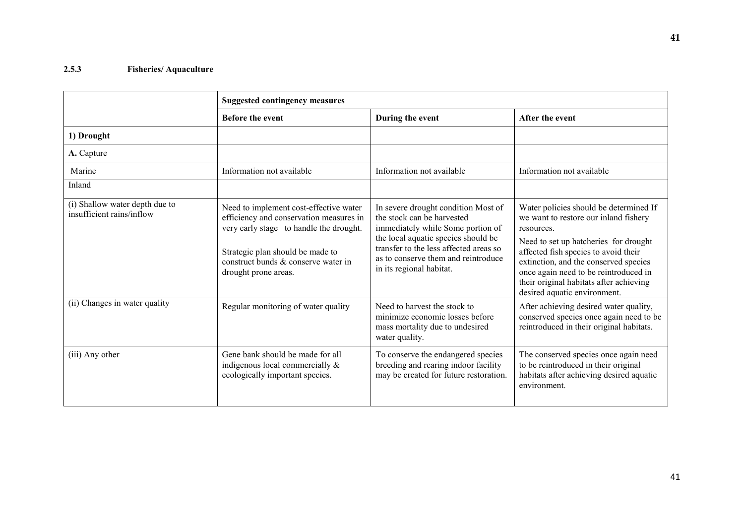### 2.5.3 Fisheries/ Aquaculture

|                                                             | <b>Suggested contingency measures</b>                                                                                                                                                                                           |                                                                                                                                                                                                                                                            |                                                                                                                                                                                                                                                                                                                                             |  |  |
|-------------------------------------------------------------|---------------------------------------------------------------------------------------------------------------------------------------------------------------------------------------------------------------------------------|------------------------------------------------------------------------------------------------------------------------------------------------------------------------------------------------------------------------------------------------------------|---------------------------------------------------------------------------------------------------------------------------------------------------------------------------------------------------------------------------------------------------------------------------------------------------------------------------------------------|--|--|
|                                                             | <b>Before the event</b>                                                                                                                                                                                                         | During the event                                                                                                                                                                                                                                           | After the event                                                                                                                                                                                                                                                                                                                             |  |  |
| 1) Drought                                                  |                                                                                                                                                                                                                                 |                                                                                                                                                                                                                                                            |                                                                                                                                                                                                                                                                                                                                             |  |  |
| A. Capture                                                  |                                                                                                                                                                                                                                 |                                                                                                                                                                                                                                                            |                                                                                                                                                                                                                                                                                                                                             |  |  |
| Marine                                                      | Information not available                                                                                                                                                                                                       | Information not available                                                                                                                                                                                                                                  | Information not available                                                                                                                                                                                                                                                                                                                   |  |  |
| Inland                                                      |                                                                                                                                                                                                                                 |                                                                                                                                                                                                                                                            |                                                                                                                                                                                                                                                                                                                                             |  |  |
| (i) Shallow water depth due to<br>insufficient rains/inflow | Need to implement cost-effective water<br>efficiency and conservation measures in<br>very early stage to handle the drought.<br>Strategic plan should be made to<br>construct bunds & conserve water in<br>drought prone areas. | In severe drought condition Most of<br>the stock can be harvested<br>immediately while Some portion of<br>the local aquatic species should be<br>transfer to the less affected areas so<br>as to conserve them and reintroduce<br>in its regional habitat. | Water policies should be determined If<br>we want to restore our inland fishery<br>resources.<br>Need to set up hatcheries for drought<br>affected fish species to avoid their<br>extinction, and the conserved species<br>once again need to be reintroduced in<br>their original habitats after achieving<br>desired aquatic environment. |  |  |
| (ii) Changes in water quality                               | Regular monitoring of water quality                                                                                                                                                                                             | Need to harvest the stock to<br>minimize economic losses before<br>mass mortality due to undesired<br>water quality.                                                                                                                                       | After achieving desired water quality,<br>conserved species once again need to be<br>reintroduced in their original habitats.                                                                                                                                                                                                               |  |  |
| (iii) Any other                                             | Gene bank should be made for all<br>indigenous local commercially &<br>ecologically important species.                                                                                                                          | To conserve the endangered species<br>breeding and rearing indoor facility<br>may be created for future restoration.                                                                                                                                       | The conserved species once again need<br>to be reintroduced in their original<br>habitats after achieving desired aquatic<br>environment.                                                                                                                                                                                                   |  |  |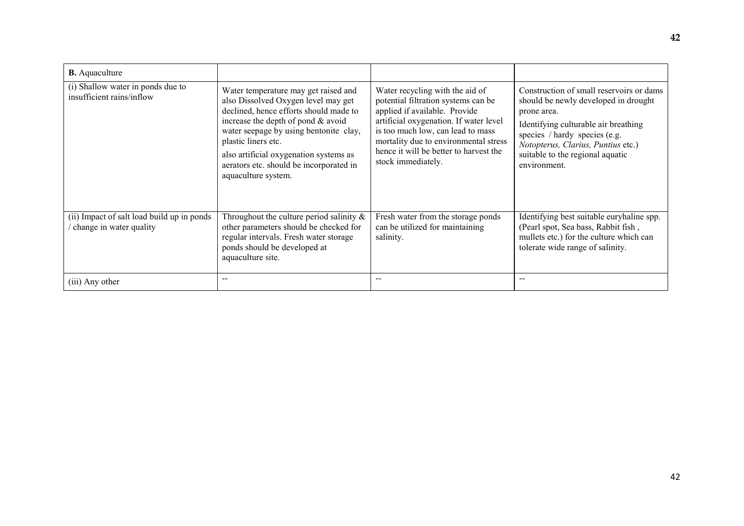| <b>B.</b> Aquaculture                                                 |                                                                                                                                                                                                                                                                                                                                            |                                                                                                                                                                                                                                                                                                 |                                                                                                                                                                                                                                                                    |
|-----------------------------------------------------------------------|--------------------------------------------------------------------------------------------------------------------------------------------------------------------------------------------------------------------------------------------------------------------------------------------------------------------------------------------|-------------------------------------------------------------------------------------------------------------------------------------------------------------------------------------------------------------------------------------------------------------------------------------------------|--------------------------------------------------------------------------------------------------------------------------------------------------------------------------------------------------------------------------------------------------------------------|
| (i) Shallow water in ponds due to<br>insufficient rains/inflow        | Water temperature may get raised and<br>also Dissolved Oxygen level may get<br>declined, hence efforts should made to<br>increase the depth of pond $&$ avoid<br>water seepage by using bentonite clay,<br>plastic liners etc.<br>also artificial oxygenation systems as<br>aerators etc. should be incorporated in<br>aquaculture system. | Water recycling with the aid of<br>potential filtration systems can be<br>applied if available. Provide<br>artificial oxygenation. If water level<br>is too much low, can lead to mass<br>mortality due to environmental stress<br>hence it will be better to harvest the<br>stock immediately. | Construction of small reservoirs or dams<br>should be newly developed in drought<br>prone area.<br>Identifying culturable air breathing<br>species / hardy species (e.g.<br>Notopterus, Clarius, Puntius etc.)<br>suitable to the regional aquatic<br>environment. |
| (ii) Impact of salt load build up in ponds<br>change in water quality | Throughout the culture period salinity $\&$<br>other parameters should be checked for<br>regular intervals. Fresh water storage<br>ponds should be developed at<br>aquaculture site.                                                                                                                                                       | Fresh water from the storage ponds<br>can be utilized for maintaining<br>salinity.                                                                                                                                                                                                              | Identifying best suitable euryhaline spp.<br>(Pearl spot, Sea bass, Rabbit fish,<br>mullets etc.) for the culture which can<br>tolerate wide range of salinity.                                                                                                    |
| (iii) Any other                                                       |                                                                                                                                                                                                                                                                                                                                            |                                                                                                                                                                                                                                                                                                 | $- -$                                                                                                                                                                                                                                                              |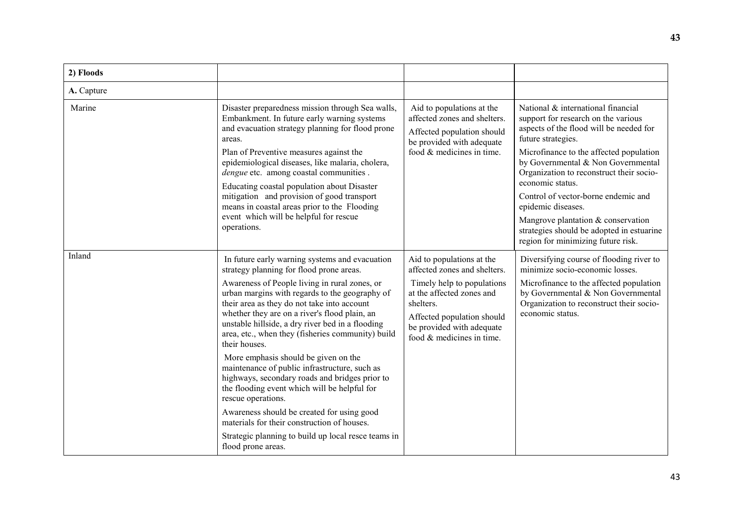| 2) Floods  |                                                                                                                                                                                                               |                                                                                                                                                     |                                                                                                                                                                                       |
|------------|---------------------------------------------------------------------------------------------------------------------------------------------------------------------------------------------------------------|-----------------------------------------------------------------------------------------------------------------------------------------------------|---------------------------------------------------------------------------------------------------------------------------------------------------------------------------------------|
| A. Capture |                                                                                                                                                                                                               |                                                                                                                                                     |                                                                                                                                                                                       |
| Marine     | Disaster preparedness mission through Sea walls,<br>Embankment. In future early warning systems<br>and evacuation strategy planning for flood prone<br>areas.<br>Plan of Preventive measures against the      | Aid to populations at the<br>affected zones and shelters.<br>Affected population should<br>be provided with adequate<br>food $&$ medicines in time. | National & international financial<br>support for research on the various<br>aspects of the flood will be needed for<br>future strategies.<br>Microfinance to the affected population |
|            | epidemiological diseases, like malaria, cholera,<br><i>dengue</i> etc. among coastal communities.<br>Educating coastal population about Disaster                                                              |                                                                                                                                                     | by Governmental & Non Governmental<br>Organization to reconstruct their socio-<br>economic status.                                                                                    |
|            | mitigation and provision of good transport<br>means in coastal areas prior to the Flooding                                                                                                                    |                                                                                                                                                     | Control of vector-borne endemic and<br>epidemic diseases.                                                                                                                             |
|            | event which will be helpful for rescue<br>operations.                                                                                                                                                         |                                                                                                                                                     | Mangrove plantation & conservation<br>strategies should be adopted in estuarine<br>region for minimizing future risk.                                                                 |
| Inland     | In future early warning systems and evacuation<br>strategy planning for flood prone areas.                                                                                                                    | Aid to populations at the<br>affected zones and shelters.                                                                                           | Diversifying course of flooding river to<br>minimize socio-economic losses.                                                                                                           |
|            | Awareness of People living in rural zones, or<br>urban margins with regards to the geography of<br>their area as they do not take into account                                                                | Timely help to populations<br>at the affected zones and<br>shelters.                                                                                | Microfinance to the affected population<br>by Governmental & Non Governmental<br>Organization to reconstruct their socio-                                                             |
|            | whether they are on a river's flood plain, an<br>unstable hillside, a dry river bed in a flooding<br>area, etc., when they (fisheries community) build<br>their houses.                                       | Affected population should<br>be provided with adequate<br>food $&$ medicines in time.                                                              | economic status.                                                                                                                                                                      |
|            | More emphasis should be given on the<br>maintenance of public infrastructure, such as<br>highways, secondary roads and bridges prior to<br>the flooding event which will be helpful for<br>rescue operations. |                                                                                                                                                     |                                                                                                                                                                                       |
|            | Awareness should be created for using good<br>materials for their construction of houses.                                                                                                                     |                                                                                                                                                     |                                                                                                                                                                                       |
|            | Strategic planning to build up local resce teams in<br>flood prone areas.                                                                                                                                     |                                                                                                                                                     |                                                                                                                                                                                       |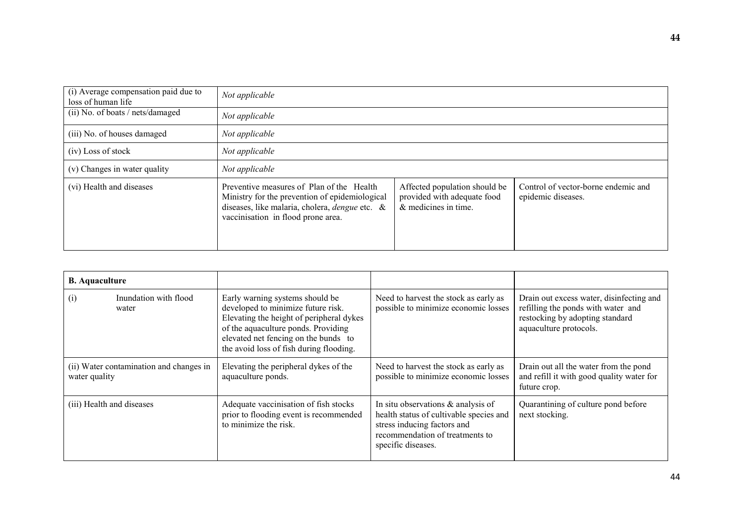| (i) Average compensation paid due to<br>loss of human life | Not applicable                                                                                                                                                                             |                                                                                        |                                                           |
|------------------------------------------------------------|--------------------------------------------------------------------------------------------------------------------------------------------------------------------------------------------|----------------------------------------------------------------------------------------|-----------------------------------------------------------|
| (ii) No. of boats / nets/damaged                           | Not applicable                                                                                                                                                                             |                                                                                        |                                                           |
| (iii) No. of houses damaged                                | Not applicable                                                                                                                                                                             |                                                                                        |                                                           |
| (iv) Loss of stock                                         | Not applicable                                                                                                                                                                             |                                                                                        |                                                           |
| (v) Changes in water quality                               | Not applicable                                                                                                                                                                             |                                                                                        |                                                           |
| (vi) Health and diseases                                   | Preventive measures of Plan of the Health<br>Ministry for the prevention of epidemiological<br>diseases, like malaria, cholera, <i>dengue</i> etc. &<br>vaccinisation in flood prone area. | Affected population should be<br>provided with adequate food<br>$&$ medicines in time. | Control of vector-borne endemic and<br>epidemic diseases. |

| <b>B.</b> Aquaculture     |                                         |                                                                                                                                                                                                                                             |                                                                                                                                                                          |                                                                                                                                             |
|---------------------------|-----------------------------------------|---------------------------------------------------------------------------------------------------------------------------------------------------------------------------------------------------------------------------------------------|--------------------------------------------------------------------------------------------------------------------------------------------------------------------------|---------------------------------------------------------------------------------------------------------------------------------------------|
| (i)<br>water              | Inundation with flood                   | Early warning systems should be<br>developed to minimize future risk.<br>Elevating the height of peripheral dykes<br>of the aquaculture ponds. Providing<br>elevated net fencing on the bunds to<br>the avoid loss of fish during flooding. | Need to harvest the stock as early as<br>possible to minimize economic losses                                                                                            | Drain out excess water, disinfecting and<br>refilling the ponds with water and<br>restocking by adopting standard<br>aquaculture protocols. |
| water quality             | (ii) Water contamination and changes in | Elevating the peripheral dykes of the<br>aquaculture ponds.                                                                                                                                                                                 | Need to harvest the stock as early as<br>possible to minimize economic losses                                                                                            | Drain out all the water from the pond<br>and refill it with good quality water for<br>future crop.                                          |
| (iii) Health and diseases |                                         | Adequate vaccinisation of fish stocks<br>prior to flooding event is recommended<br>to minimize the risk.                                                                                                                                    | In situ observations $\&$ analysis of<br>health status of cultivable species and<br>stress inducing factors and<br>recommendation of treatments to<br>specific diseases. | Quarantining of culture pond before<br>next stocking.                                                                                       |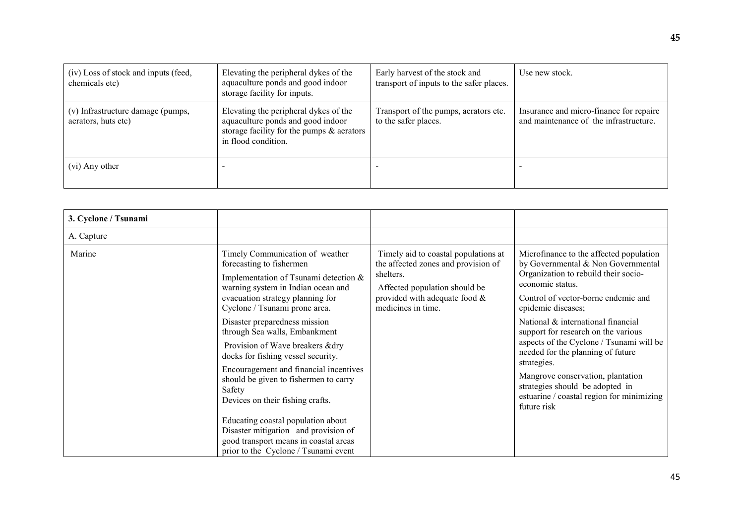| (iv) Loss of stock and inputs (feed,<br>chemicals etc)   | Elevating the peripheral dykes of the<br>aquaculture ponds and good indoor<br>storage facility for inputs.                                        | Early harvest of the stock and<br>transport of inputs to the safer places. | Use new stock.                                                                    |
|----------------------------------------------------------|---------------------------------------------------------------------------------------------------------------------------------------------------|----------------------------------------------------------------------------|-----------------------------------------------------------------------------------|
| (v) Infrastructure damage (pumps,<br>aerators, huts etc) | Elevating the peripheral dykes of the<br>aquaculture ponds and good indoor<br>storage facility for the pumps $\&$ aerators<br>in flood condition. | Transport of the pumps, aerators etc.<br>to the safer places.              | Insurance and micro-finance for repaire<br>and maintenance of the infrastructure. |
| (vi) Any other                                           |                                                                                                                                                   |                                                                            |                                                                                   |

| 3. Cyclone / Tsunami |                                                                                                                                                                                                                                                                                                                                                                                                                                                                                                                                                                                                                                                             |                                                                                                                                                                                     |                                                                                                                                                                                                                                                                                                                                                                                                                                                                                                                         |
|----------------------|-------------------------------------------------------------------------------------------------------------------------------------------------------------------------------------------------------------------------------------------------------------------------------------------------------------------------------------------------------------------------------------------------------------------------------------------------------------------------------------------------------------------------------------------------------------------------------------------------------------------------------------------------------------|-------------------------------------------------------------------------------------------------------------------------------------------------------------------------------------|-------------------------------------------------------------------------------------------------------------------------------------------------------------------------------------------------------------------------------------------------------------------------------------------------------------------------------------------------------------------------------------------------------------------------------------------------------------------------------------------------------------------------|
| A. Capture           |                                                                                                                                                                                                                                                                                                                                                                                                                                                                                                                                                                                                                                                             |                                                                                                                                                                                     |                                                                                                                                                                                                                                                                                                                                                                                                                                                                                                                         |
| Marine               | Timely Communication of weather<br>forecasting to fishermen<br>Implementation of Tsunami detection &<br>warning system in Indian ocean and<br>evacuation strategy planning for<br>Cyclone / Tsunami prone area.<br>Disaster preparedness mission<br>through Sea walls, Embankment<br>Provision of Wave breakers & dry<br>docks for fishing vessel security.<br>Encouragement and financial incentives<br>should be given to fishermen to carry<br>Safety<br>Devices on their fishing crafts.<br>Educating coastal population about<br>Disaster mitigation and provision of<br>good transport means in coastal areas<br>prior to the Cyclone / Tsunami event | Timely aid to coastal populations at<br>the affected zones and provision of<br>shelters.<br>Affected population should be<br>provided with adequate food $\&$<br>medicines in time. | Microfinance to the affected population<br>by Governmental & Non Governmental<br>Organization to rebuild their socio-<br>economic status.<br>Control of vector-borne endemic and<br>epidemic diseases;<br>National & international financial<br>support for research on the various<br>aspects of the Cyclone / Tsunami will be<br>needed for the planning of future<br>strategies.<br>Mangrove conservation, plantation<br>strategies should be adopted in<br>estuarine / coastal region for minimizing<br>future risk |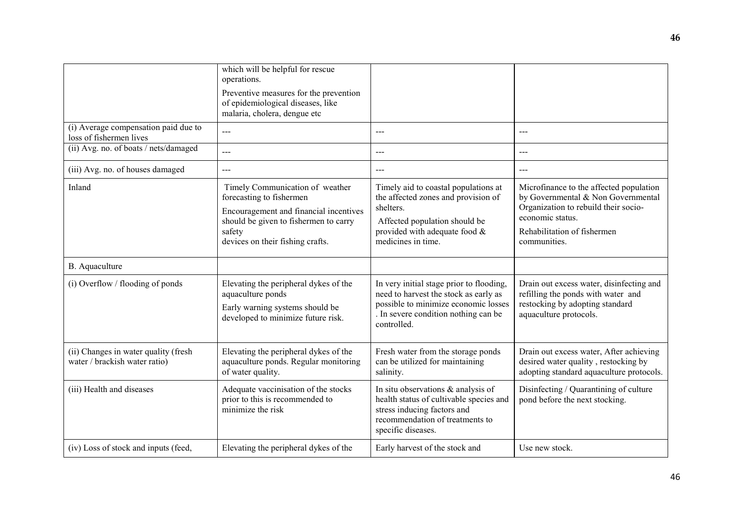|                                                                       | which will be helpful for rescue<br>operations.                                                                                                                                              |                                                                                                                                                                                     |                                                                                                                                                                                          |
|-----------------------------------------------------------------------|----------------------------------------------------------------------------------------------------------------------------------------------------------------------------------------------|-------------------------------------------------------------------------------------------------------------------------------------------------------------------------------------|------------------------------------------------------------------------------------------------------------------------------------------------------------------------------------------|
|                                                                       | Preventive measures for the prevention<br>of epidemiological diseases, like<br>malaria, cholera, dengue etc                                                                                  |                                                                                                                                                                                     |                                                                                                                                                                                          |
| (i) Average compensation paid due to<br>loss of fishermen lives       | $\overline{a}$                                                                                                                                                                               | ---                                                                                                                                                                                 | $\frac{1}{2}$                                                                                                                                                                            |
| (ii) Avg. no. of boats / nets/damaged                                 | ---                                                                                                                                                                                          | ---                                                                                                                                                                                 | $--$                                                                                                                                                                                     |
| (iii) Avg. no. of houses damaged                                      | $\overline{\phantom{a}}$                                                                                                                                                                     | ---                                                                                                                                                                                 |                                                                                                                                                                                          |
| Inland                                                                | Timely Communication of weather<br>forecasting to fishermen<br>Encouragement and financial incentives<br>should be given to fishermen to carry<br>safety<br>devices on their fishing crafts. | Timely aid to coastal populations at<br>the affected zones and provision of<br>shelters.<br>Affected population should be<br>provided with adequate food $\&$<br>medicines in time. | Microfinance to the affected population<br>by Governmental & Non Governmental<br>Organization to rebuild their socio-<br>economic status.<br>Rehabilitation of fishermen<br>communities. |
| <b>B.</b> Aquaculture                                                 |                                                                                                                                                                                              |                                                                                                                                                                                     |                                                                                                                                                                                          |
| (i) Overflow / flooding of ponds                                      | Elevating the peripheral dykes of the<br>aquaculture ponds<br>Early warning systems should be<br>developed to minimize future risk.                                                          | In very initial stage prior to flooding,<br>need to harvest the stock as early as<br>possible to minimize economic losses<br>. In severe condition nothing can be<br>controlled.    | Drain out excess water, disinfecting and<br>refilling the ponds with water and<br>restocking by adopting standard<br>aquaculture protocols.                                              |
| (ii) Changes in water quality (fresh<br>water / brackish water ratio) | Elevating the peripheral dykes of the<br>aquaculture ponds. Regular monitoring<br>of water quality.                                                                                          | Fresh water from the storage ponds<br>can be utilized for maintaining<br>salinity.                                                                                                  | Drain out excess water, After achieving<br>desired water quality, restocking by<br>adopting standard aquaculture protocols.                                                              |
| (iii) Health and diseases                                             | Adequate vaccinisation of the stocks<br>prior to this is recommended to<br>minimize the risk                                                                                                 | In situ observations $\&$ analysis of<br>health status of cultivable species and<br>stress inducing factors and<br>recommendation of treatments to<br>specific diseases.            | Disinfecting / Quarantining of culture<br>pond before the next stocking.                                                                                                                 |
| (iv) Loss of stock and inputs (feed,                                  | Elevating the peripheral dykes of the                                                                                                                                                        | Early harvest of the stock and                                                                                                                                                      | Use new stock.                                                                                                                                                                           |